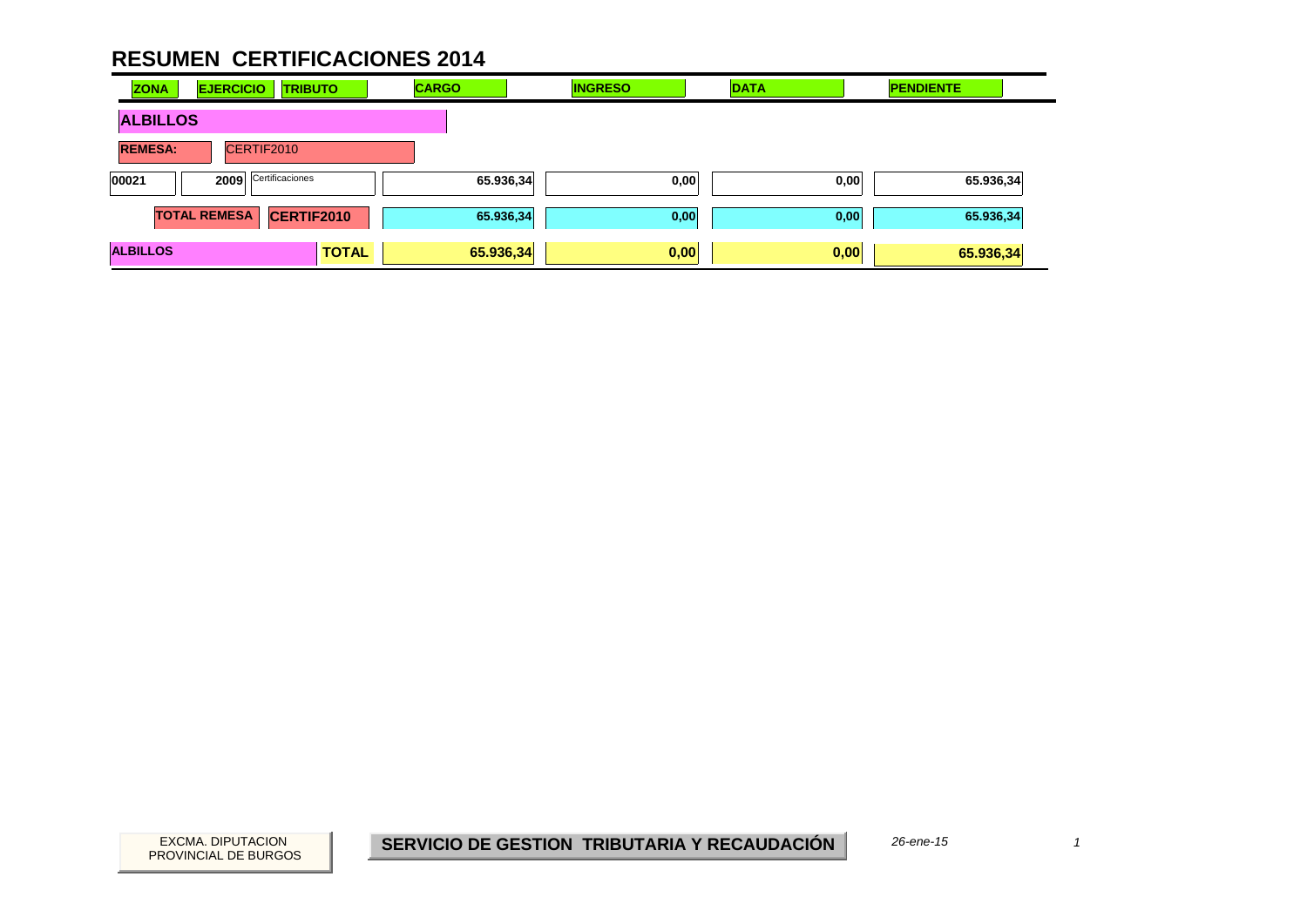| <b>ZONA</b>     | <b>EJERCICIO</b><br><b>TRIBUTO</b>       | <b>CARGO</b> | <b>INGRESO</b> | <b>DATA</b> | <b>PENDIENTE</b> |
|-----------------|------------------------------------------|--------------|----------------|-------------|------------------|
| <b>ALBILLOS</b> |                                          |              |                |             |                  |
| <b>REMESA:</b>  | CERTIF2010                               |              |                |             |                  |
| 00021           | Certificaciones<br>2009                  | 65.936,34    | 0,00           | 0,00        | 65.936,34        |
|                 | <b>CERTIF2010</b><br><b>TOTAL REMESA</b> | 65.936,34    | 0,00           | 0,00        | 65.936,34        |
| <b>ALBILLOS</b> | <b>TOTAL</b>                             | 65.936,34    | 0,00           | 0,00        | 65.936,34        |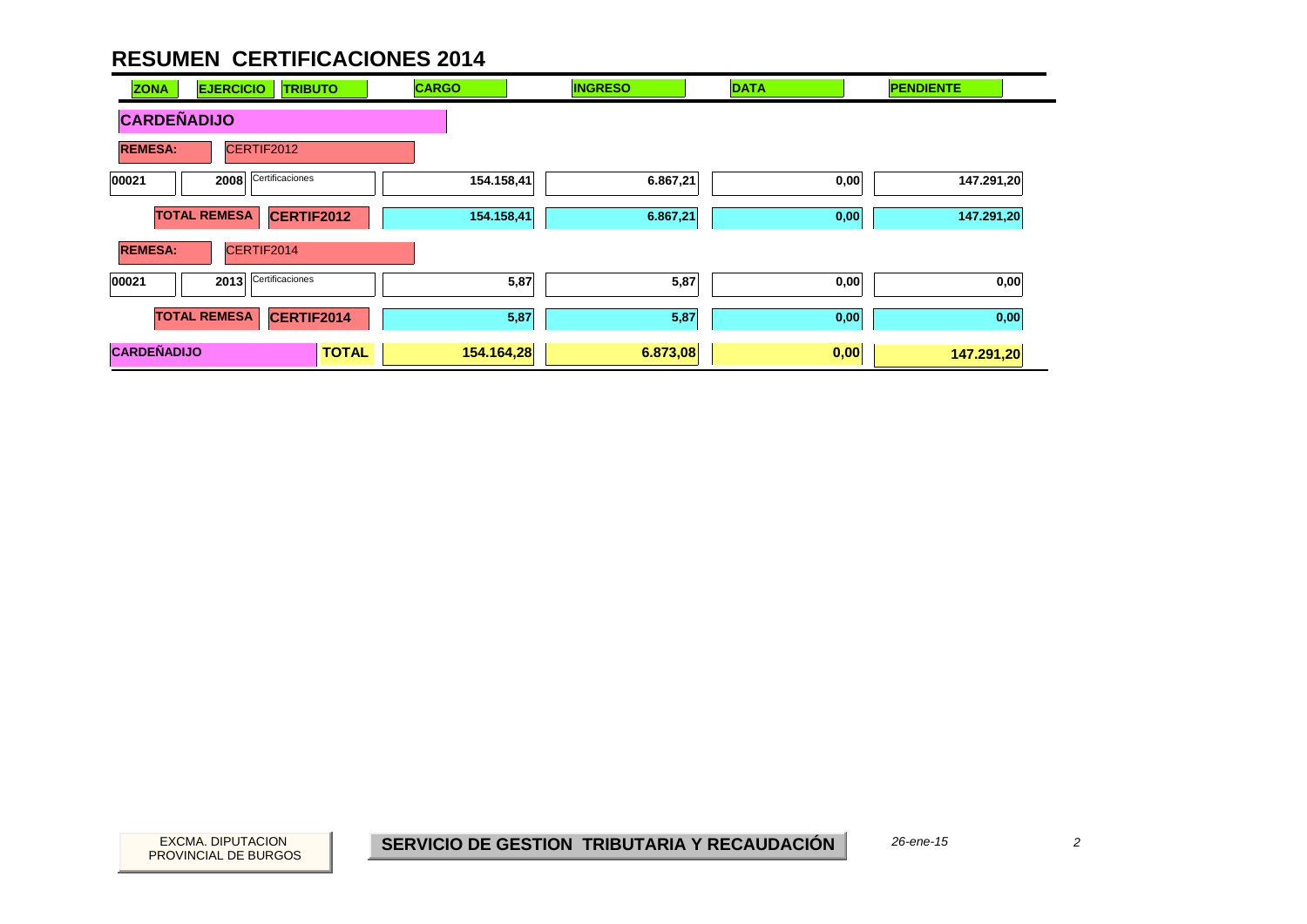| <b>ZONA</b>        | <b>EJERCICIO</b><br><b>TRIBUTO</b> | <b>CARGO</b>               | <b>INGRESO</b> | <b>DATA</b> | <b>PENDIENTE</b> |
|--------------------|------------------------------------|----------------------------|----------------|-------------|------------------|
| <b>CARDEÑADIJO</b> |                                    |                            |                |             |                  |
| <b>REMESA:</b>     | CERTIF2012                         |                            |                |             |                  |
| 00021              | Certificaciones<br>2008            | 154.158,41                 | 6.867,21       | 0,00        | 147.291,20       |
|                    | <b>TOTAL REMESA</b><br>CERTIF2012  | 154.158,41                 | 6.867,21       | 0,00        | 147.291,20       |
| <b>REMESA:</b>     | CERTIF2014                         |                            |                |             |                  |
| 00021              | Certificaciones<br>2013            | 5,87                       | 5,87           | 0,00        | 0,00             |
|                    | <b>TOTAL REMESA</b><br>CERTIF2014  | 5,87                       | 5,87           | 0,00        | 0,00             |
| <b>CARDEÑADIJO</b> |                                    | <b>TOTAL</b><br>154.164,28 | 6.873,08       | 0,00        | 147.291,20       |

PROVINCIAL DE BURGOS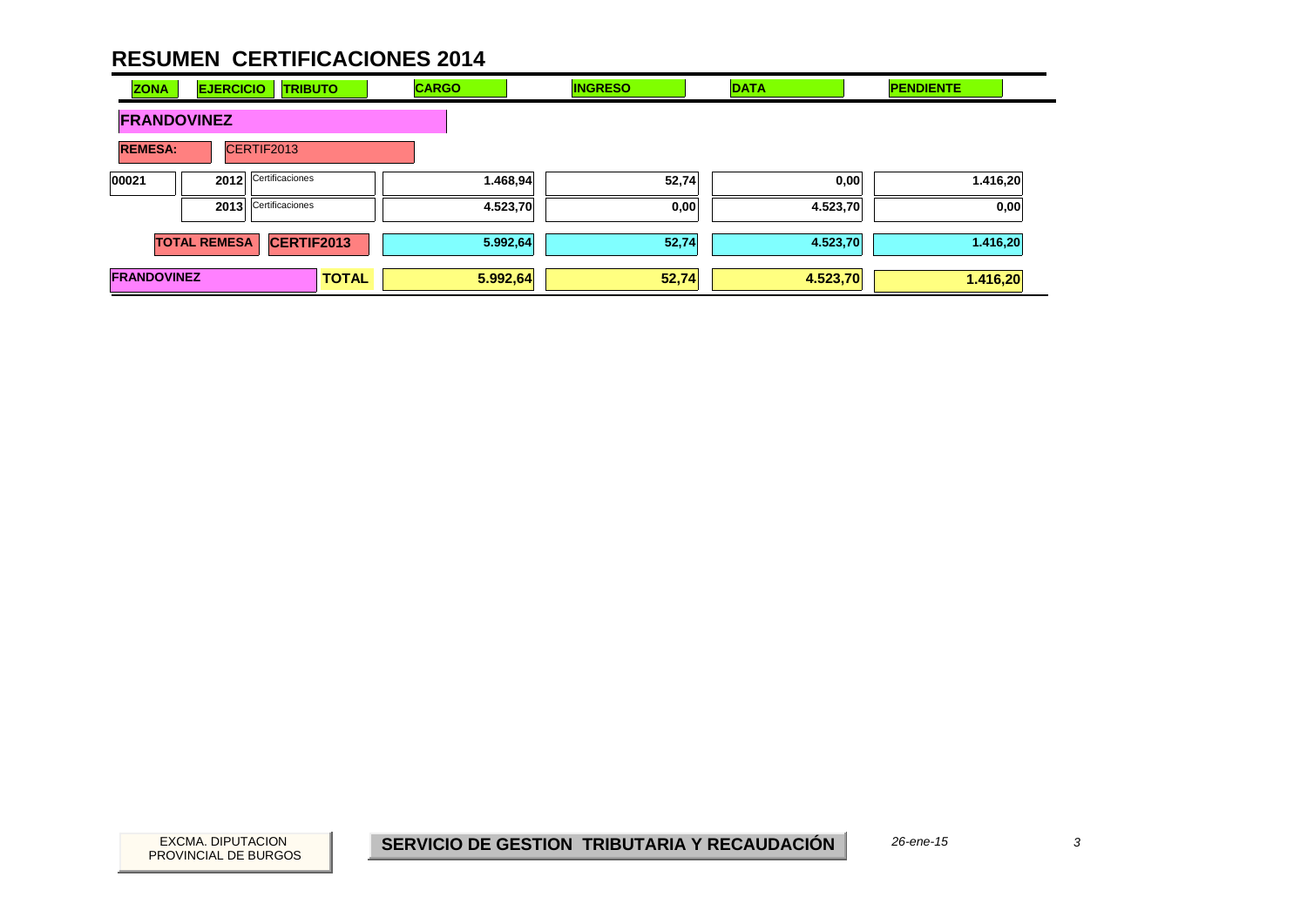| <b>ZONA</b>        | <b>EJERCICIO</b>    | <b>TRIBUTO</b>  |              | <b>CARGO</b> | <b>INGRESO</b> | <b>DATA</b> | <b>PENDIENTE</b> |
|--------------------|---------------------|-----------------|--------------|--------------|----------------|-------------|------------------|
| <b>FRANDOVINEZ</b> |                     |                 |              |              |                |             |                  |
| <b>REMESA:</b>     |                     | CERTIF2013      |              |              |                |             |                  |
| 00021              | 2012                | Certificaciones |              | 1.468,94     | 52,74          | 0,00        | 1.416,20         |
|                    | 2013                | Certificaciones |              | 4.523,70     | 0,00           | 4.523,70    | 0,00             |
|                    | <b>TOTAL REMESA</b> | CERTIF2013      |              | 5.992,64     | 52,74          | 4.523,70    | 1.416,20         |
| <b>FRANDOVINEZ</b> |                     |                 | <b>TOTAL</b> | 5.992,64     | 52,74          | 4.523,70    | 1.416,20         |

 $\overline{3}$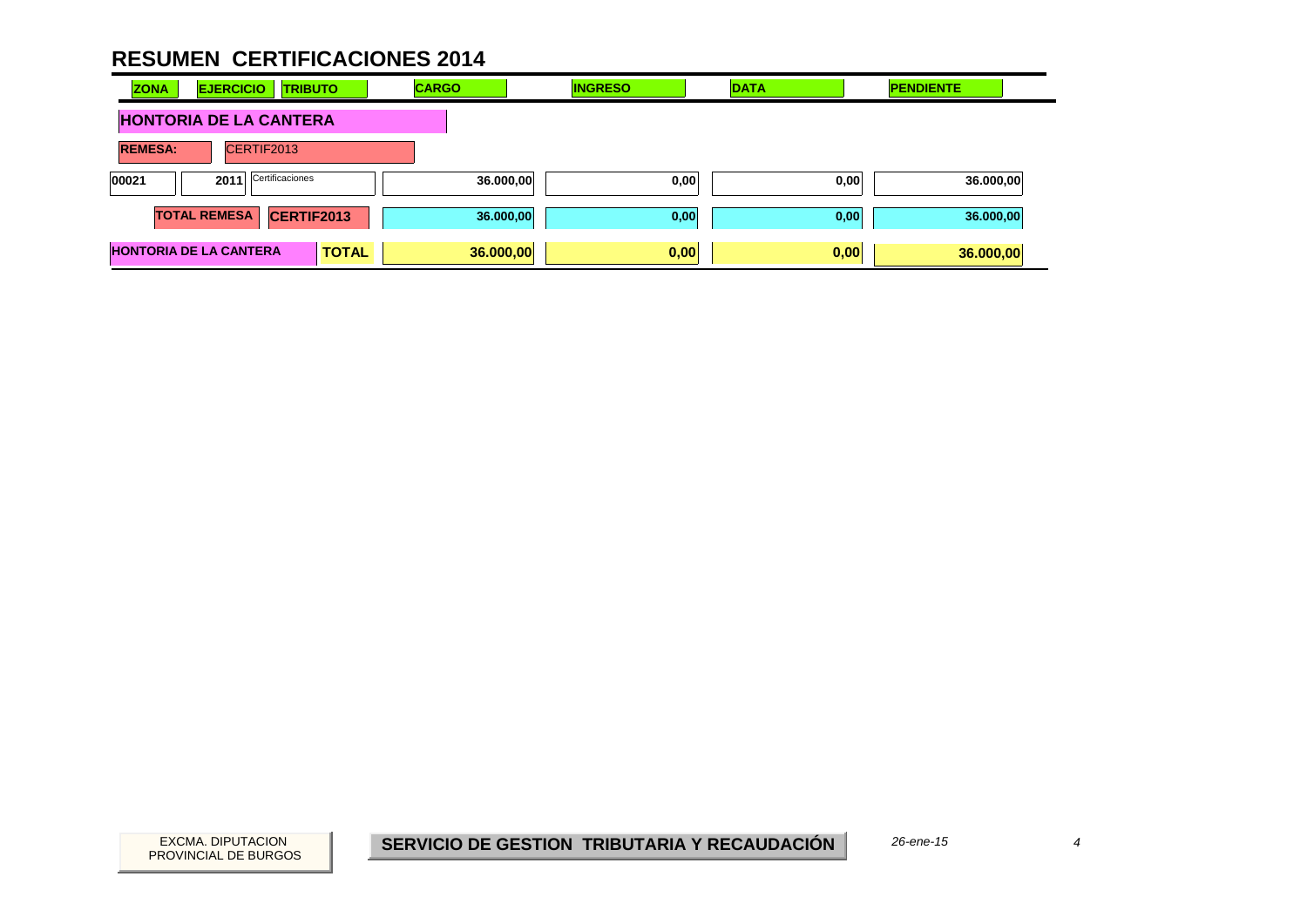| <b>ZONA</b>                   | <b>EJERCICIO</b>              | <b>TRIBUTO</b> | <b>CARGO</b> | <b>INGRESO</b> | <b>DATA</b> | <b>PENDIENTE</b> |
|-------------------------------|-------------------------------|----------------|--------------|----------------|-------------|------------------|
| <b>HONTORIA DE LA CANTERA</b> |                               |                |              |                |             |                  |
| <b>REMESA:</b>                | CERTIF2013                    |                |              |                |             |                  |
| 00021                         | Certificaciones<br>2011       |                | 36.000,00    | 0,00           | 0,00        | 36.000,00        |
|                               | <b>TOTAL REMESA</b>           | CERTIF2013     | 36.000,00    | 0,00           | 0,00        | 36.000,00        |
|                               | <b>HONTORIA DE LA CANTERA</b> | <b>TOTAL</b>   | 36.000,00    | 0,00           | 0,00        | 36.000,00        |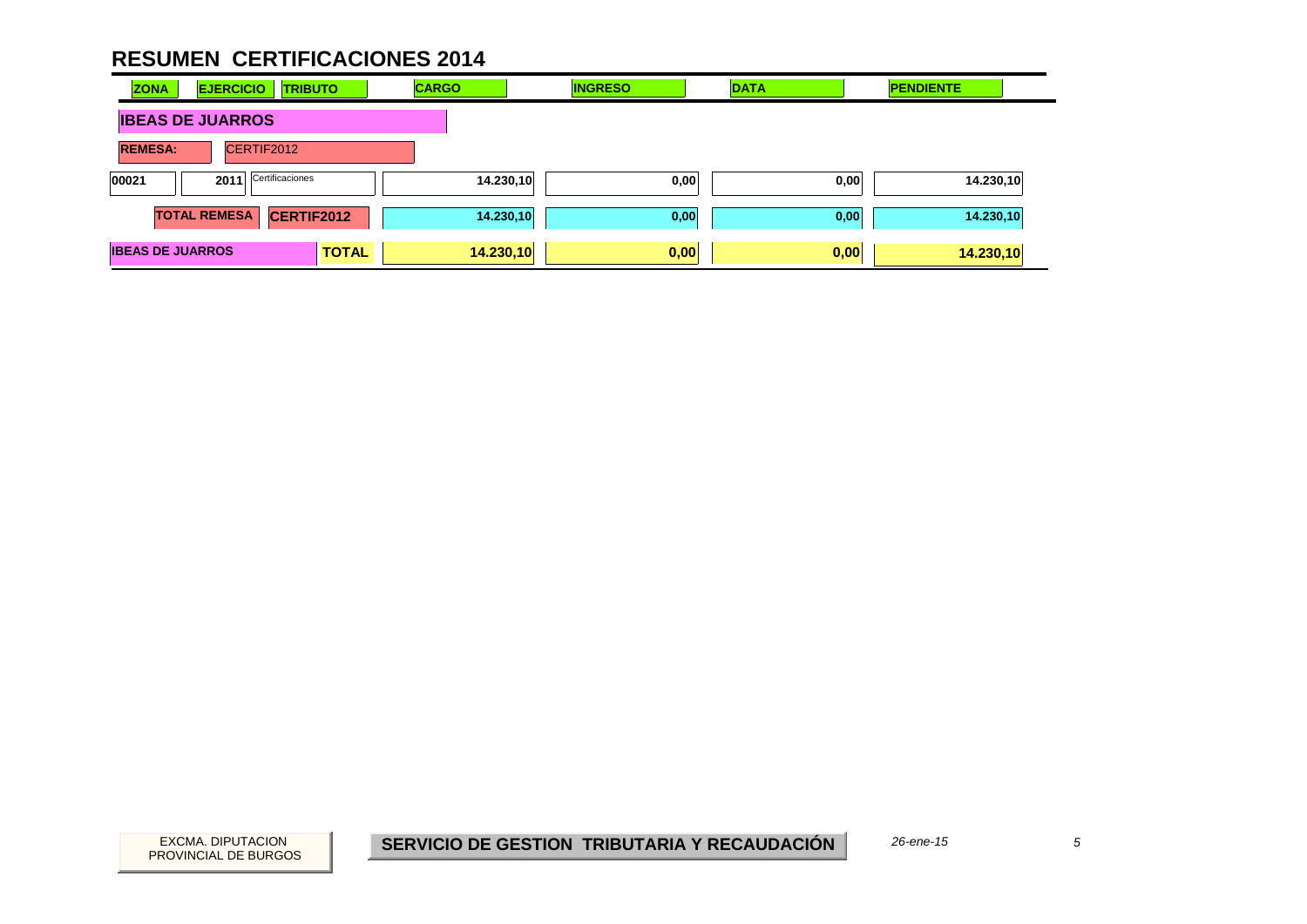| <b>ZONA</b>             | <b>EJERCICIO</b>    | <b>TRIBUTO</b>    | <b>CARGO</b> | <b>INGRESO</b> | <b>DATA</b> | <b>PENDIENTE</b>  |  |
|-------------------------|---------------------|-------------------|--------------|----------------|-------------|-------------------|--|
| <b>IBEAS DE JUARROS</b> |                     |                   |              |                |             |                   |  |
| <b>REMESA:</b>          | CERTIF2012          |                   |              |                |             |                   |  |
| 00021                   | 2011                | Certificaciones   |              | 14.230,10      | 0,00        | 14.230,10<br>0,00 |  |
|                         | <b>TOTAL REMESA</b> | <b>CERTIF2012</b> |              | 14.230,10      | 0,00        | 14.230,10<br>0,00 |  |
| <b>IBEAS DE JUARROS</b> |                     | <b>TOTAL</b>      | 14.230,10    |                | 0,00        | 0,00<br>14.230,10 |  |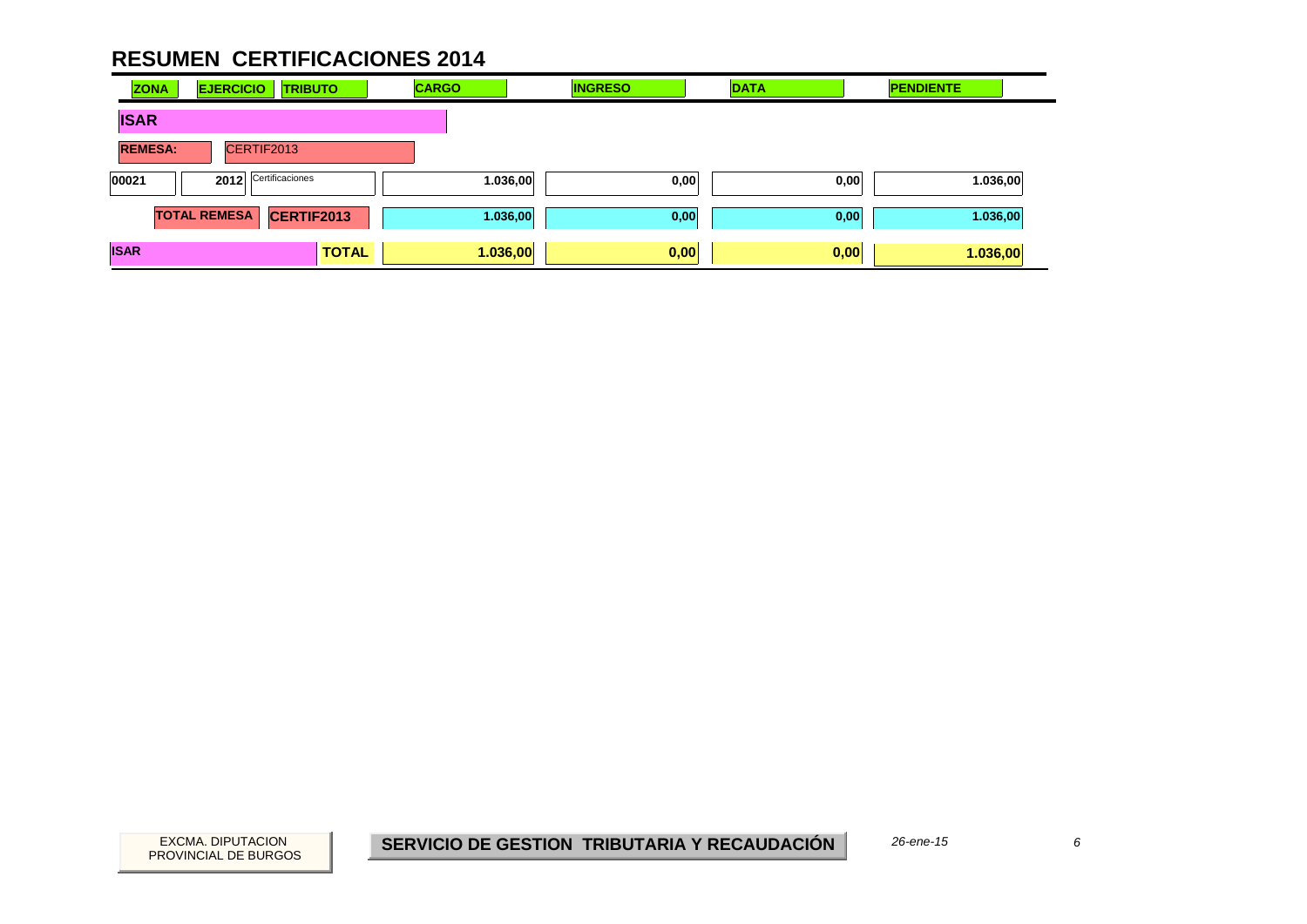| <b>ZONA</b>    | <b>EJERCICIO</b>    | <b>TRIBUTO</b>  | <b>CARGO</b> | <b>INGRESO</b>   | <b>DATA</b> | <b>PENDIENTE</b> |
|----------------|---------------------|-----------------|--------------|------------------|-------------|------------------|
| <b>ISAR</b>    |                     |                 |              |                  |             |                  |
| <b>REMESA:</b> | CERTIF2013          |                 |              |                  |             |                  |
| 00021          | 2012                | Certificaciones |              | 1.036,00<br>0,00 | 0,00        | 1.036,00         |
|                | <b>TOTAL REMESA</b> | CERTIF2013      |              | 1.036,00<br>0,00 | 0,00        | 1.036,00         |
| <b>ISAR</b>    |                     | <b>TOTAL</b>    | 1.036,00     | 0,00             | 0,00        | 1.036,00         |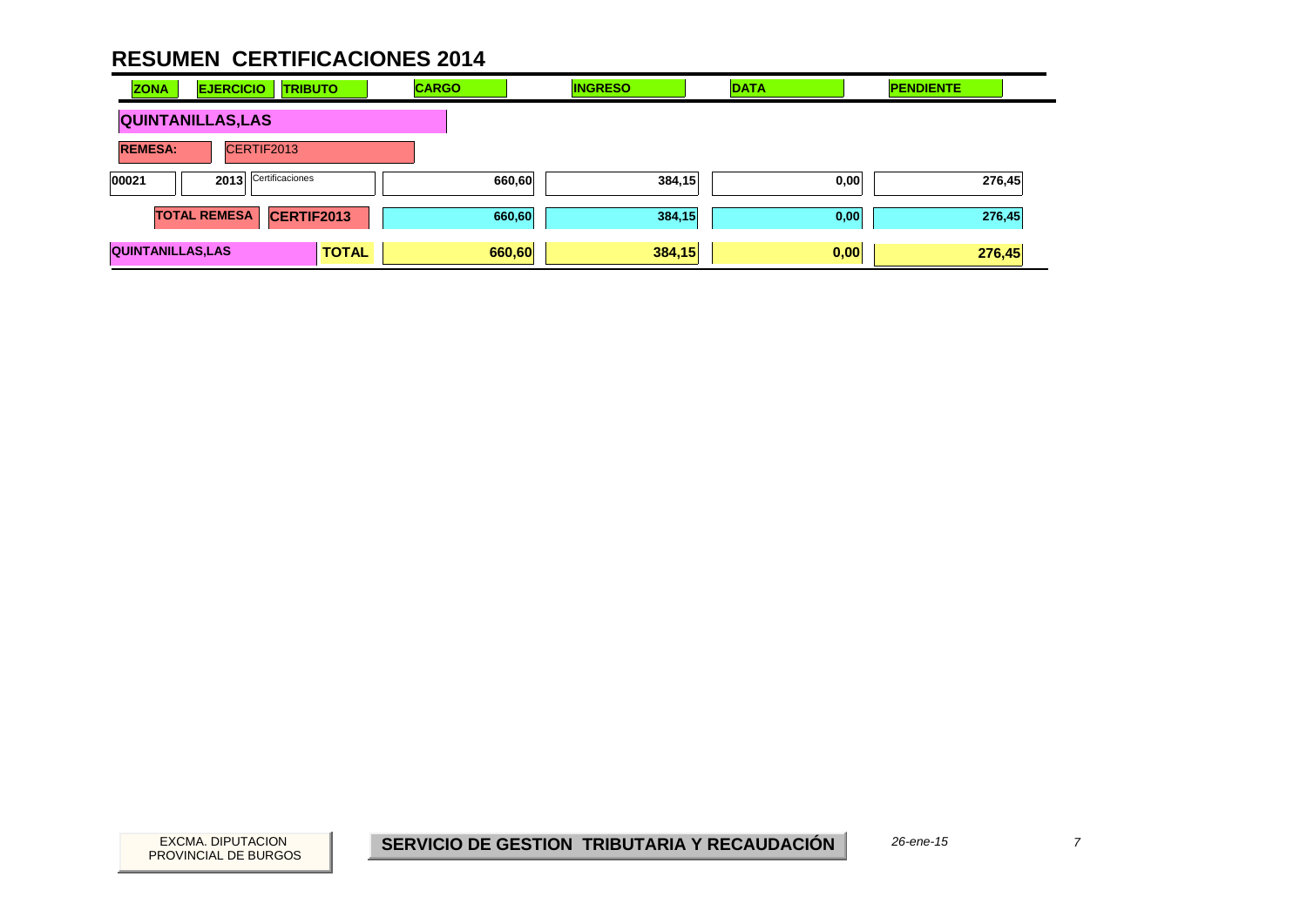| <b>ZONA</b>              | <b>EJERCICIO</b>    | <b>TRIBUTO</b>  |              | <b>CARGO</b> |        | <b>INGRESO</b> | <b>DATA</b> | <b>PENDIENTE</b> |        |
|--------------------------|---------------------|-----------------|--------------|--------------|--------|----------------|-------------|------------------|--------|
| <b>QUINTANILLAS, LAS</b> |                     |                 |              |              |        |                |             |                  |        |
| <b>REMESA:</b>           | CERTIF2013          |                 |              |              |        |                |             |                  |        |
| 00021                    | 2013                | Certificaciones |              |              | 660,60 | 384,15         | 0,00        |                  | 276,45 |
|                          | <b>TOTAL REMESA</b> | CERTIF2013      |              |              | 660,60 | 384,15         | 0,00        |                  | 276,45 |
| <b>QUINTANILLAS, LAS</b> |                     |                 | <b>TOTAL</b> |              | 660,60 | 384,15         | 0,00        |                  | 276,45 |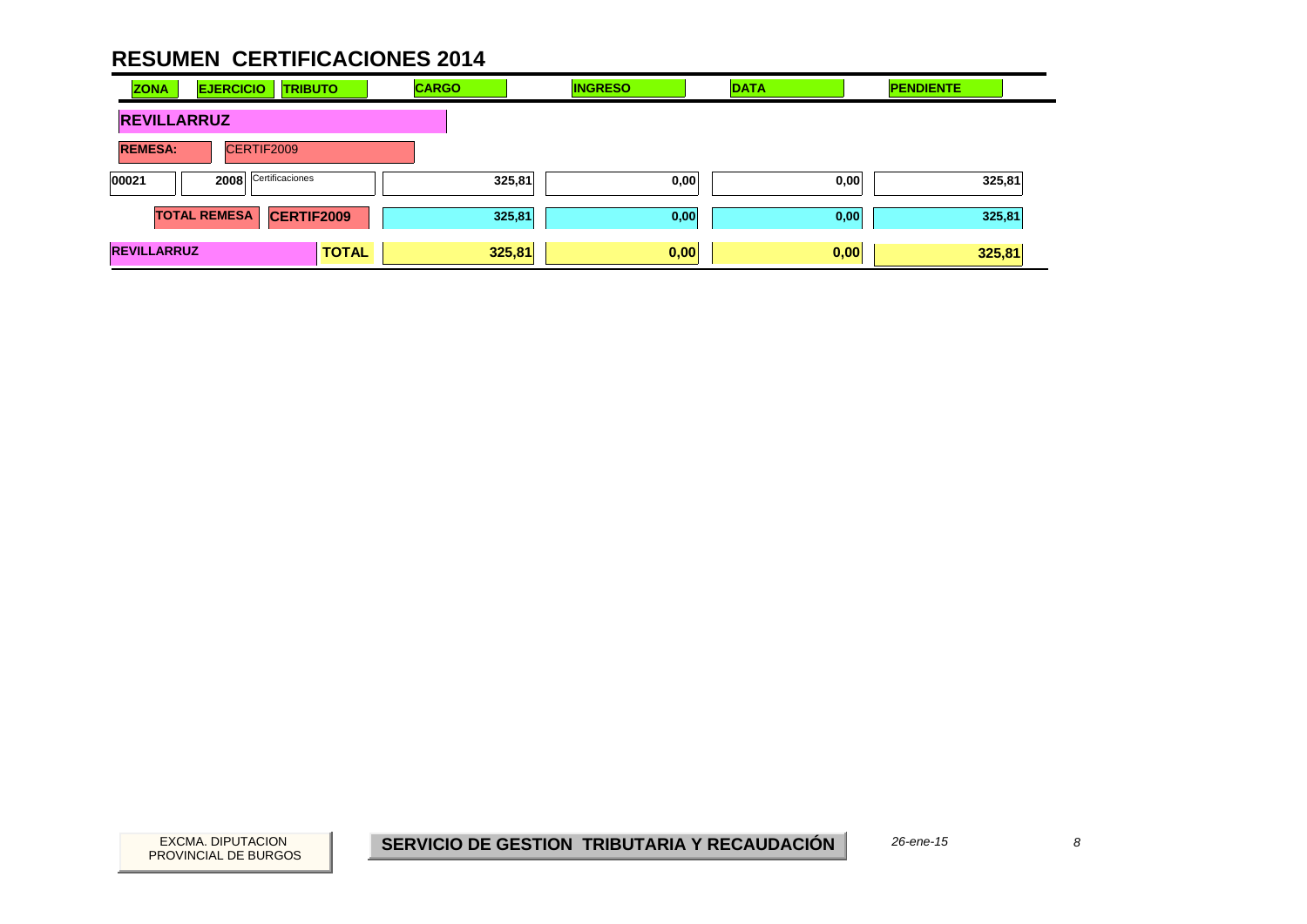| <b>ZONA</b>        | <b>EJERCICIO</b><br><b>TRIBUTO</b>       | <b>CARGO</b> | <b>INGRESO</b> | <b>DATA</b> | <b>PENDIENTE</b> |
|--------------------|------------------------------------------|--------------|----------------|-------------|------------------|
| <b>REVILLARRUZ</b> |                                          |              |                |             |                  |
| <b>REMESA:</b>     | CERTIF2009                               |              |                |             |                  |
| 00021              | Certificaciones<br>2008                  |              | 325,81<br>0,00 | 0,00        | 325,81           |
|                    | <b>TOTAL REMESA</b><br><b>CERTIF2009</b> |              | 325,81<br>0,00 | 0,00        | 325,81           |
| <b>REVILLARRUZ</b> |                                          | <b>TOTAL</b> | 325,81<br>0,00 | 0,00        | 325,81           |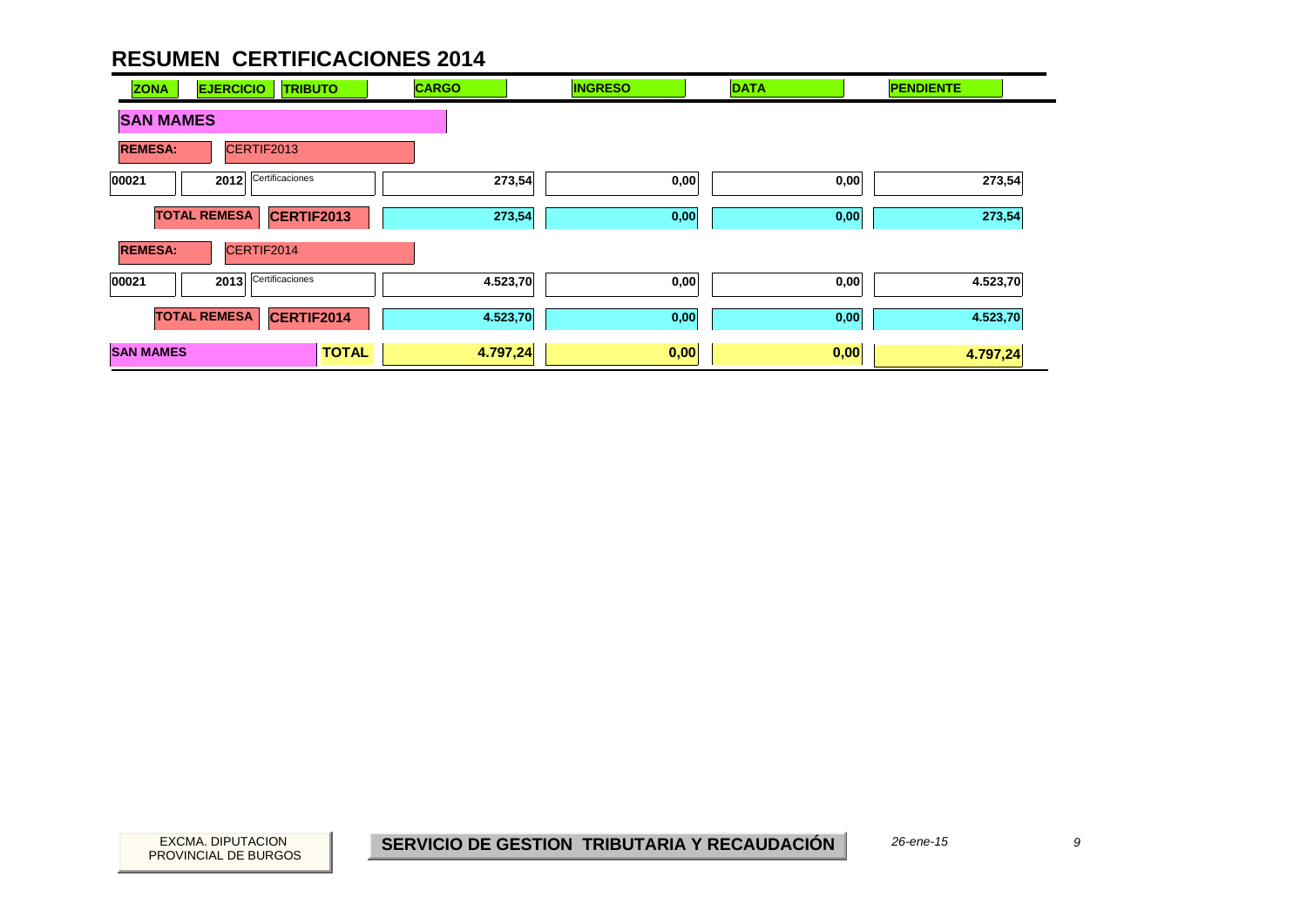| <b>ZONA</b><br><b>EJERCICIO</b><br><b>TRIBUTO</b> | <b>CARGO</b> | <b>INGRESO</b> | <b>DATA</b> | <b>PENDIENTE</b> |
|---------------------------------------------------|--------------|----------------|-------------|------------------|
| <b>SAN MAMES</b>                                  |              |                |             |                  |
| <b>REMESA:</b><br>CERTIF2013                      |              |                |             |                  |
| Certificaciones<br>2012<br>00021                  | 273,54       | 0,00           | 0,00        | 273,54           |
| <b>TOTAL REMESA</b><br>CERTIF2013                 | 273,54       | 0,00           | 0,00        | 273,54           |
| CERTIF2014<br><b>REMESA:</b>                      |              |                |             |                  |
| Certificaciones<br>2013<br>00021                  | 4.523,70     | 0,00           | 0,00        | 4.523,70         |
| <b>TOTAL REMESA</b><br>CERTIF2014                 | 4.523,70     | 0,00           | 0,00        | 4.523,70         |
| <b>SAN MAMES</b><br><b>TOTAL</b>                  | 4.797,24     | 0,00           | 0,00        | 4.797,24         |

PROVINCIAL DE BURGOS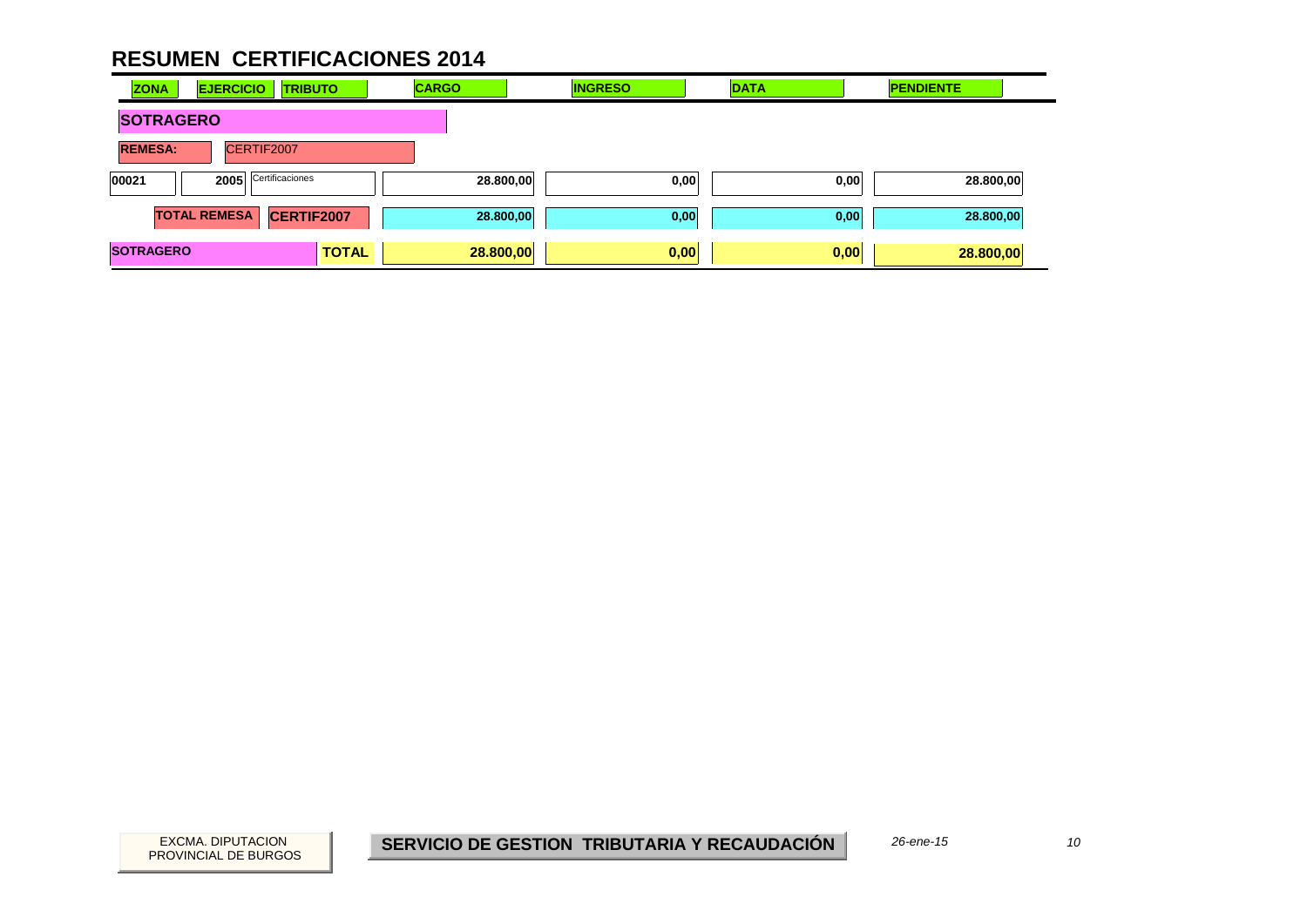| <b>ZONA</b>      | <b>EJERCICIO</b><br><b>TRIBUTO</b>       |              | <b>CARGO</b> | <b>INGRESO</b> | <b>DATA</b> | <b>PENDIENTE</b> |
|------------------|------------------------------------------|--------------|--------------|----------------|-------------|------------------|
| <b>SOTRAGERO</b> |                                          |              |              |                |             |                  |
| <b>REMESA:</b>   | CERTIF2007                               |              |              |                |             |                  |
| 00021            | Certificaciones<br>2005                  |              | 28.800,00    | 0,00           | 0,00        | 28.800,00        |
|                  | <b>TOTAL REMESA</b><br><b>CERTIF2007</b> |              | 28.800,00    | 0,00           | 0,00        | 28.800,00        |
| <b>SOTRAGERO</b> |                                          | <b>TOTAL</b> | 28.800,00    | 0,00           | 0,00        | 28.800,00        |

 $10<sup>10</sup>$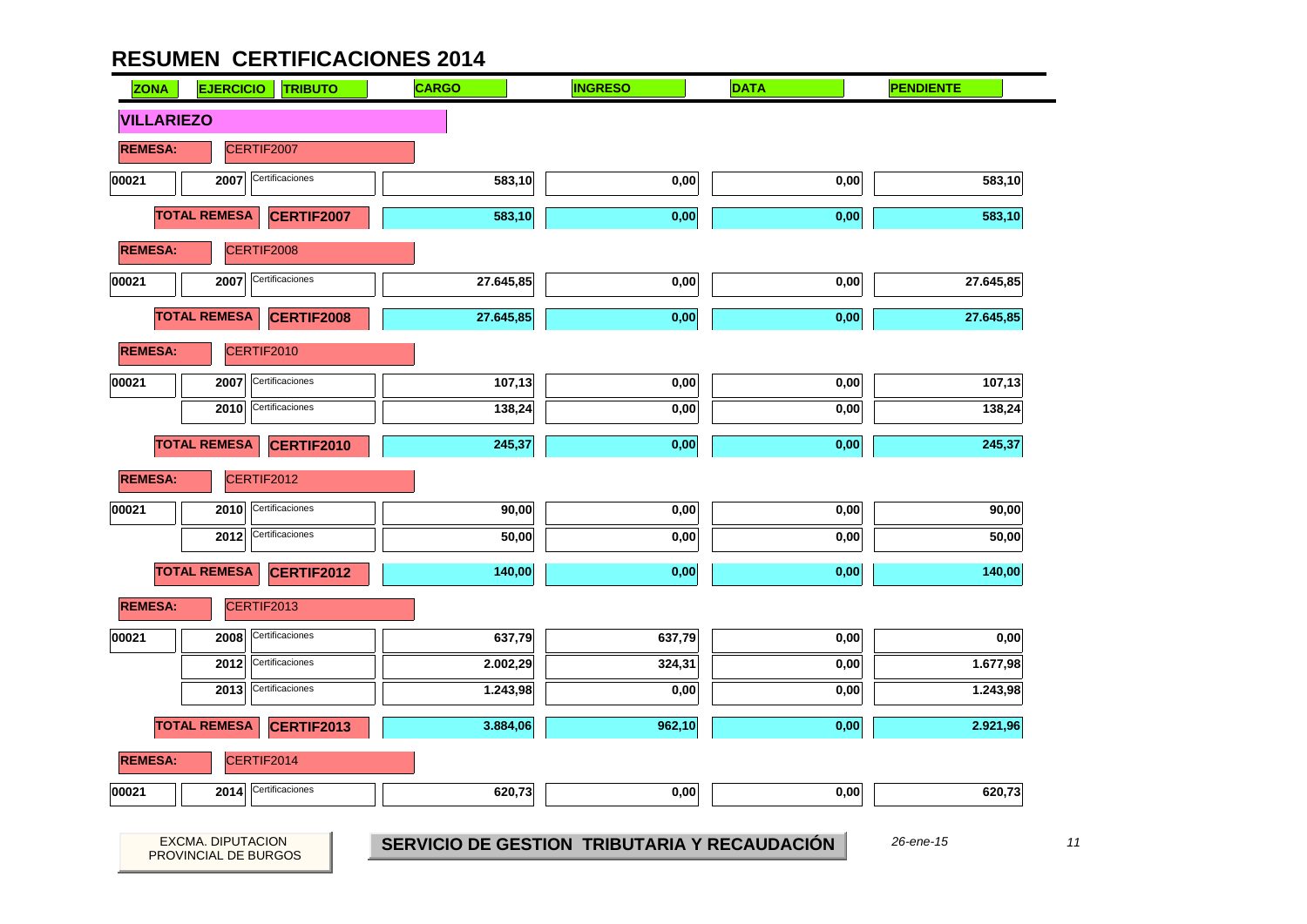PROVINCIAL DE BURGOS

| <b>ZONA</b>       | <b>EJERCICIO</b>                          | <b>TRIBUTO</b>    | <b>CARGO</b> | <b>INGRESO</b>                               | <b>DATA</b> | <b>PENDIENTE</b> |
|-------------------|-------------------------------------------|-------------------|--------------|----------------------------------------------|-------------|------------------|
| <b>VILLARIEZO</b> |                                           |                   |              |                                              |             |                  |
| <b>REMESA:</b>    |                                           | CERTIF2007        |              |                                              |             |                  |
| 00021             | 2007                                      | Certificaciones   | 583,10       | 0,00                                         | 0,00        | 583,10           |
|                   | <b>TOTAL REMESA</b>                       | <b>CERTIF2007</b> | 583,10       | 0,00                                         | 0,00        | 583,10           |
| <b>REMESA:</b>    |                                           | CERTIF2008        |              |                                              |             |                  |
| 00021             | 2007                                      | Certificaciones   | 27.645,85    | 0,00                                         | 0,00        | 27.645,85        |
|                   | <b>TOTAL REMESA</b>                       | CERTIF2008        | 27.645,85    | 0,00                                         | 0,00        | 27.645,85        |
| <b>REMESA:</b>    |                                           | CERTIF2010        |              |                                              |             |                  |
| 00021             | 2007                                      | Certificaciones   | 107,13       | 0,00                                         | 0,00        | 107,13           |
|                   | 2010                                      | Certificaciones   | 138,24       | 0,00                                         | 0,00        | 138,24           |
|                   | <b>TOTAL REMESA</b>                       | CERTIF2010        | 245,37       | 0,00                                         | 0,00        | 245,37           |
| <b>REMESA:</b>    |                                           | CERTIF2012        |              |                                              |             |                  |
| 00021             |                                           | Certificaciones   |              |                                              |             |                  |
|                   | 2010                                      |                   | 90,00        | 0,00                                         | 0,00        | 90,00            |
|                   | 2012                                      | Certificaciones   | 50,00        | 0,00                                         | 0,00        | 50,00            |
|                   | <b>TOTAL REMESA</b>                       | <b>CERTIF2012</b> | 140,00       | 0,00                                         | 0,00        | 140,00           |
| <b>REMESA:</b>    |                                           | CERTIF2013        |              |                                              |             |                  |
| 00021             | 2008                                      | Certificaciones   | 637,79       | 637,79                                       | 0,00        | 0,00             |
|                   | 2012                                      | Certificaciones   | 2.002,29     | 324,31                                       | 0,00        | 1.677,98         |
|                   | 2013                                      | Certificaciones   | 1.243,98     | 0,00                                         | 0,00        | 1.243,98         |
|                   | <b>TOTAL REMESA</b>                       | <b>CERTIF2013</b> | 3.884,06     | 962,10                                       | 0,00        | 2.921,96         |
| <b>REMESA:</b>    |                                           | CERTIF2014        |              |                                              |             |                  |
| 00021             | 2014                                      | Certificaciones   | 620,73       | 0,00                                         | 0,00        | 620,73           |
|                   |                                           |                   |              |                                              |             |                  |
|                   | EXCMA. DIPUTACION<br>PROVINCIAL DE BURGOS |                   |              | SERVICIO DE GESTION TRIBUTARIA Y RECAUDACIÓN |             | 26-ene-15        |

 $11$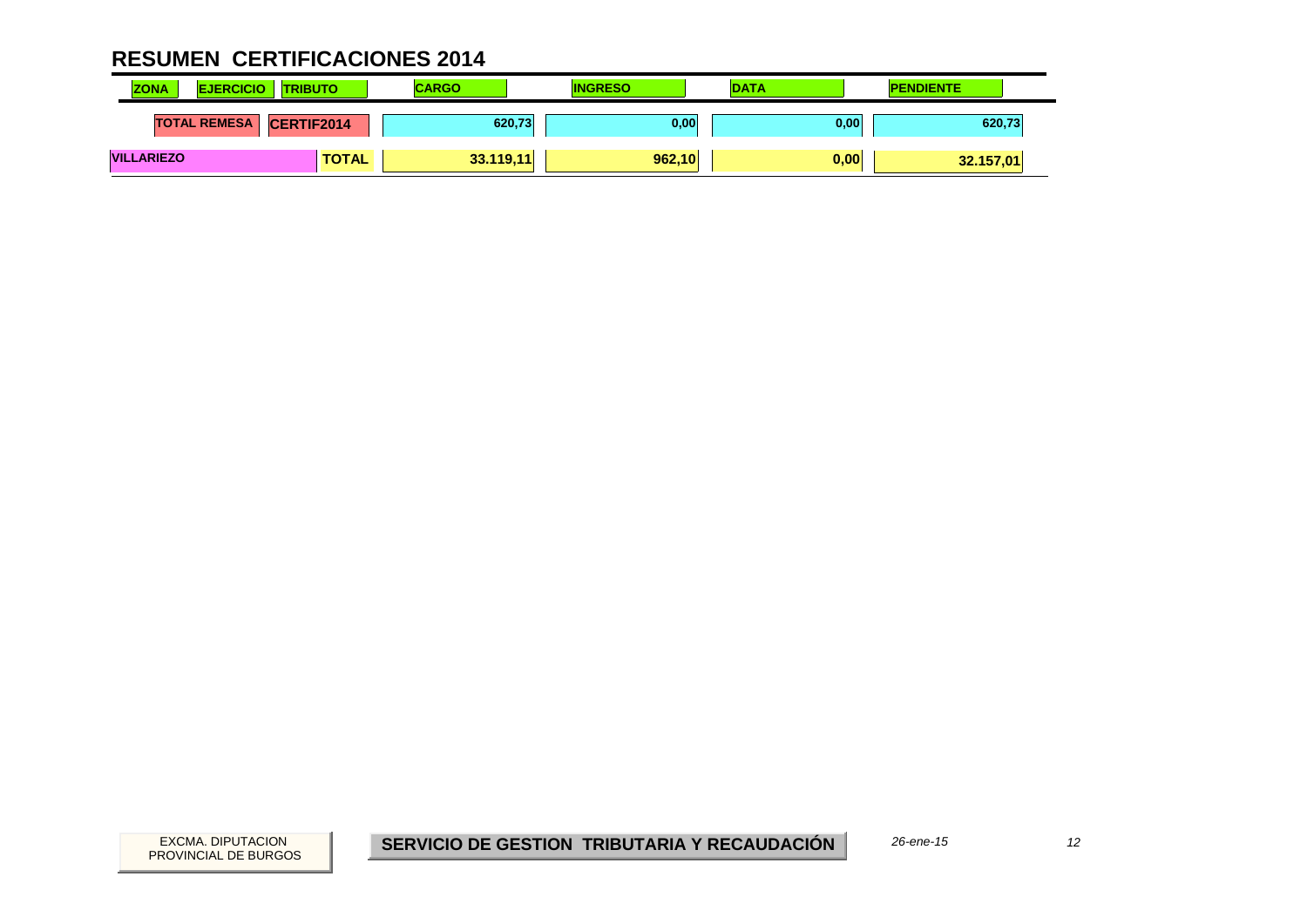| <b>ZONA</b><br><b>EJERCICIO</b> | <b>TRIBUTO</b>    | <b>CARGO</b> | <b>INGRESO</b> | <b>DATA</b> | <b>PENDIENTE</b> |
|---------------------------------|-------------------|--------------|----------------|-------------|------------------|
| <b>TOTAL REMESA</b>             | <b>CERTIF2014</b> | 620,73       | 0,00           | 0,00        | 620,73           |
| <b>VILLARIEZO</b>               | <b>TOTAL</b>      | 33.119,11    | 962,10         | 0,00        | 32.157,01        |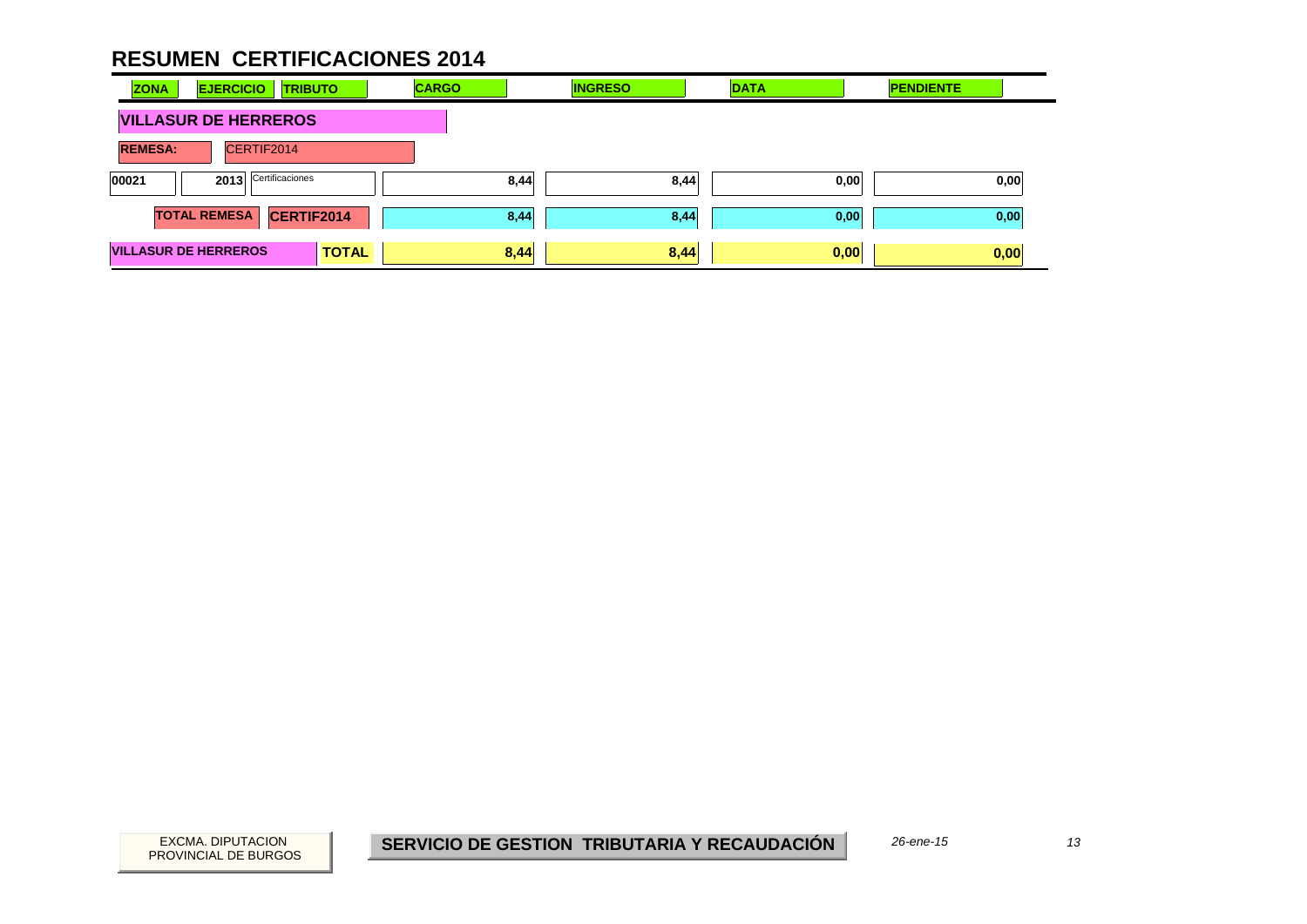| <b>ZONA</b>    | <b>EJERCICIO</b><br><b>TRIBUTO</b>          | <b>CARGO</b> | <b>INGRESO</b> | <b>DATA</b> | <b>PENDIENTE</b> |
|----------------|---------------------------------------------|--------------|----------------|-------------|------------------|
|                | <b>VILLASUR DE HERREROS</b>                 |              |                |             |                  |
| <b>REMESA:</b> | CERTIF2014                                  |              |                |             |                  |
| 00021          | Certificaciones<br>2013                     | 8,44         | 8,44           | 0,00        | 0,00             |
|                | <b>TOTAL REMESA</b><br>CERTIF2014           | 8,44         | 8,44           | 0,00        | 0,00             |
|                | <b>VILLASUR DE HERREROS</b><br><b>TOTAL</b> | 8,44         | 8,44           | 0,00        | 0,00             |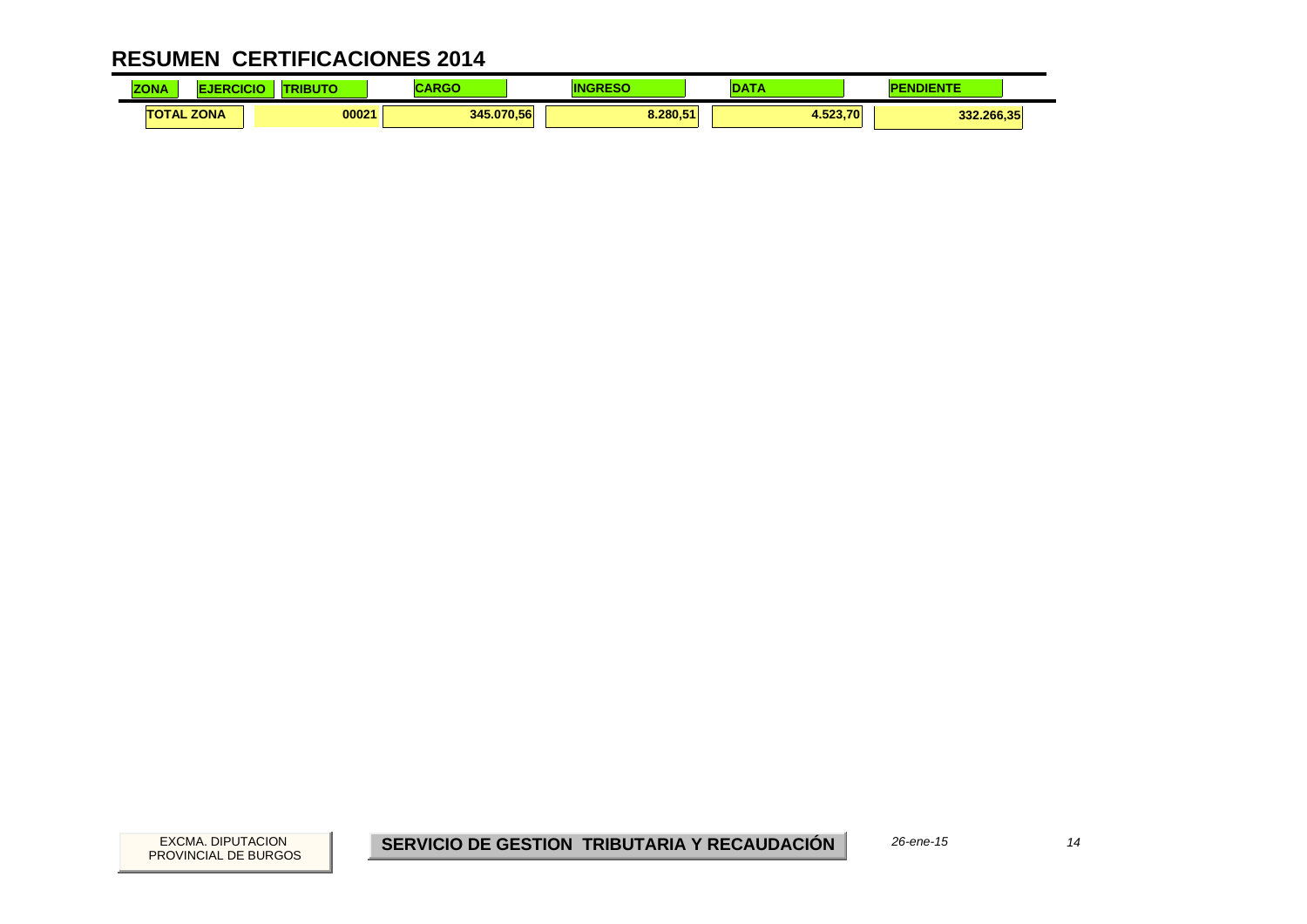| <b>ZONA</b> | 'ICI              | ----<br>50 | .<br>אט או | ΙN       |          | IENTE      |  |
|-------------|-------------------|------------|------------|----------|----------|------------|--|
|             | <b>TOTAL ZONA</b> | 00021      | 345.070.56 | 8.280.51 | 4.523.70 | 332.266,35 |  |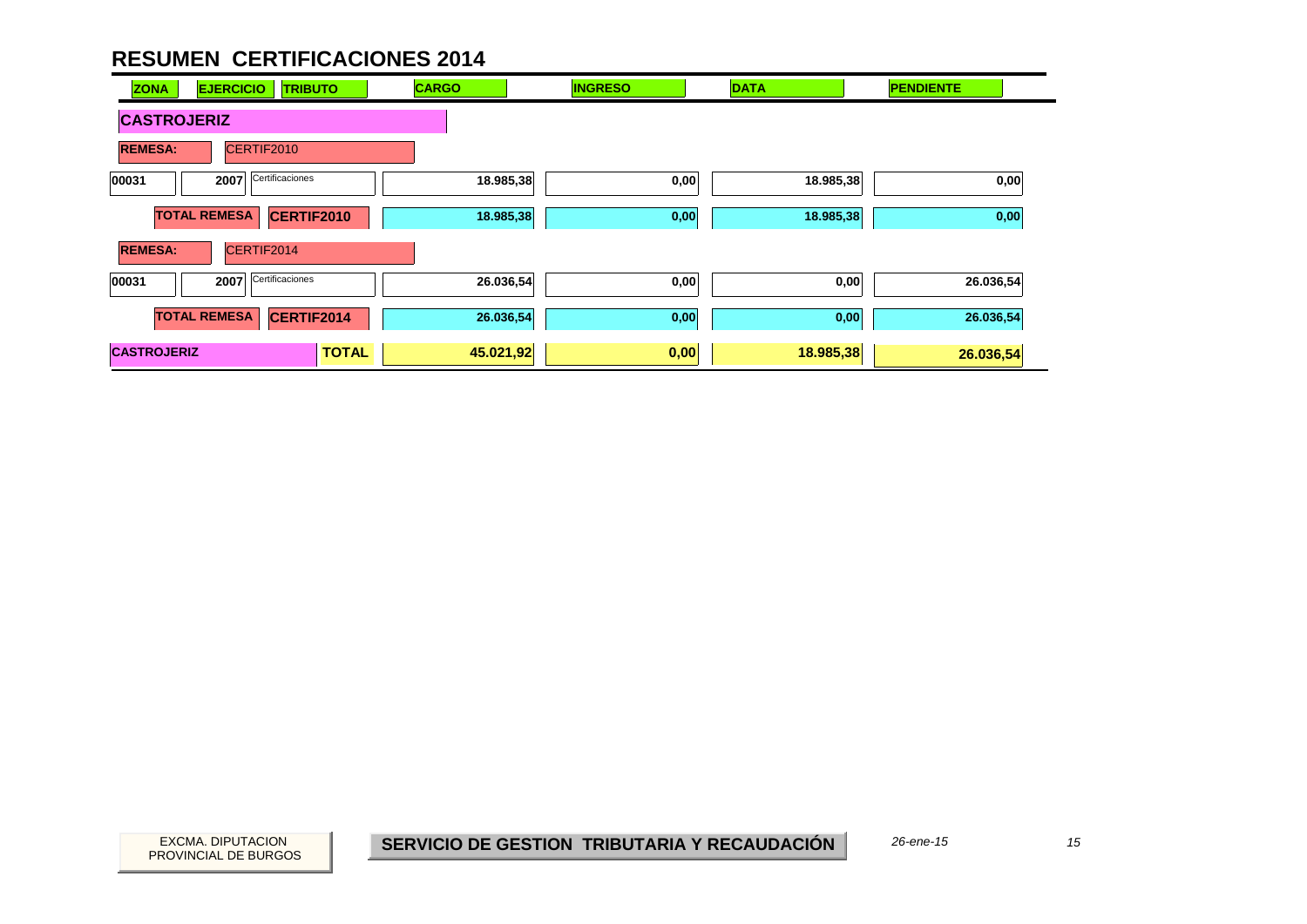| <b>ZONA</b>        | <b>EJERCICIO</b><br><b>TRIBUTO</b> | <b>CARGO</b> |           | <b>INGRESO</b> | <b>DATA</b> | <b>PENDIENTE</b> |
|--------------------|------------------------------------|--------------|-----------|----------------|-------------|------------------|
| <b>CASTROJERIZ</b> |                                    |              |           |                |             |                  |
| <b>REMESA:</b>     | CERTIF2010                         |              |           |                |             |                  |
| 00031              | Certificaciones<br>2007            |              | 18.985,38 | 0,00           | 18.985,38   | 0,00             |
|                    | <b>TOTAL REMESA</b><br>CERTIF2010  |              | 18.985,38 | 0,00           | 18.985,38   | 0,00             |
| <b>REMESA:</b>     | CERTIF2014                         |              |           |                |             |                  |
| 00031              | Certificaciones<br>2007            |              | 26.036,54 | 0,00           | 0,00        | 26.036,54        |
|                    | <b>TOTAL REMESA</b><br>CERTIF2014  |              | 26.036,54 | 0,00           | 0,00        | 26.036,54        |
| <b>CASTROJERIZ</b> |                                    | <b>TOTAL</b> | 45.021,92 | 0,00           | 18.985,38   | 26.036,54        |

PROVINCIAL DE BURGOS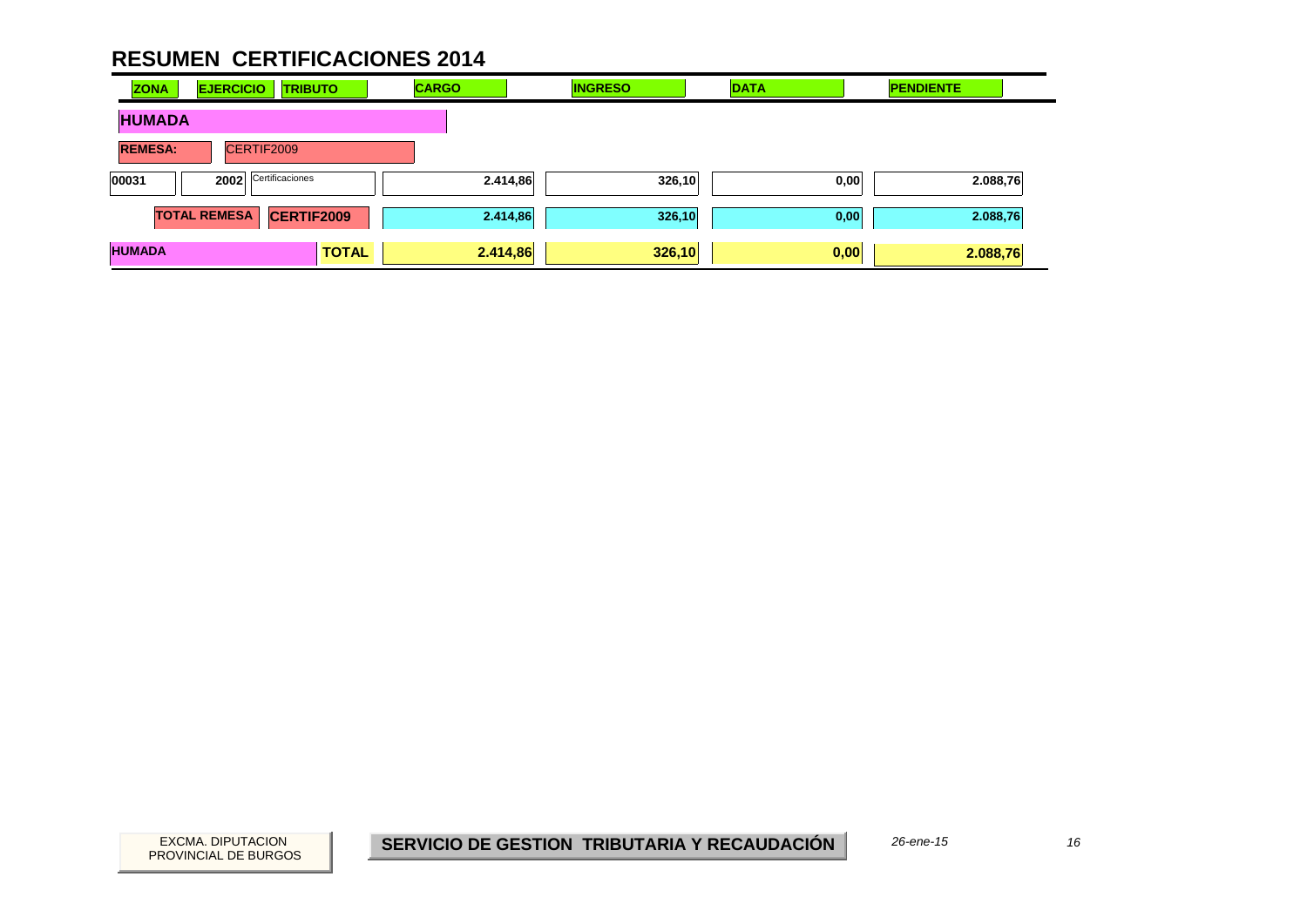| <b>ZONA</b>    | <b>EJERCICIO</b>    | <b>TRIBUTO</b>    |              | <b>CARGO</b> |          | <b>INGRESO</b> | <b>DATA</b> | <b>PENDIENTE</b> |  |
|----------------|---------------------|-------------------|--------------|--------------|----------|----------------|-------------|------------------|--|
| <b>HUMADA</b>  |                     |                   |              |              |          |                |             |                  |  |
| <b>REMESA:</b> |                     | CERTIF2009        |              |              |          |                |             |                  |  |
| 00031          | 2002                | Certificaciones   |              |              | 2.414,86 | 326,10         | 0,00        | 2.088,76         |  |
|                | <b>TOTAL REMESA</b> | <b>CERTIF2009</b> |              |              | 2.414,86 | 326,10         | 0,00        | 2.088,76         |  |
| <b>HUMADA</b>  |                     |                   | <b>TOTAL</b> | 2.414,86     |          | 326,10         | 0,00        | 2.088,76         |  |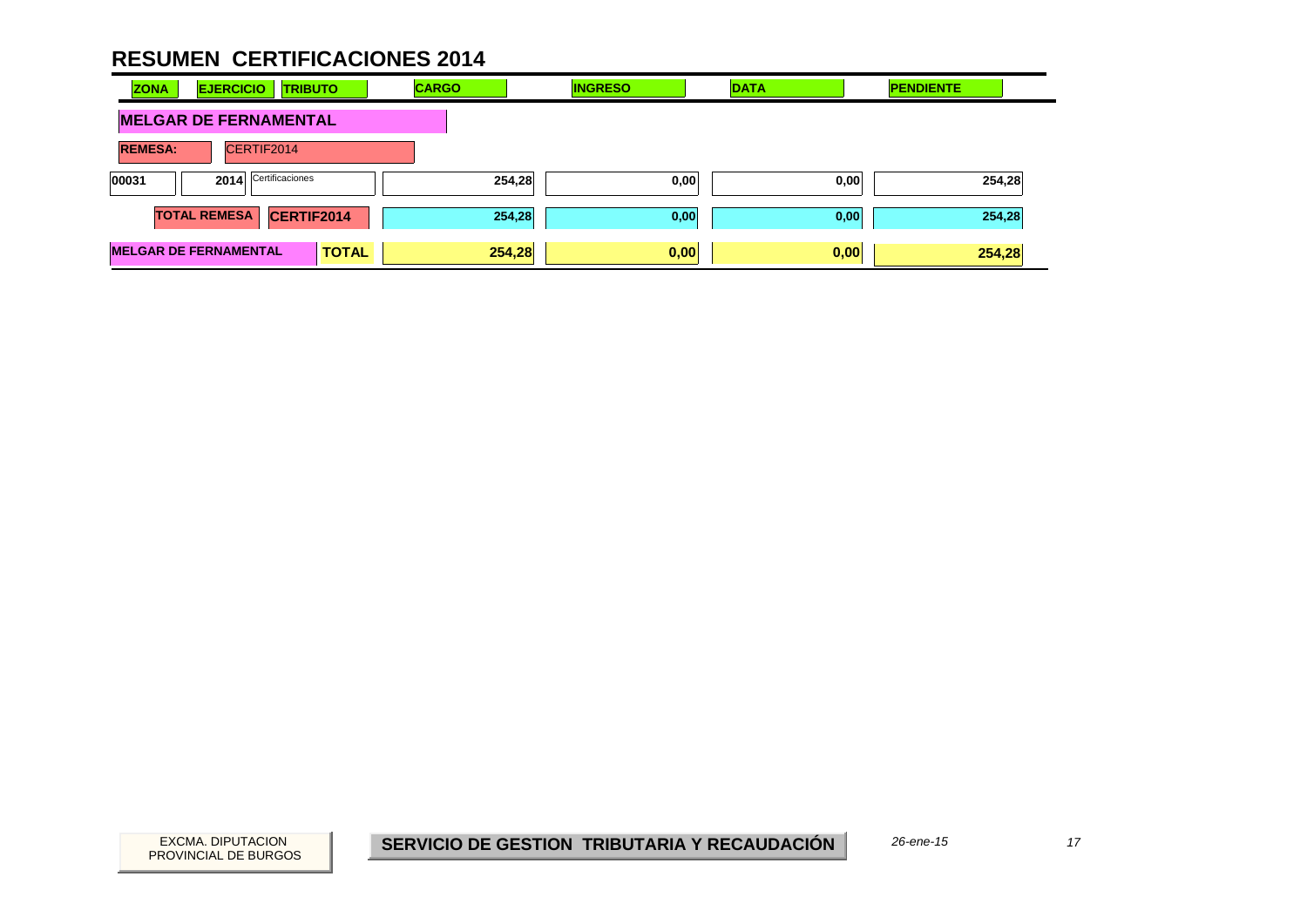| <b>ZONA</b><br><b>EJERCICIO</b><br><b>TRIBUTO</b> | <b>CARGO</b> | <b>INGRESO</b> | <b>DATA</b> | <b>PENDIENTE</b> |
|---------------------------------------------------|--------------|----------------|-------------|------------------|
| <b>MELGAR DE FERNAMENTAL</b>                      |              |                |             |                  |
| <b>REMESA:</b><br>CERTIF2014                      |              |                |             |                  |
| 2014 Certificaciones<br>00031                     | 254,28       | 0,00           | 0,00        | 254,28           |
| <b>TOTAL REMESA</b><br>CERTIF2014                 | 254,28       | 0,00           | 0,00        | 254,28           |
| <b>MELGAR DE FERNAMENTAL</b><br><b>TOTAL</b>      | 254,28       | 0,00           | 0,00        | 254,28           |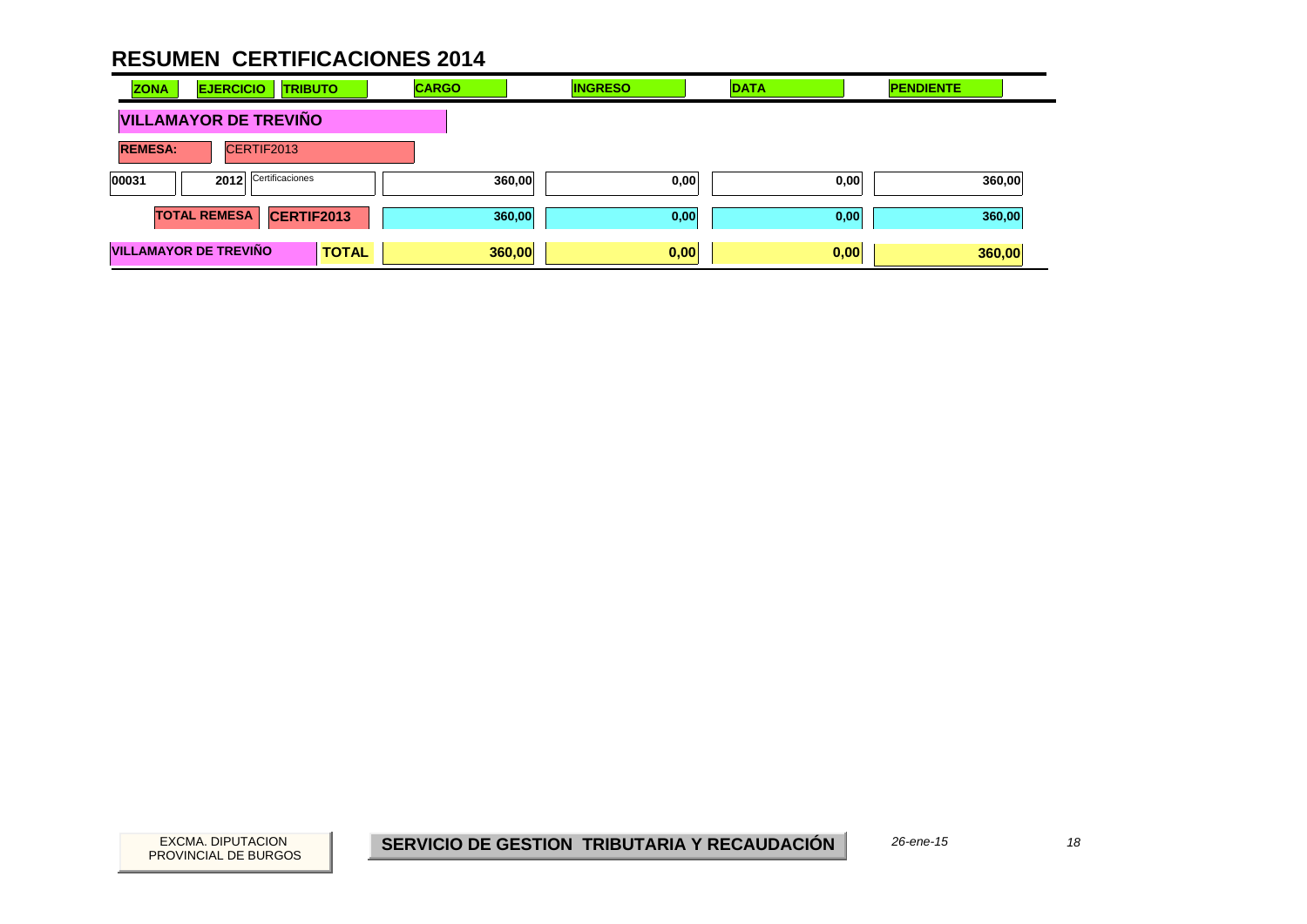| <b>ZONA</b>                  | <b>EJERCICIO</b><br><b>TRIBUTO</b> |              | <b>CARGO</b> | <b>INGRESO</b> | <b>DATA</b> | <b>PENDIENTE</b> |        |
|------------------------------|------------------------------------|--------------|--------------|----------------|-------------|------------------|--------|
| <b>VILLAMAYOR DE TREVIÑO</b> |                                    |              |              |                |             |                  |        |
| <b>REMESA:</b>               | CERTIF2013                         |              |              |                |             |                  |        |
| 00031                        | Certificaciones<br>2012            |              | 360,00       | 0,00           |             | 0,00             | 360,00 |
|                              | <b>TOTAL REMESA</b><br>CERTIF2013  |              |              | 360,00<br>0,00 |             | 0,00             | 360,00 |
|                              | <b>VILLAMAYOR DE TREVIÑO</b>       | <b>TOTAL</b> | 360,00       | 0,00           | 0,00        | 360,00           |        |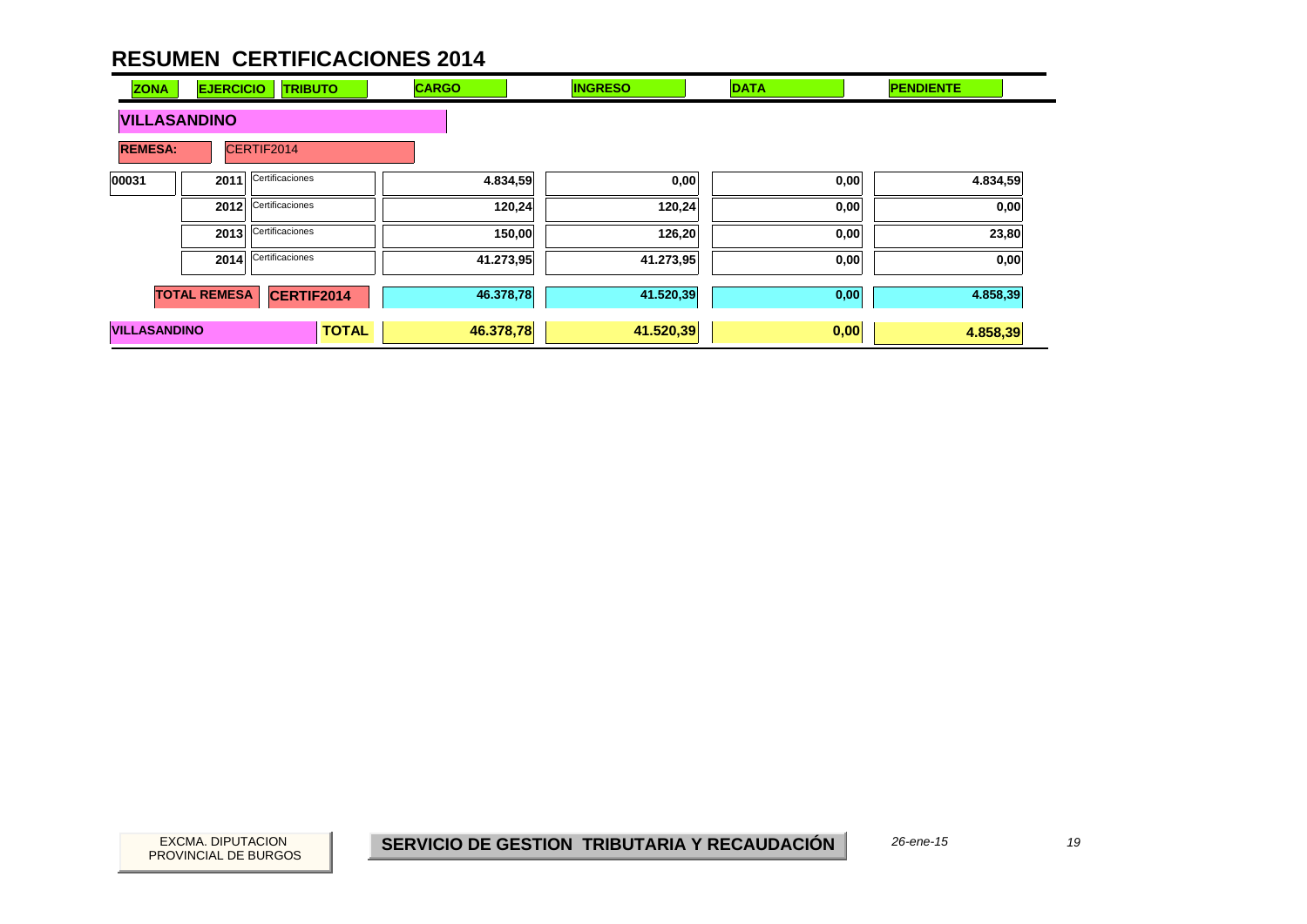| <b>ZONA</b>                  | <b>EJERCICIO</b>    | <b>TRIBUTO</b>       | <b>CARGO</b> | <b>INGRESO</b> | <b>DATA</b> | <b>PENDIENTE</b> |
|------------------------------|---------------------|----------------------|--------------|----------------|-------------|------------------|
| <b>VILLASANDINO</b>          |                     |                      |              |                |             |                  |
| <b>REMESA:</b><br>CERTIF2014 |                     |                      |              |                |             |                  |
| 00031                        | 2011                | Certificaciones      | 4.834,59     | 0,00           | 0,00        | 4.834,59         |
|                              | 2012                | Certificaciones      | 120,24       | 120,24         | 0,00        | 0,00             |
|                              | 2013                | Certificaciones      | 150,00       | 126,20         | 0,00        | 23,80            |
|                              |                     | 2014 Certificaciones | 41.273,95    | 41.273,95      | 0,00        | 0,00             |
|                              | <b>TOTAL REMESA</b> | CERTIF2014           | 46.378,78    | 41.520,39      | 0,00        | 4.858,39         |
| <b>VILLASANDINO</b>          |                     | <b>TOTAL</b>         | 46.378,78    | 41.520,39      | 0,00        | 4.858,39         |

19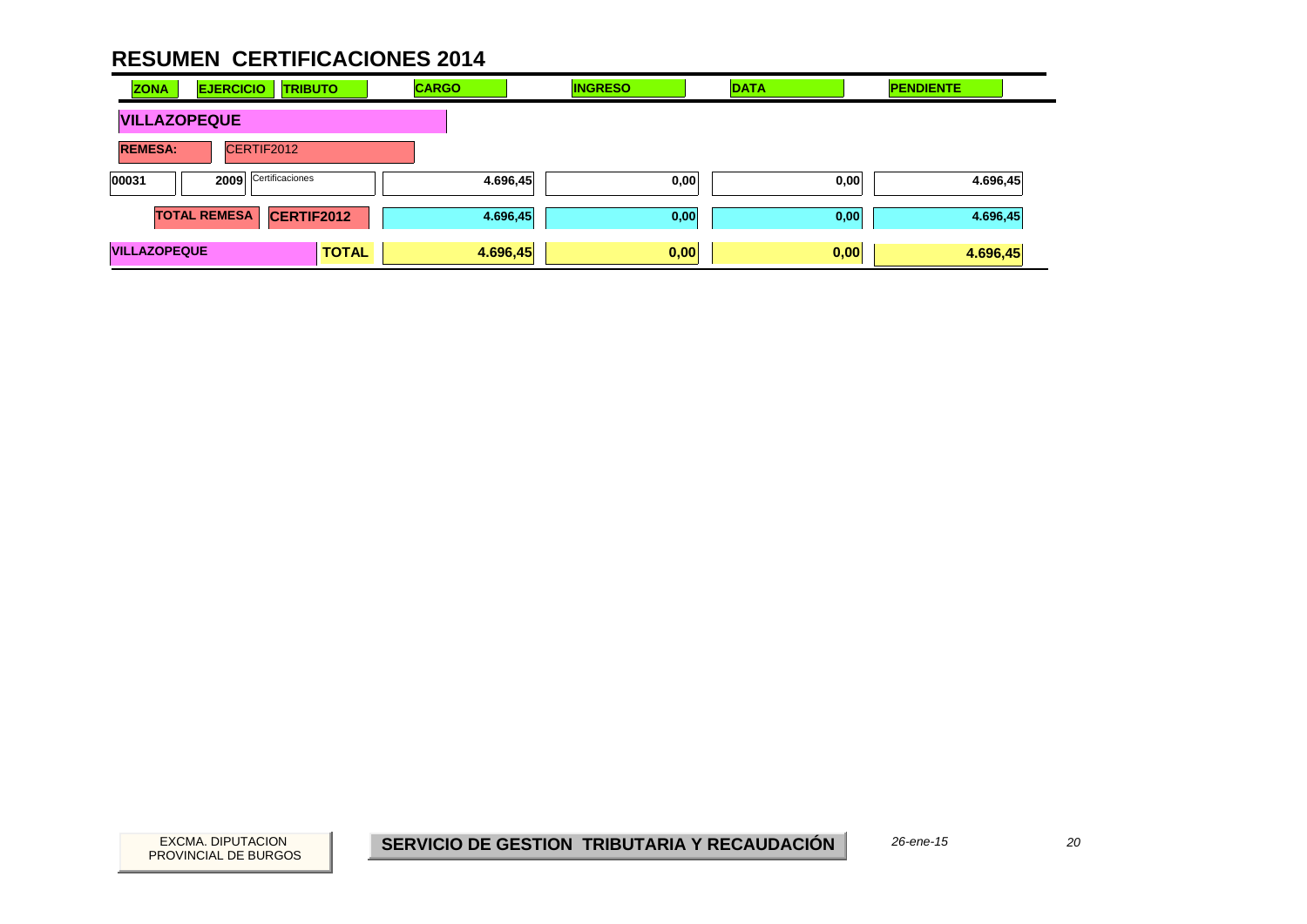| <b>ZONA</b>         | <b>EJERCICIO</b><br><b>TRIBUTO</b> | <b>CARGO</b> | <b>INGRESO</b> | <b>DATA</b> | <b>PENDIENTE</b> |
|---------------------|------------------------------------|--------------|----------------|-------------|------------------|
| <b>VILLAZOPEQUE</b> |                                    |              |                |             |                  |
| <b>REMESA:</b>      | CERTIF2012                         |              |                |             |                  |
| 00031               | Certificaciones<br>2009            | 4.696,45     | 0,00           | 0,00        | 4.696,45         |
|                     | <b>TOTAL REMESA</b><br>CERTIF2012  | 4.696,45     | 0,00           | 0,00        | 4.696,45         |
| <b>VILLAZOPEQUE</b> | <b>TOTAL</b>                       | 4.696,45     | 0,00           | 0,00        | 4.696,45         |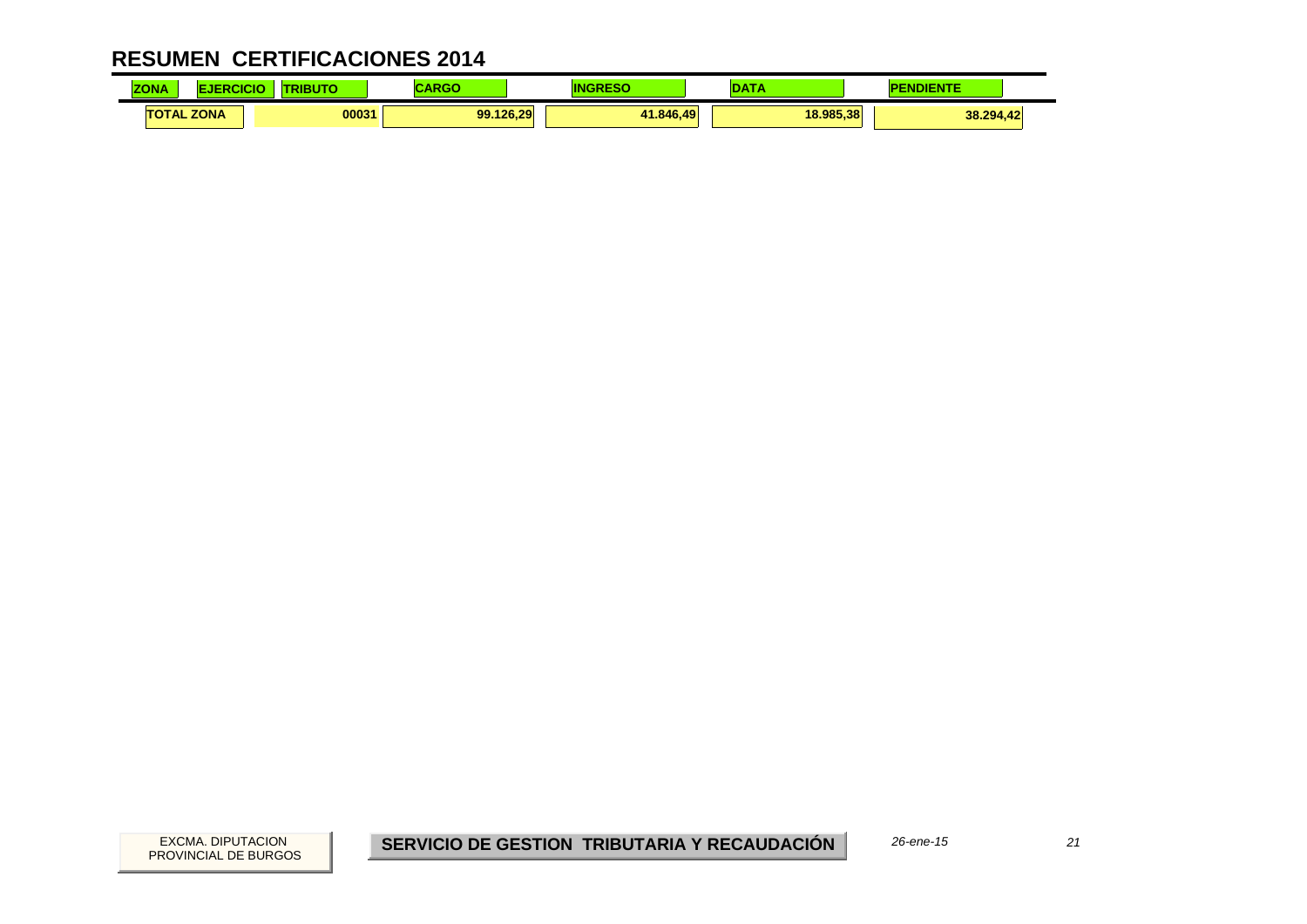| <b>ZONA</b> |                   | ----  | .<br>אט או |           | <b>ALCOHOL:</b> | <b><i><u>Property</u></i></b><br>F |
|-------------|-------------------|-------|------------|-----------|-----------------|------------------------------------|
|             | <b>TOTAL ZONA</b> | 00031 | 99.126,29  | 41.846.49 | 18.985.38       | 38.294,42                          |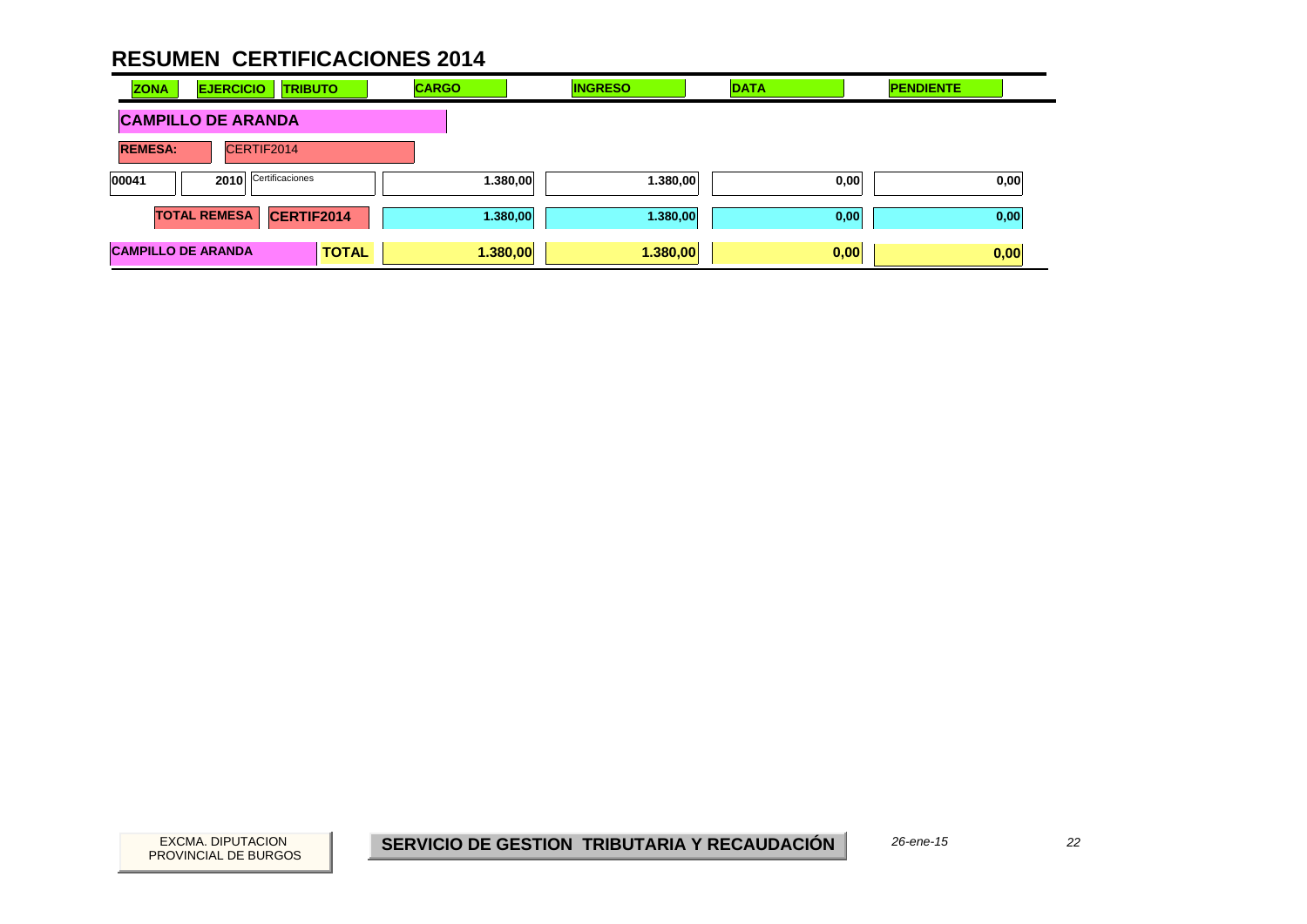| <b>ZONA</b>               | <b>EJERCICIO</b>        | <b>TRIBUTO</b> |              | <b>CARGO</b> |          | <b>INGRESO</b> | <b>DATA</b> |      | <b>PENDIENTE</b> |      |
|---------------------------|-------------------------|----------------|--------------|--------------|----------|----------------|-------------|------|------------------|------|
| <b>CAMPILLO DE ARANDA</b> |                         |                |              |              |          |                |             |      |                  |      |
| <b>REMESA:</b>            | CERTIF2014              |                |              |              |          |                |             |      |                  |      |
| 00041                     | Certificaciones<br>2010 |                |              | 1.380,00     | 1.380,00 |                | 0,00        |      | 0,00             |      |
|                           | <b>TOTAL REMESA</b>     | CERTIF2014     |              |              | 1.380,00 | 1.380,00       |             | 0,00 |                  | 0,00 |
| <b>CAMPILLO DE ARANDA</b> |                         |                | <b>TOTAL</b> |              | 1.380,00 | 1.380,00       |             | 0,00 |                  | 0,00 |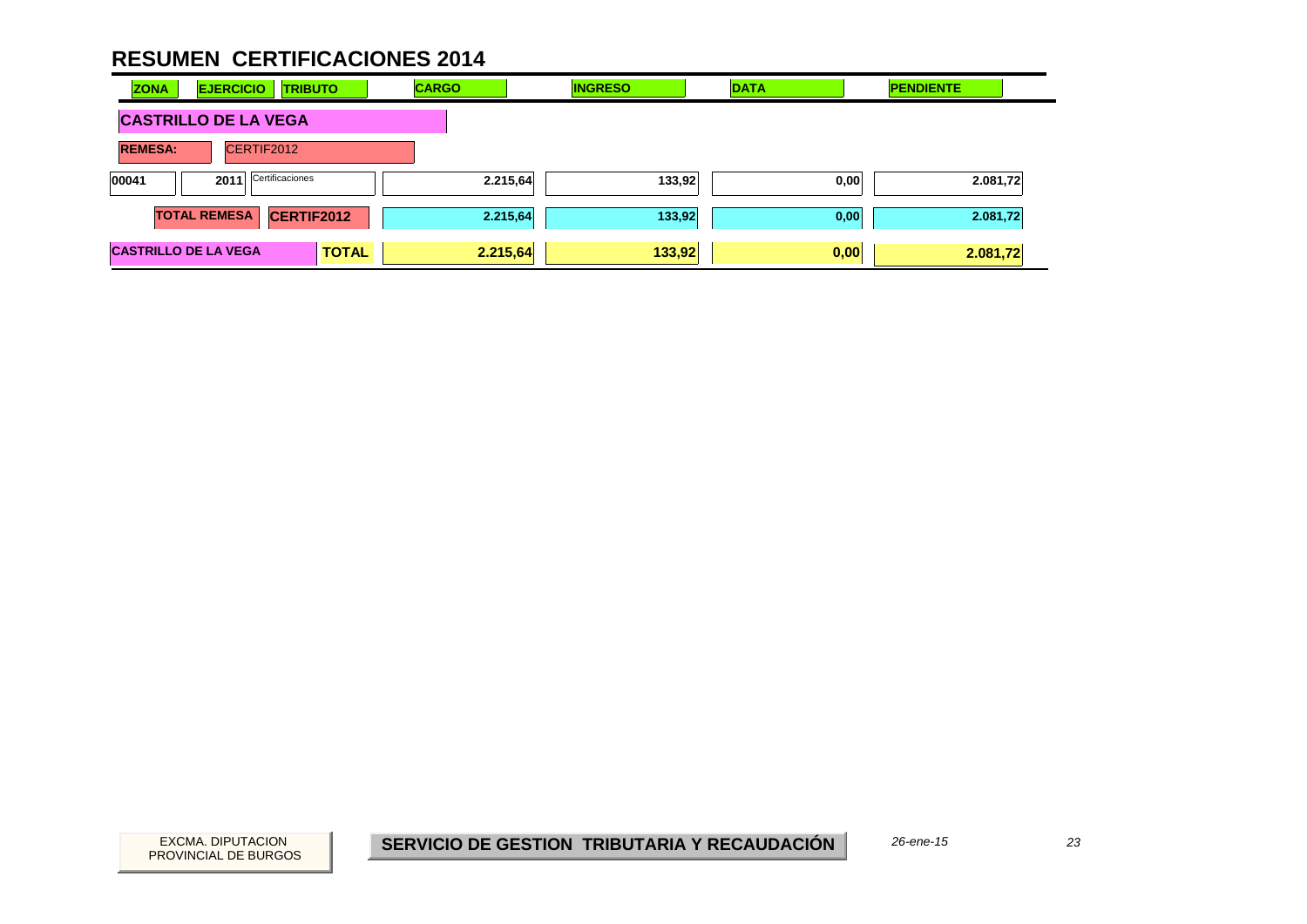| <b>ZONA</b>                 | <b>EJERCICIO</b>                         | <b>TRIBUTO</b> | <b>CARGO</b> | <b>INGRESO</b> | <b>DATA</b> | <b>PENDIENTE</b> |  |
|-----------------------------|------------------------------------------|----------------|--------------|----------------|-------------|------------------|--|
| <b>CASTRILLO DE LA VEGA</b> |                                          |                |              |                |             |                  |  |
| <b>REMESA:</b>              | CERTIF2012                               |                |              |                |             |                  |  |
| 00041                       | Certificaciones<br>2011                  |                | 2.215,64     | 133,92         | 0,00        | 2.081,72         |  |
|                             | <b>TOTAL REMESA</b><br><b>CERTIF2012</b> |                | 2.215,64     | 133,92         | 0,00        | 2.081,72         |  |
| <b>CASTRILLO DE LA VEGA</b> |                                          | <b>TOTAL</b>   | 2.215,64     | 133,92         | 0,00        | 2.081,72         |  |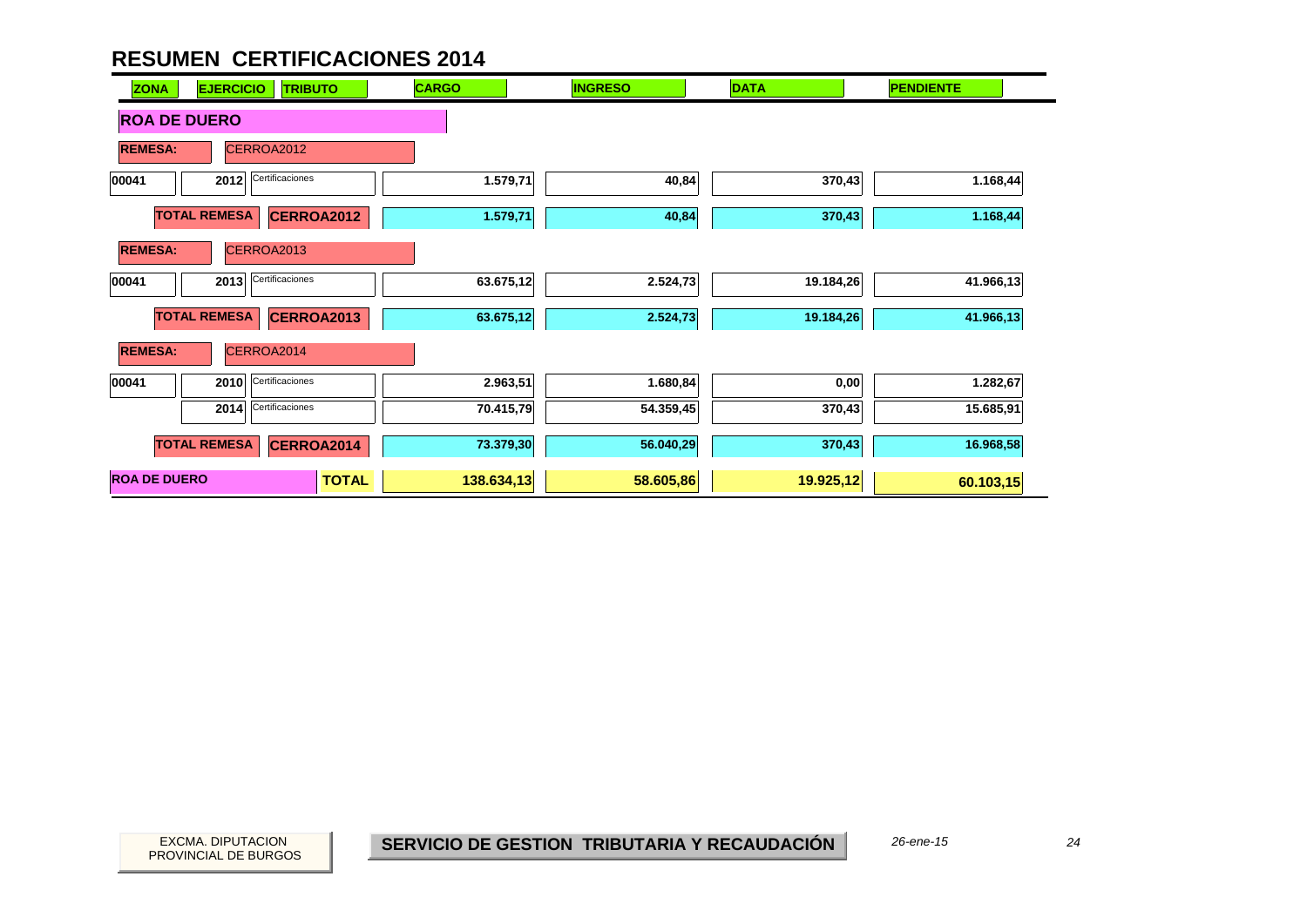| <b>EJERCICIO</b><br><b>ZONA</b><br><b>TRIBUTO</b> | <b>CARGO</b> | <b>INGRESO</b> | <b>DATA</b> | <b>PENDIENTE</b> |
|---------------------------------------------------|--------------|----------------|-------------|------------------|
| <b>ROA DE DUERO</b>                               |              |                |             |                  |
| CERROA2012<br><b>REMESA:</b>                      |              |                |             |                  |
| Certificaciones<br>00041<br>2012                  | 1.579,71     | 40,84          | 370,43      | 1.168,44         |
| <b>TOTAL REMESA</b><br><b>CERROA2012</b>          | 1.579,71     | 40,84          | 370,43      | 1.168,44         |
| CERROA2013<br><b>REMESA:</b>                      |              |                |             |                  |
| Certificaciones<br>00041<br>2013                  | 63.675,12    | 2.524,73       | 19.184,26   | 41.966,13        |
| <b>TOTAL REMESA</b><br><b>CERROA2013</b>          | 63.675,12    | 2.524,73       | 19.184,26   | 41.966,13        |
| <b>REMESA:</b><br>CERROA2014                      |              |                |             |                  |
| Certificaciones<br>00041<br>2010                  | 2.963,51     | 1.680,84       | 0,00        | 1.282,67         |
| Certificaciones<br>2014                           | 70.415,79    | 54.359,45      | 370,43      | 15.685,91        |
| <b>TOTAL REMESA</b><br>CERROA2014                 | 73.379,30    | 56.040,29      | 370,43      | 16.968,58        |
| <b>ROA DE DUERO</b><br><b>TOTAL</b>               | 138.634,13   | 58.605,86      | 19.925,12   | 60.103,15        |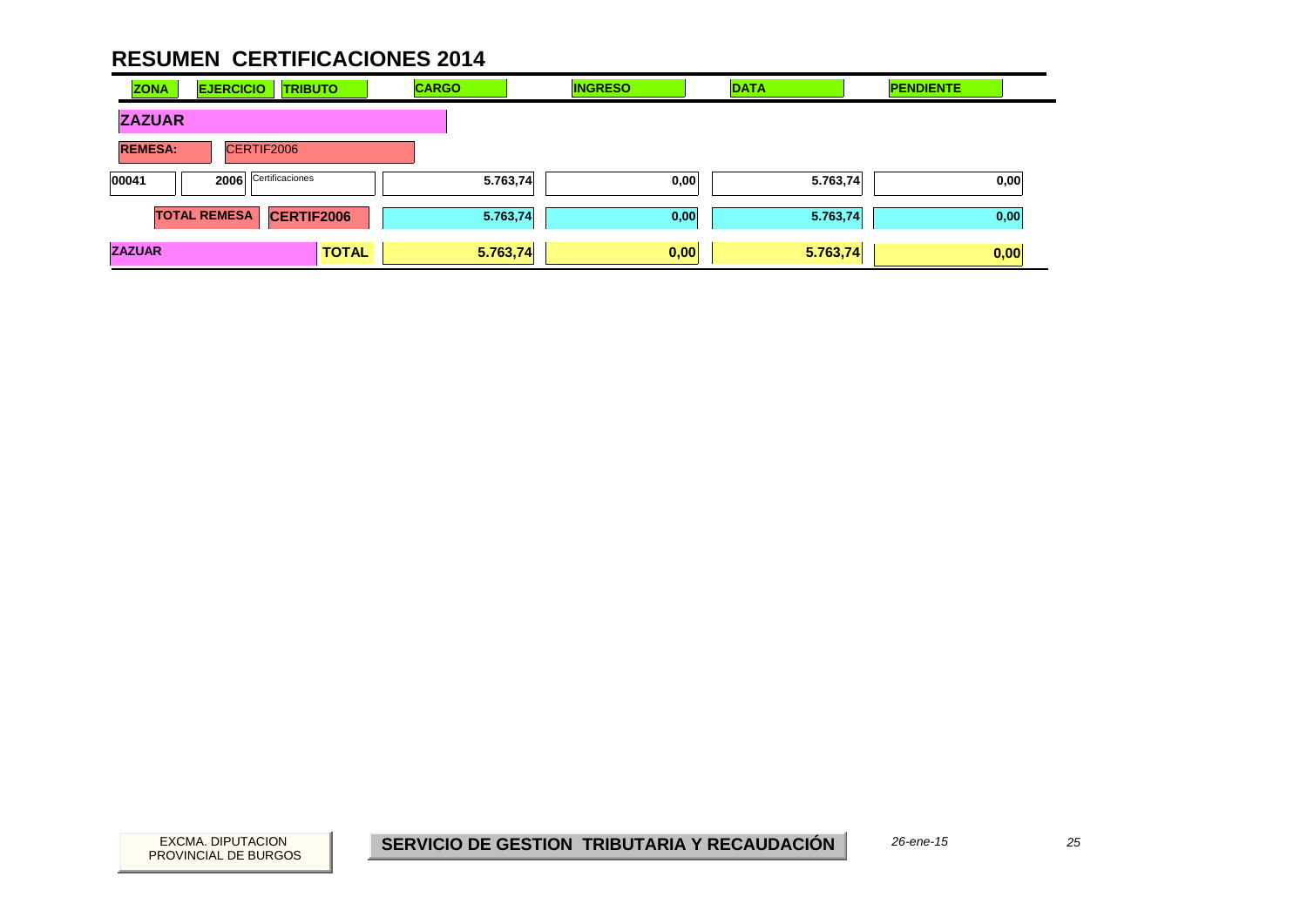| <b>ZONA</b>    | <b>EJERCICIO</b>    | <b>TRIBUTO</b>    | <b>CARGO</b> | <b>INGRESO</b> | <b>DATA</b> | <b>PENDIENTE</b> |
|----------------|---------------------|-------------------|--------------|----------------|-------------|------------------|
| <b>ZAZUAR</b>  |                     |                   |              |                |             |                  |
| <b>REMESA:</b> | CERTIF2006          |                   |              |                |             |                  |
| 00041          | 2006                | Certificaciones   | 5.763,74     | 0,00           | 5.763,74    | 0,00             |
|                | <b>TOTAL REMESA</b> | <b>CERTIF2006</b> | 5.763,74     | 0,00           | 5.763,74    | 0,00             |
| <b>ZAZUAR</b>  |                     | <b>TOTAL</b>      | 5.763,74     | 0,00           | 5.763,74    | 0,00             |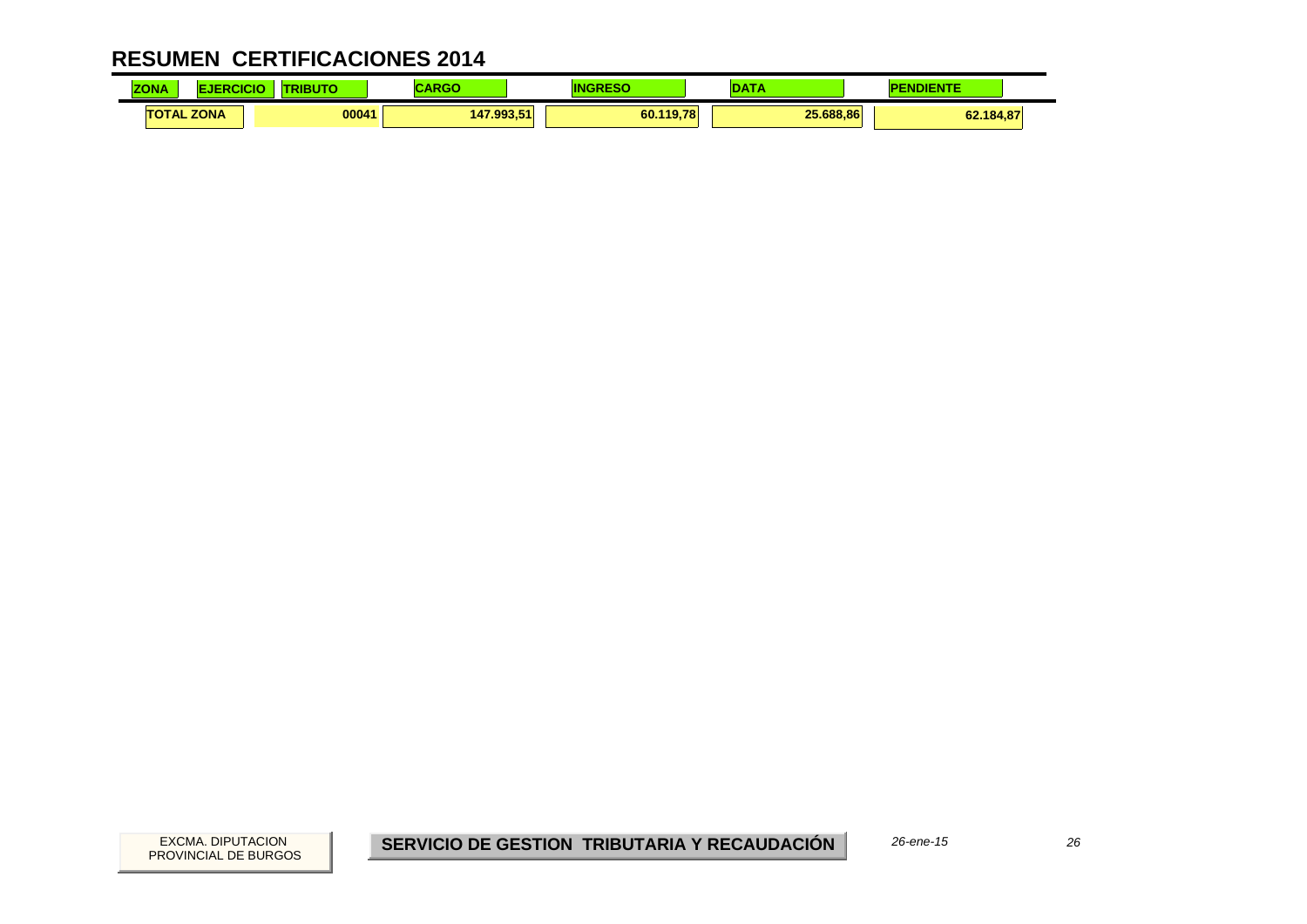| <b>COLA</b><br><b>ZONA</b> | CICK | .     |            |           | <b>CONTRACTOR</b> | <b><i><u>Property</u></i></b> |
|----------------------------|------|-------|------------|-----------|-------------------|-------------------------------|
| <b>TOTAL ZONA</b>          |      | 00041 | 147.993.51 | 60.119,78 | 25.688.86         | 62.184,87                     |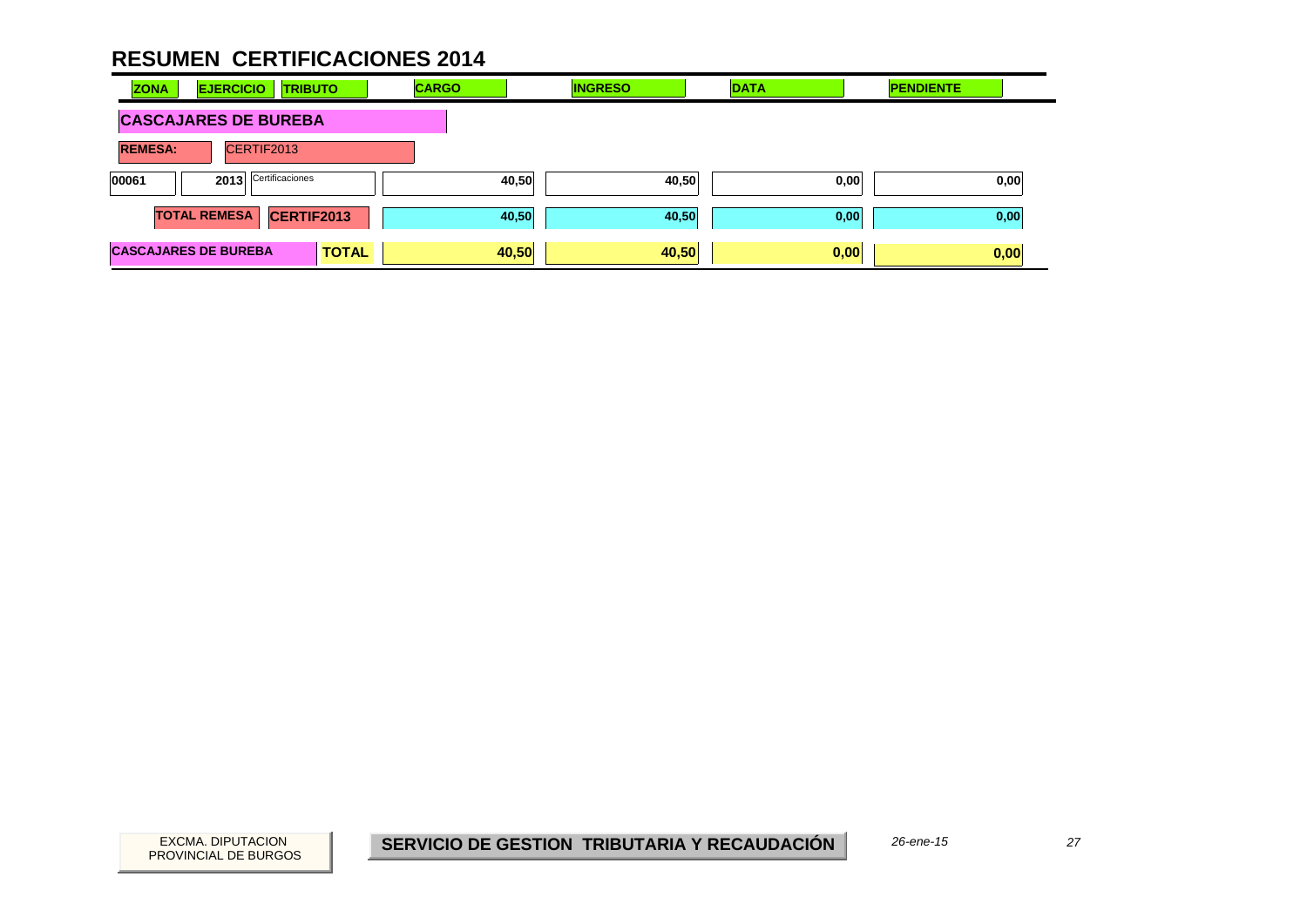| <b>ZONA</b><br><b>EJERCICIO</b><br><b>TRIBUTO</b> | <b>CARGO</b> | <b>INGRESO</b> | <b>DATA</b> | <b>PENDIENTE</b> |
|---------------------------------------------------|--------------|----------------|-------------|------------------|
| <b>CASCAJARES DE BUREBA</b>                       |              |                |             |                  |
| <b>REMESA:</b><br>CERTIF2013                      |              |                |             |                  |
| 2013 Certificaciones<br>00061                     | 40,50        | 40,50          | 0,00        | 0,00             |
| <b>TOTAL REMESA</b><br>CERTIF2013                 | 40,50        | 40,50          | 0,00        | 0,00             |
| <b>CASCAJARES DE BUREBA</b><br><b>TOTAL</b>       | 40,50        | 40,50          | 0,00        | 0,00             |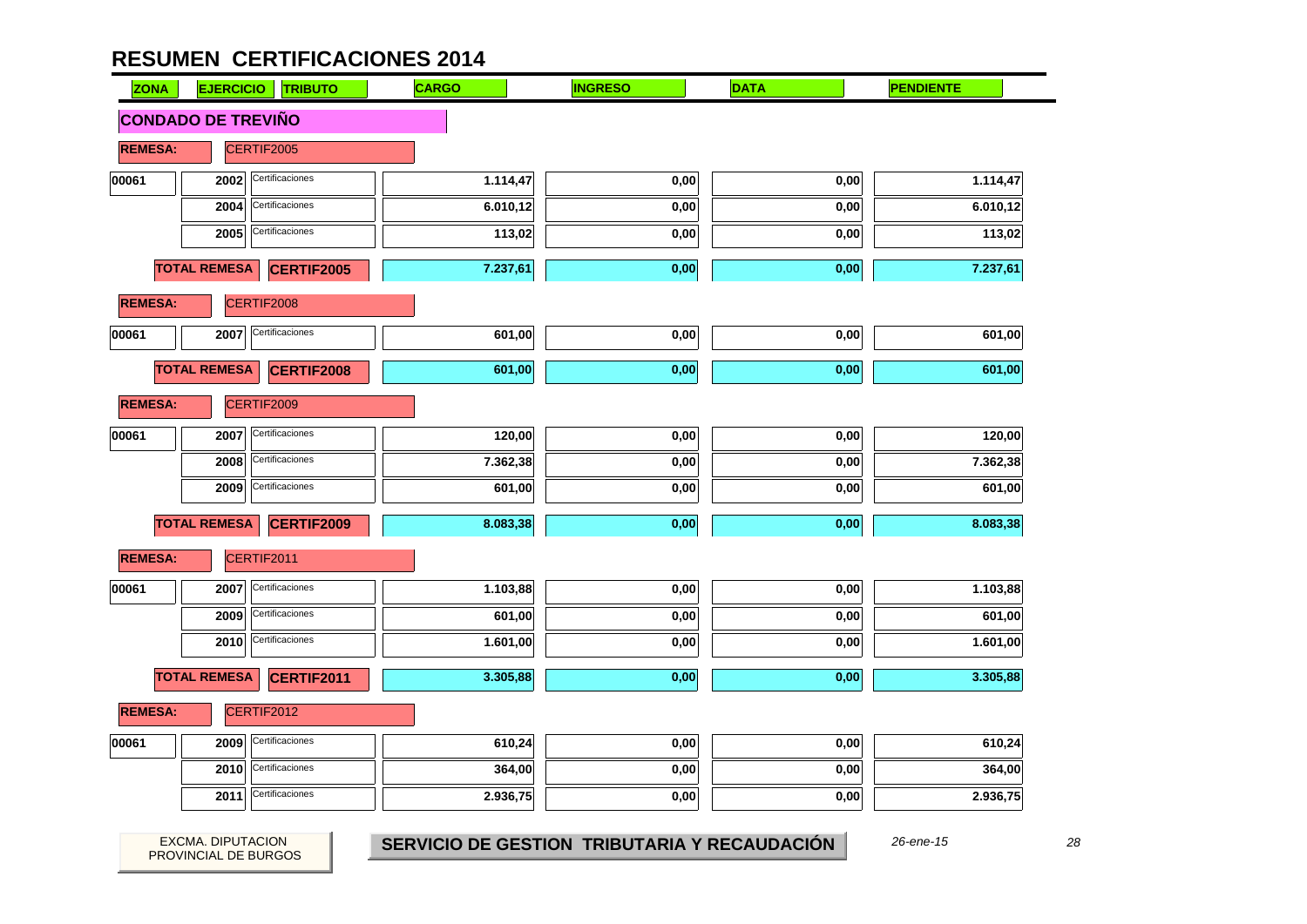| <b>ZONA</b>    | <b>EJERCICIO</b>          | <b>TRIBUTO</b>    | <b>CARGO</b> | <b>INGRESO</b> | <b>DATA</b> | <b>PENDIENTE</b> |
|----------------|---------------------------|-------------------|--------------|----------------|-------------|------------------|
|                | <b>CONDADO DE TREVIÑO</b> |                   |              |                |             |                  |
| <b>REMESA:</b> |                           | CERTIF2005        |              |                |             |                  |
| 00061          | 2002                      | Certificaciones   | 1.114,47     | 0,00           | 0,00        | 1.114,47         |
|                | 2004                      | Certificaciones   | 6.010,12     | 0,00           | 0,00        | 6.010,12         |
|                | 2005                      | Certificaciones   | 113,02       | 0,00           | 0,00        | 113,02           |
|                | <b>TOTAL REMESA</b>       | <b>CERTIF2005</b> | 7.237,61     | 0,00           | 0,00        | 7.237,61         |
| <b>REMESA:</b> |                           | CERTIF2008        |              |                |             |                  |
| 00061          | 2007                      | Certificaciones   | 601,00       | 0,00           | 0,00        | 601,00           |
|                | <b>TOTAL REMESA</b>       | <b>CERTIF2008</b> | 601,00       | 0,00           | 0,00        | 601,00           |
| <b>REMESA:</b> |                           | CERTIF2009        |              |                |             |                  |
| 00061          | 2007                      | Certificaciones   | 120,00       | 0,00           | 0,00        | 120,00           |
|                | 2008                      | Certificaciones   | 7.362,38     | 0,00           | 0,00        | 7.362,38         |
|                | 2009                      | Certificaciones   | 601,00       | 0,00           | 0,00        | 601,00           |
|                | <b>TOTAL REMESA</b>       | <b>CERTIF2009</b> | 8.083,38     | 0,00           | 0,00        | 8.083,38         |
| <b>REMESA:</b> |                           | CERTIF2011        |              |                |             |                  |
| 00061          | 2007                      | Certificaciones   | 1.103,88     | 0,00           | 0,00        | 1.103,88         |
|                | 2009                      | Certificaciones   | 601,00       | 0,00           | 0,00        | 601,00           |
|                | 2010                      | Certificaciones   | 1.601,00     | 0,00           | 0,00        | 1.601,00         |
|                | <b>TOTAL REMESA</b>       | CERTIF2011        | 3.305,88     | 0,00           | 0,00        | 3.305,88         |
| <b>REMESA:</b> |                           | CERTIF2012        |              |                |             |                  |
| 00061          | 2009                      | Certificaciones   | 610,24       | 0,00           | 0,00        | 610,24           |
|                | 2010                      | Certificaciones   | 364,00       | 0,00           | 0,00        | 364,00           |
|                | 2011                      | Certificaciones   | 2.936,75     | 0,00           | 0,00        | 2.936,75         |

28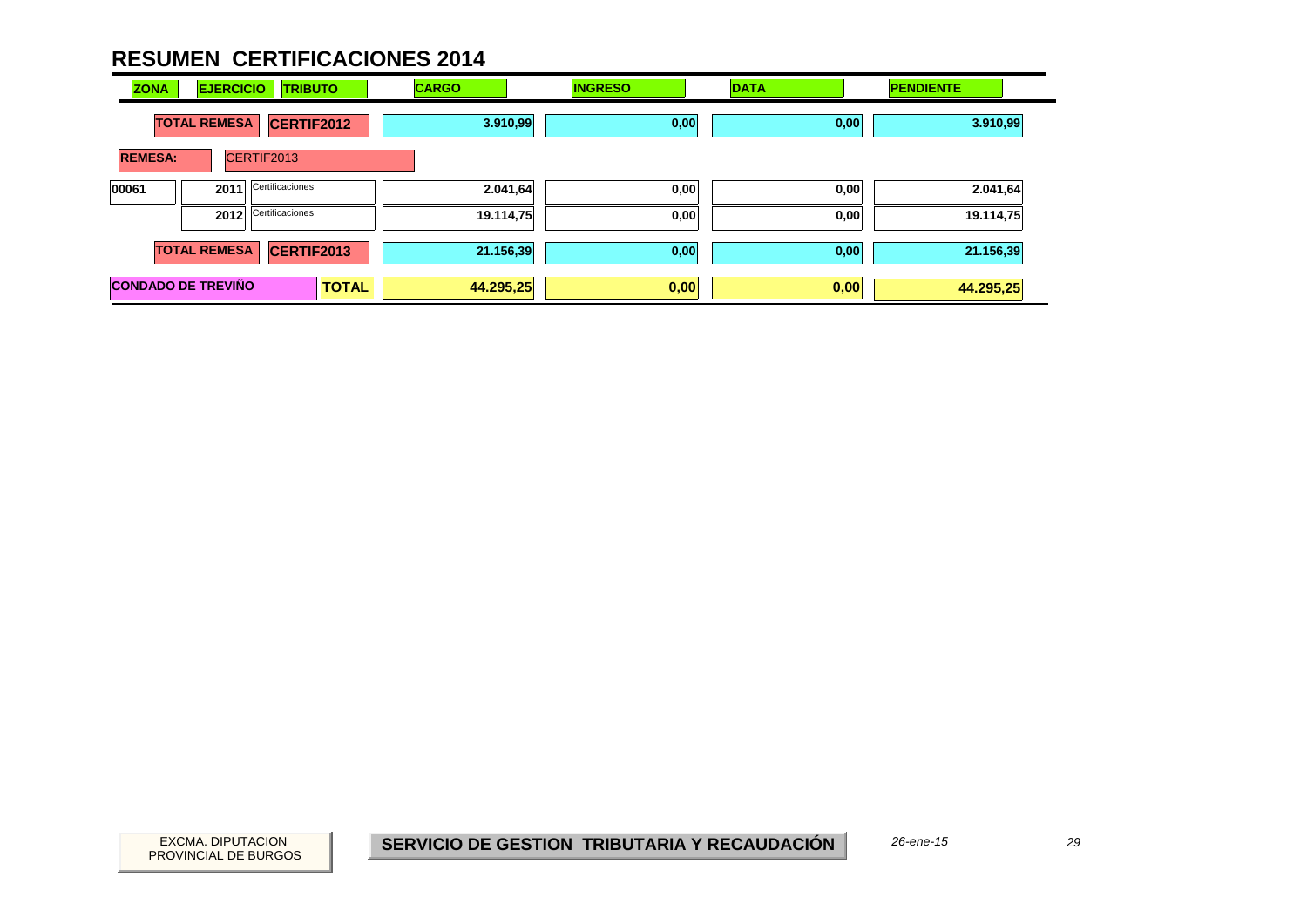| <b>ZONA</b>               | <b>EJERCICIO</b>    | <b>TRIBUTO</b>  |              | <b>CARGO</b> | <b>INGRESO</b> | <b>DATA</b> | <b>PENDIENTE</b> |  |
|---------------------------|---------------------|-----------------|--------------|--------------|----------------|-------------|------------------|--|
|                           | <b>TOTAL REMESA</b> | CERTIF2012      |              | 3.910,99     | 0,00           | 0,00        | 3.910,99         |  |
| <b>REMESA:</b>            |                     | CERTIF2013      |              |              |                |             |                  |  |
| 00061                     | 2011                | Certificaciones |              | 2.041,64     | 0,00           | 0,00        | 2.041,64         |  |
|                           | 2012                | Certificaciones |              | 19.114,75    | 0,00           | 0,00        | 19.114,75        |  |
|                           | <b>TOTAL REMESA</b> | CERTIF2013      |              | 21.156,39    | 0,00           | 0,00        | 21.156,39        |  |
| <b>CONDADO DE TREVIÑO</b> |                     |                 | <b>TOTAL</b> | 44.295,25    | 0,00           | 0,00        | 44.295,25        |  |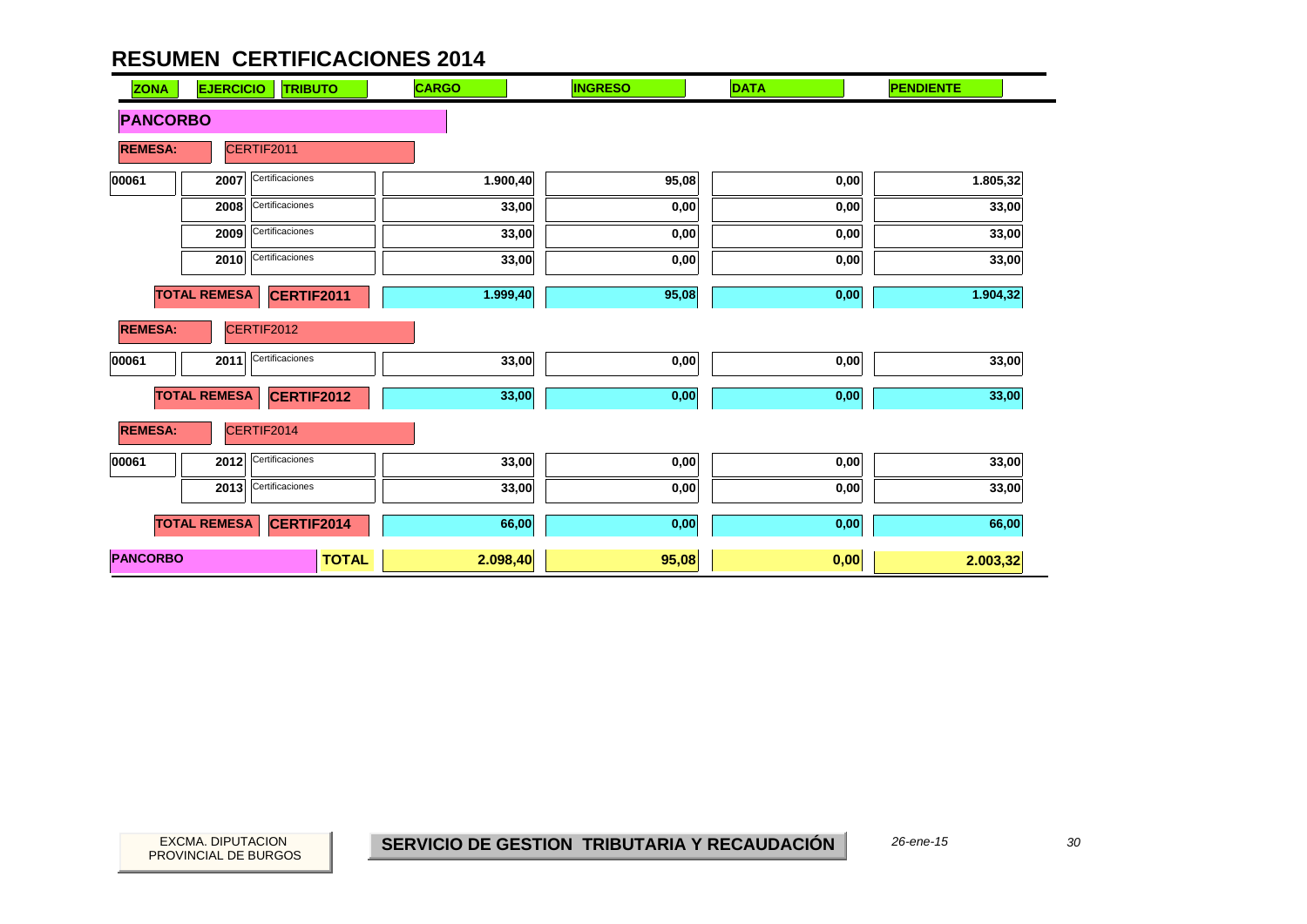| <b>ZONA</b>     | <b>EJERCICIO</b><br><b>TRIBUTO</b> | <b>CARGO</b> | <b>INGRESO</b> | <b>DATA</b> | <b>PENDIENTE</b> |
|-----------------|------------------------------------|--------------|----------------|-------------|------------------|
| <b>PANCORBO</b> |                                    |              |                |             |                  |
| <b>REMESA:</b>  | CERTIF2011                         |              |                |             |                  |
| 00061           | Certificaciones<br>2007            | 1.900,40     | 95,08          | 0,00        | 1.805,32         |
|                 | Certificaciones<br>2008            | 33,00        | 0,00           | 0,00        | 33,00            |
|                 | Certificaciones<br>2009            | 33,00        | 0,00           | 0,00        | 33,00            |
|                 | Certificaciones<br>2010            | 33,00        | 0,00           | 0,00        | 33,00            |
|                 | <b>TOTAL REMESA</b><br>CERTIF2011  | 1.999,40     | 95,08          | 0,00        | 1.904,32         |
| <b>REMESA:</b>  | CERTIF2012                         |              |                |             |                  |
| 00061           | Certificaciones<br>2011            | 33,00        | 0,00           | 0,00        | 33,00            |
|                 | <b>TOTAL REMESA</b><br>CERTIF2012  | 33,00        | $0,\!00$       | 0,00        | 33,00            |
| <b>REMESA:</b>  | CERTIF2014                         |              |                |             |                  |
| 00061           | Certificaciones<br>2012            | 33,00        | 0,00           | 0,00        | 33,00            |
|                 | Certificaciones<br>2013            | 33,00        | 0,00           | 0,00        | 33,00            |
|                 | <b>TOTAL REMESA</b><br>CERTIF2014  | 66,00        | 0,00           | 0,00        | 66,00            |
| <b>PANCORBO</b> | <b>TOTAL</b>                       | 2.098,40     | 95,08          | 0,00        | 2.003,32         |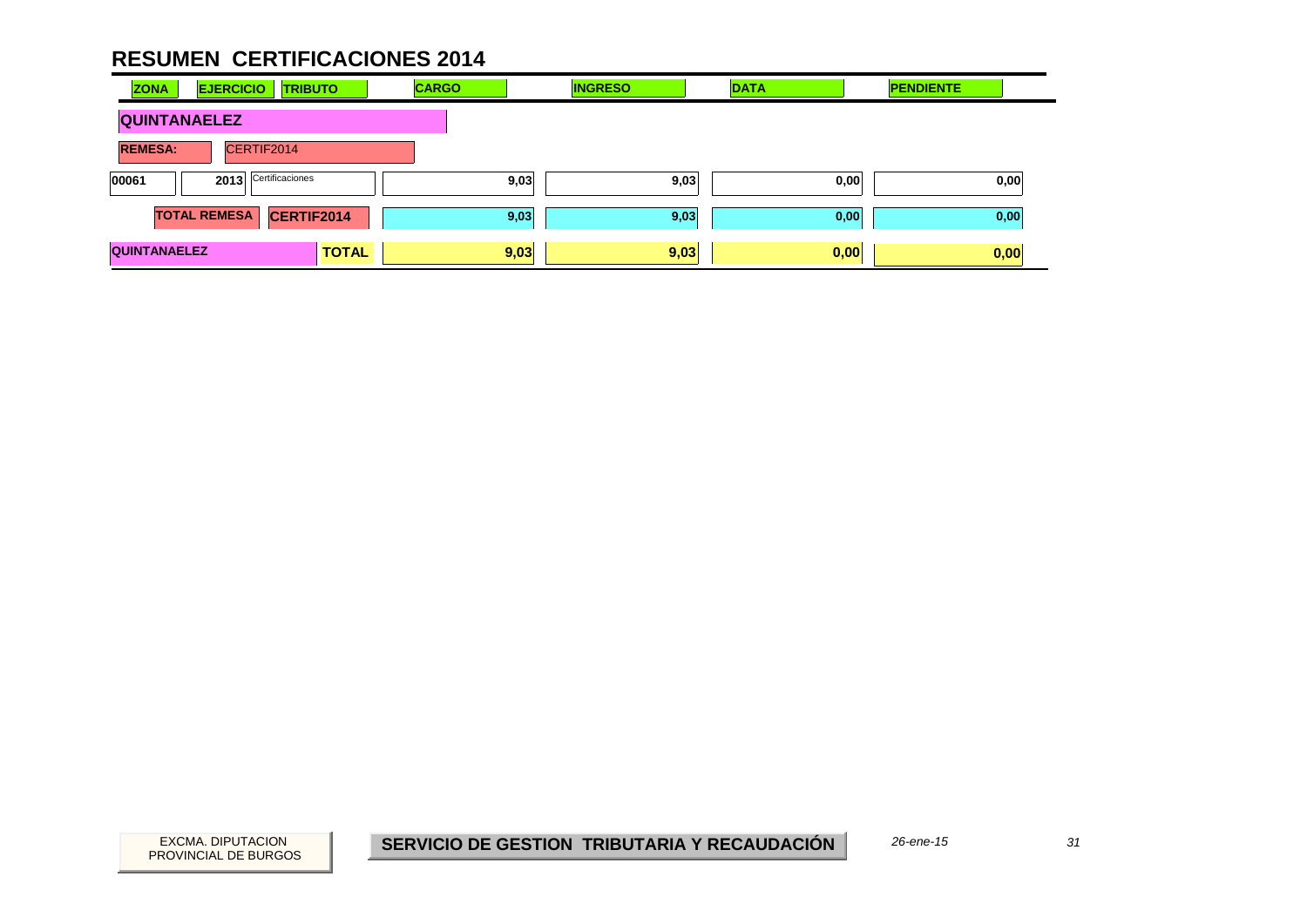| <b>ZONA</b>                  | <b>EJERCICIO</b>        | <b>TRIBUTO</b> | <b>CARGO</b> | <b>INGRESO</b> | <b>DATA</b> | <b>PENDIENTE</b> |
|------------------------------|-------------------------|----------------|--------------|----------------|-------------|------------------|
| <b>QUINTANAELEZ</b>          |                         |                |              |                |             |                  |
| CERTIF2014<br><b>REMESA:</b> |                         |                |              |                |             |                  |
| 00061                        | Certificaciones<br>2013 |                | 9,03         | 9,03           | 0,00        | 0,00             |
|                              | <b>TOTAL REMESA</b>     | CERTIF2014     | 9,03         | 9,03           | 0,00        | 0,00             |
| <b>QUINTANAELEZ</b>          |                         | <b>TOTAL</b>   | 9,03         | 9,03           | 0,00        | 0,00             |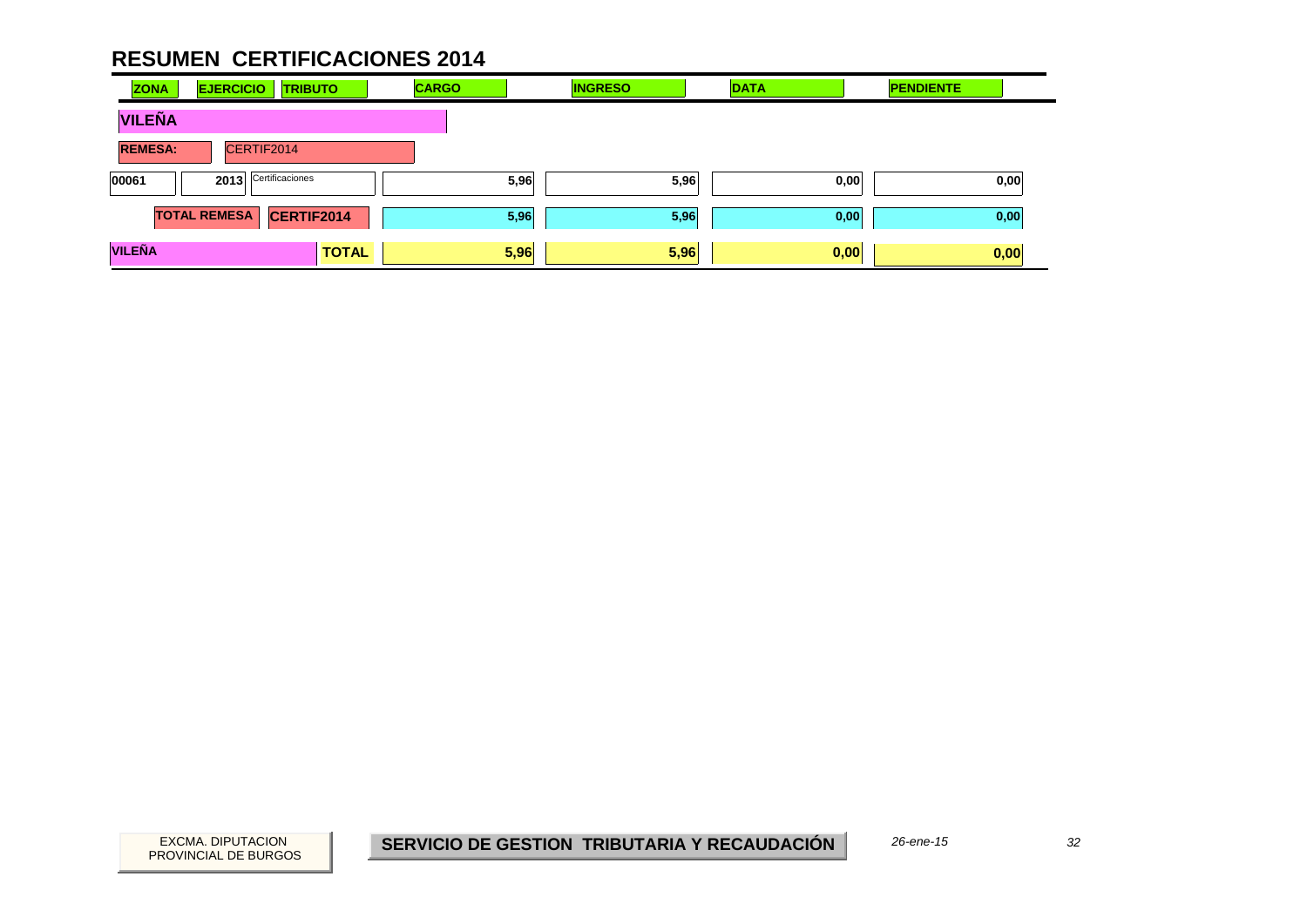| <b>ZONA</b>    | <b>EJERCICIO</b><br><b>TRIBUTO</b> | <b>CARGO</b> | <b>INGRESO</b> | <b>DATA</b> | <b>PENDIENTE</b> |
|----------------|------------------------------------|--------------|----------------|-------------|------------------|
| <b>VILEÑA</b>  |                                    |              |                |             |                  |
| <b>REMESA:</b> | CERTIF2014                         |              |                |             |                  |
| 00061          | Certificaciones<br>2013            | 5,96         | 5,96           | 0,00        | 0,00             |
|                | <b>TOTAL REMESA</b><br>CERTIF2014  | 5,96         | 5,96           | 0,00        | 0,00             |
| <b>VILEÑA</b>  | <b>TOTAL</b>                       | 5,96         | 5,96           | 0,00        | 0,00             |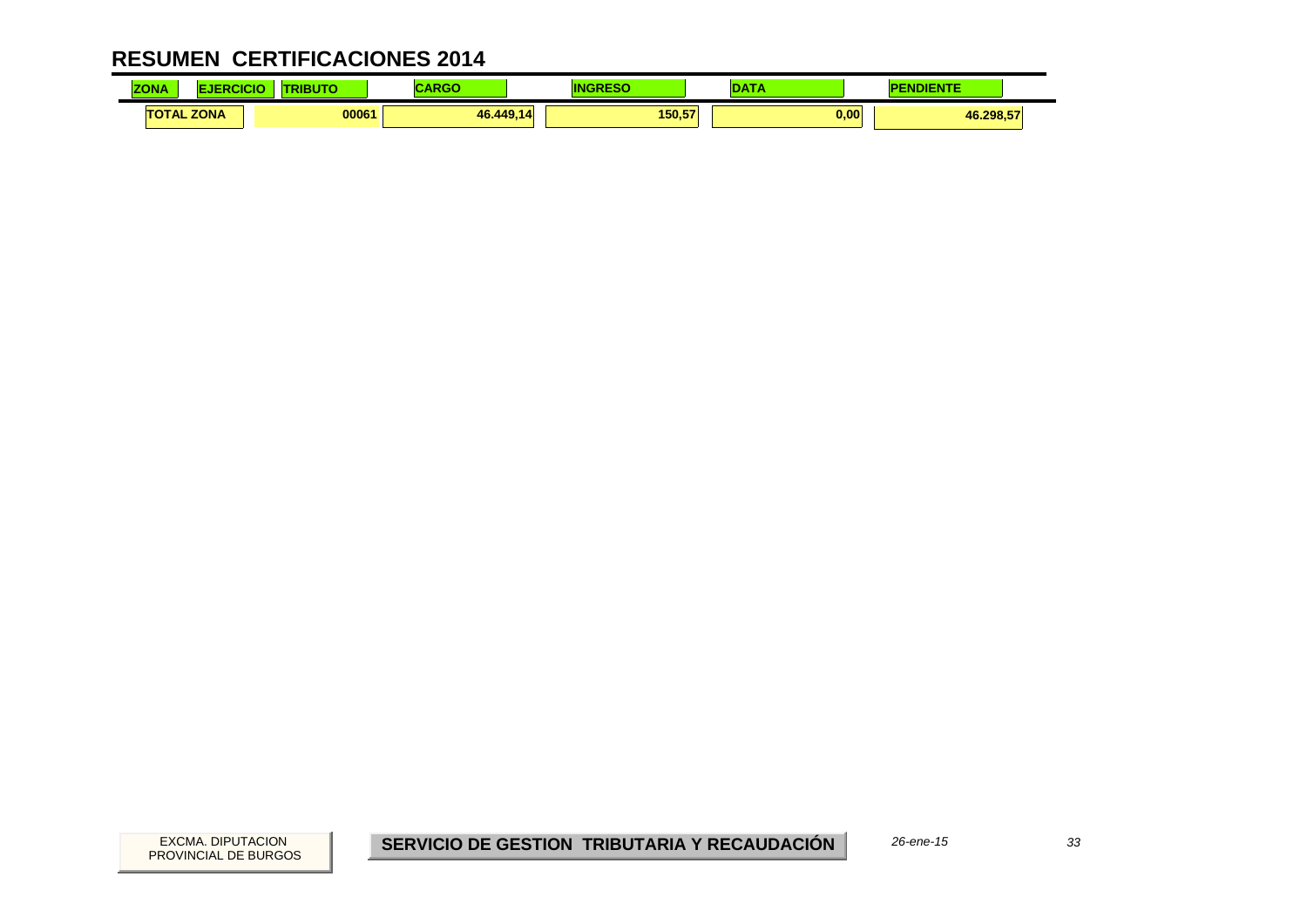| <b>COLOR</b><br><b>ZONA</b> | CICIO | 1. IT C | .       |              | a mar | 1777<br><b>ADIF</b><br>1 C I V 1 E |  |
|-----------------------------|-------|---------|---------|--------------|-------|------------------------------------|--|
| <b>TOTAL ZONA</b>           |       | 00061   | 46.449. | 150.57<br>14 |       | 0,00<br>46.298,57                  |  |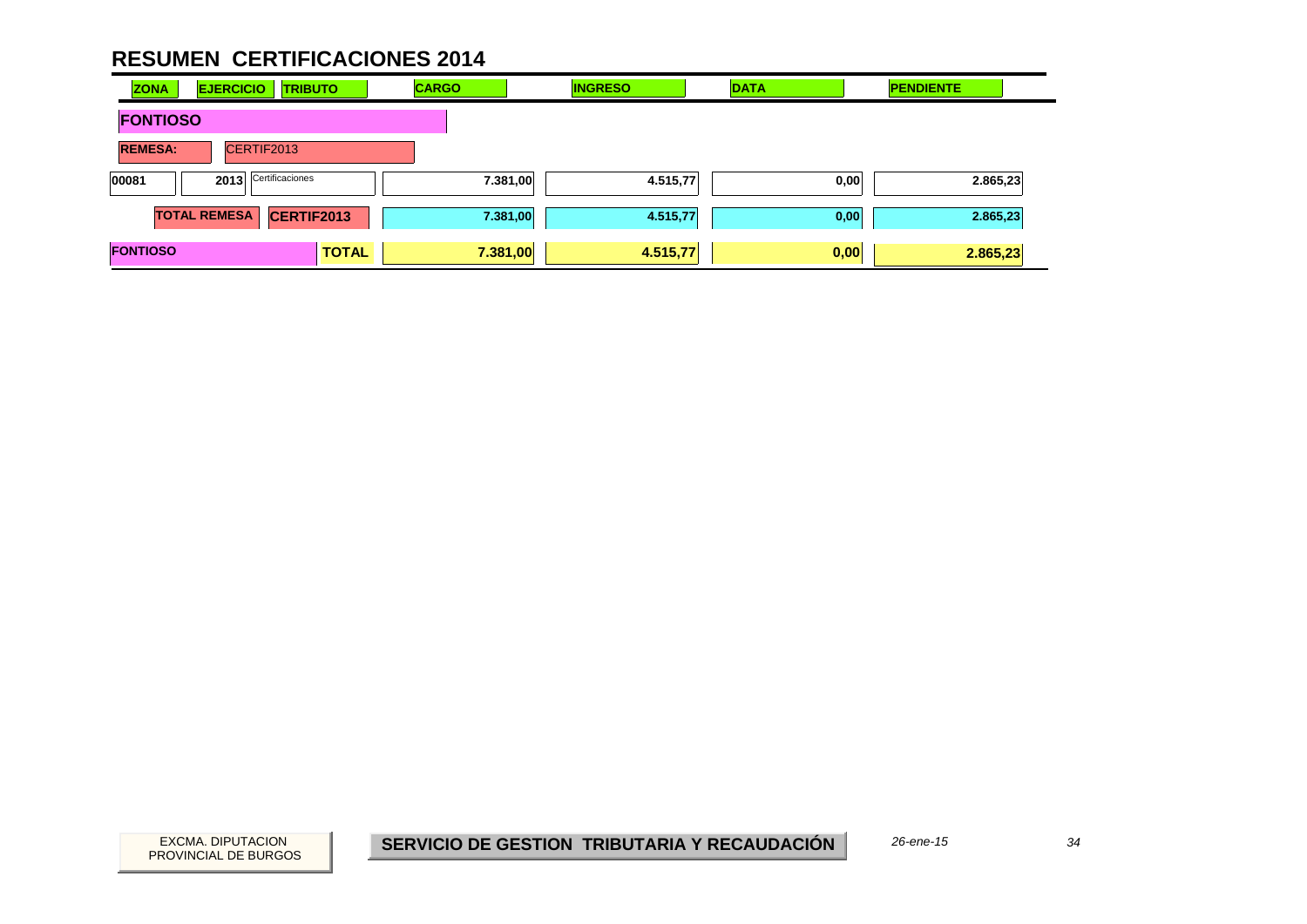| <b>ZONA</b>     | <b>EJERCICIO</b>    | <b>TRIBUTO</b>  |              | <b>CARGO</b> |          | <b>INGRESO</b> | <b>DATA</b> |      | <b>PENDIENTE</b> |  |
|-----------------|---------------------|-----------------|--------------|--------------|----------|----------------|-------------|------|------------------|--|
| <b>FONTIOSO</b> |                     |                 |              |              |          |                |             |      |                  |  |
| <b>REMESA:</b>  |                     | CERTIF2013      |              |              |          |                |             |      |                  |  |
| 00081           | 2013                | Certificaciones |              |              | 7.381,00 | 4.515,77       |             | 0,00 | 2.865,23         |  |
|                 | <b>TOTAL REMESA</b> | CERTIF2013      |              |              | 7.381,00 | 4.515,77       |             | 0,00 | 2.865,23         |  |
| <b>FONTIOSO</b> |                     |                 | <b>TOTAL</b> | 7.381,00     |          | 4.515,77       |             | 0,00 | 2.865,23         |  |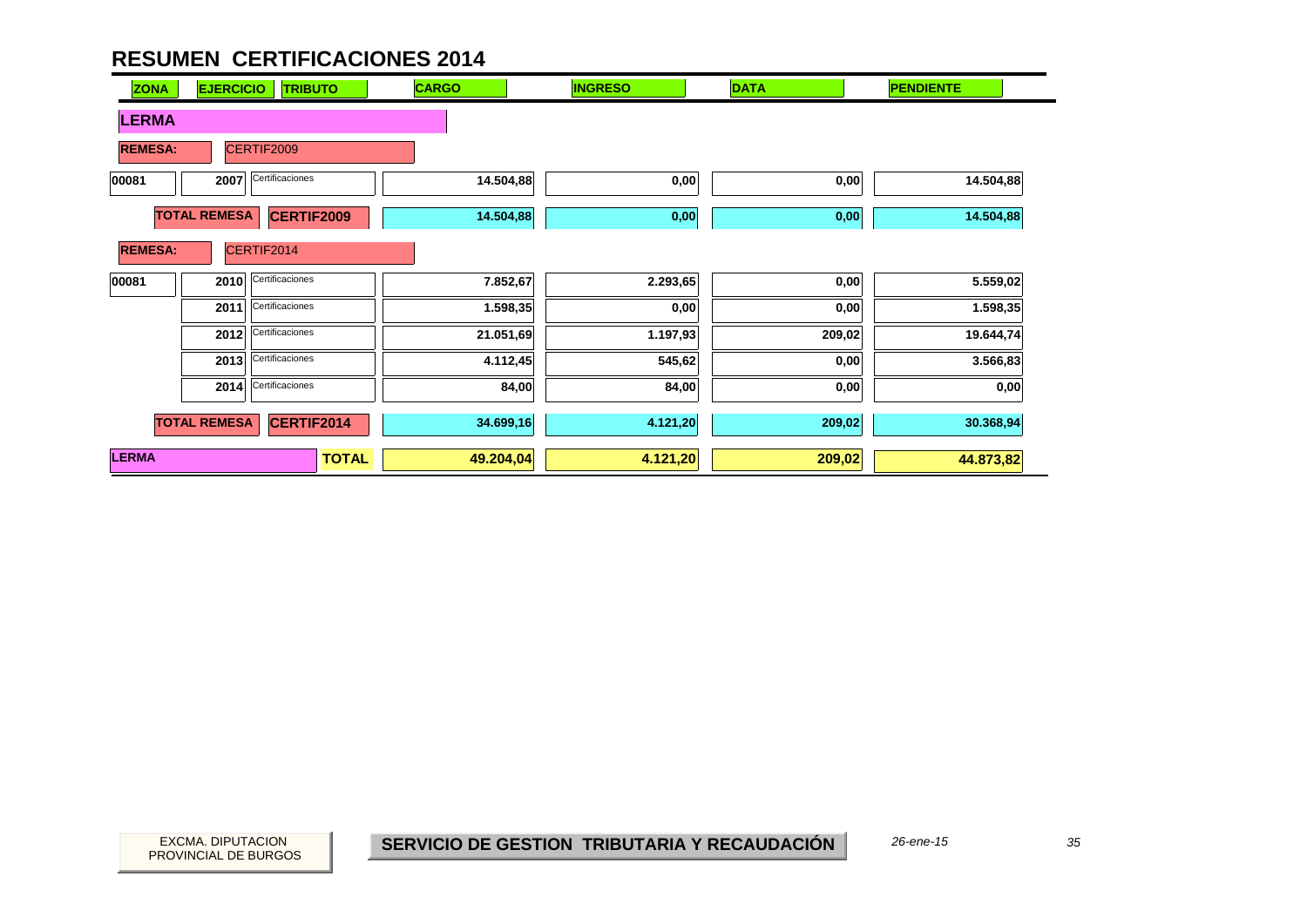| <b>ZONA</b>    | <b>EJERCICIO</b>    | <b>TRIBUTO</b>    | <b>CARGO</b> | <b>INGRESO</b> | <b>DATA</b> | <b>PENDIENTE</b> |
|----------------|---------------------|-------------------|--------------|----------------|-------------|------------------|
| <b>LERMA</b>   |                     |                   |              |                |             |                  |
| <b>REMESA:</b> |                     | CERTIF2009        |              |                |             |                  |
| 00081          | 2007                | Certificaciones   | 14.504,88    | 0,00           | 0,00        | 14.504,88        |
|                | <b>TOTAL REMESA</b> | <b>CERTIF2009</b> | 14.504,88    | 0,00           | 0,00        | 14.504,88        |
| <b>REMESA:</b> |                     | CERTIF2014        |              |                |             |                  |
| 00081          | 2010                | Certificaciones   | 7.852,67     | 2.293,65       | 0,00        | 5.559,02         |
|                | 2011                | Certificaciones   | 1.598,35     | 0,00           | 0,00        | 1.598,35         |
|                | 2012                | Certificaciones   | 21.051,69    | 1.197,93       | 209,02      | 19.644,74        |
|                | 2013                | Certificaciones   | 4.112,45     | 545,62         | 0,00        | 3.566,83         |
|                | 2014                | Certificaciones   | 84,00        | 84,00          | 0,00        | 0,00             |
|                | <b>TOTAL REMESA</b> | <b>CERTIF2014</b> | 34.699,16    | 4.121,20       | 209,02      | 30.368,94        |
| <b>LERMA</b>   |                     | <b>TOTAL</b>      | 49.204,04    | 4.121,20       | 209,02      | 44.873,82        |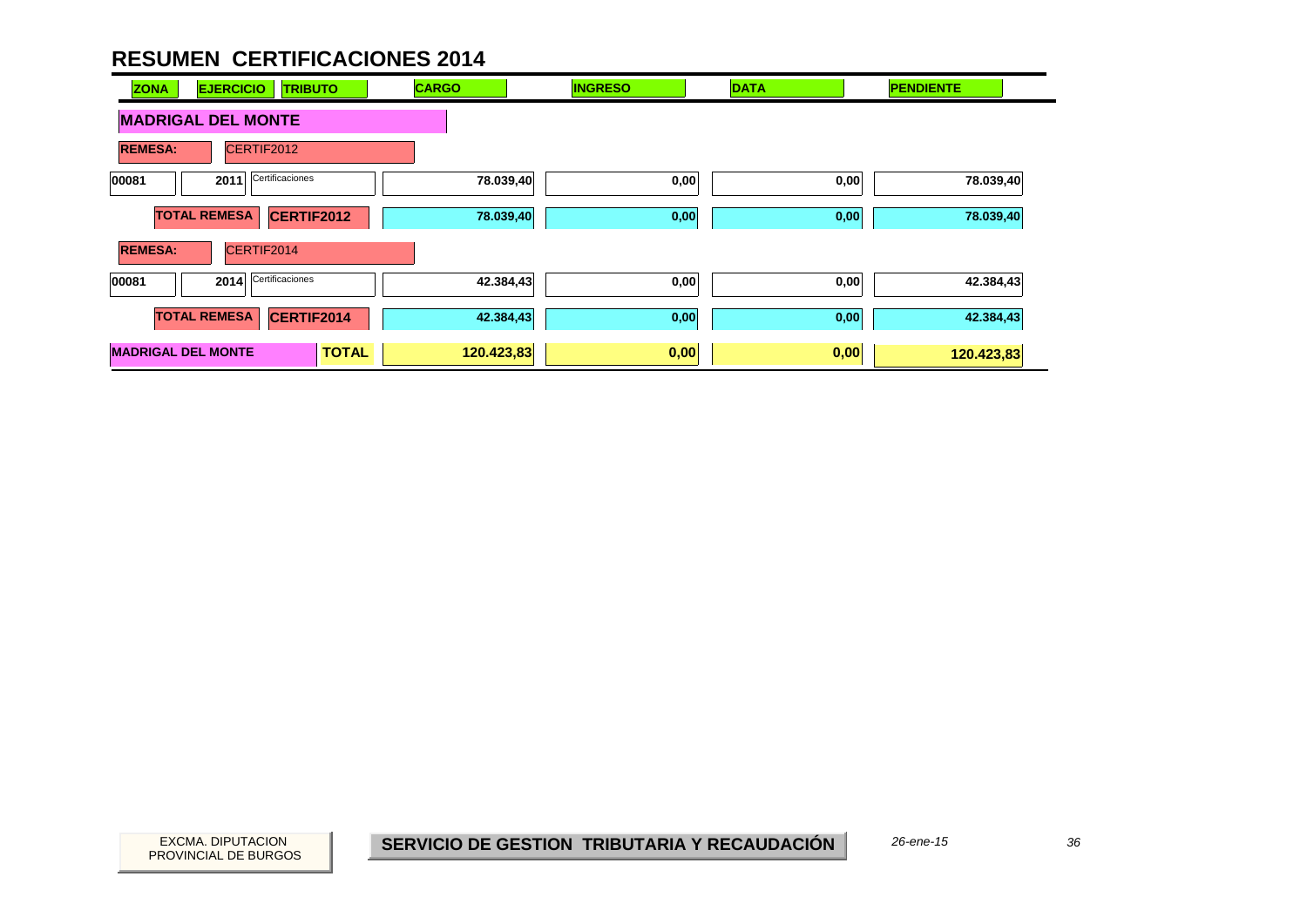| <b>ZONA</b>               | <b>EJERCICIO</b><br><b>TRIBUTO</b> |              | <b>CARGO</b> | <b>INGRESO</b> | <b>DATA</b> | <b>PENDIENTE</b> |
|---------------------------|------------------------------------|--------------|--------------|----------------|-------------|------------------|
|                           | <b>MADRIGAL DEL MONTE</b>          |              |              |                |             |                  |
| <b>REMESA:</b>            | CERTIF2012                         |              |              |                |             |                  |
| 00081                     | Certificaciones<br>2011            |              | 78.039,40    | 0,00           | 0,00        | 78.039,40        |
|                           | <b>TOTAL REMESA</b><br>CERTIF2012  |              | 78.039,40    | 0,00           | 0,00        | 78.039,40        |
| <b>REMESA:</b>            | CERTIF2014                         |              |              |                |             |                  |
| 00081                     | Certificaciones<br>2014            |              | 42.384,43    | 0,00           | 0,00        | 42.384,43        |
|                           | <b>TOTAL REMESA</b><br>CERTIF2014  |              | 42.384,43    | 0,00           | 0,00        | 42.384,43        |
| <b>MADRIGAL DEL MONTE</b> |                                    | <b>TOTAL</b> | 120.423,83   | 0,00           | 0,00        | 120.423,83       |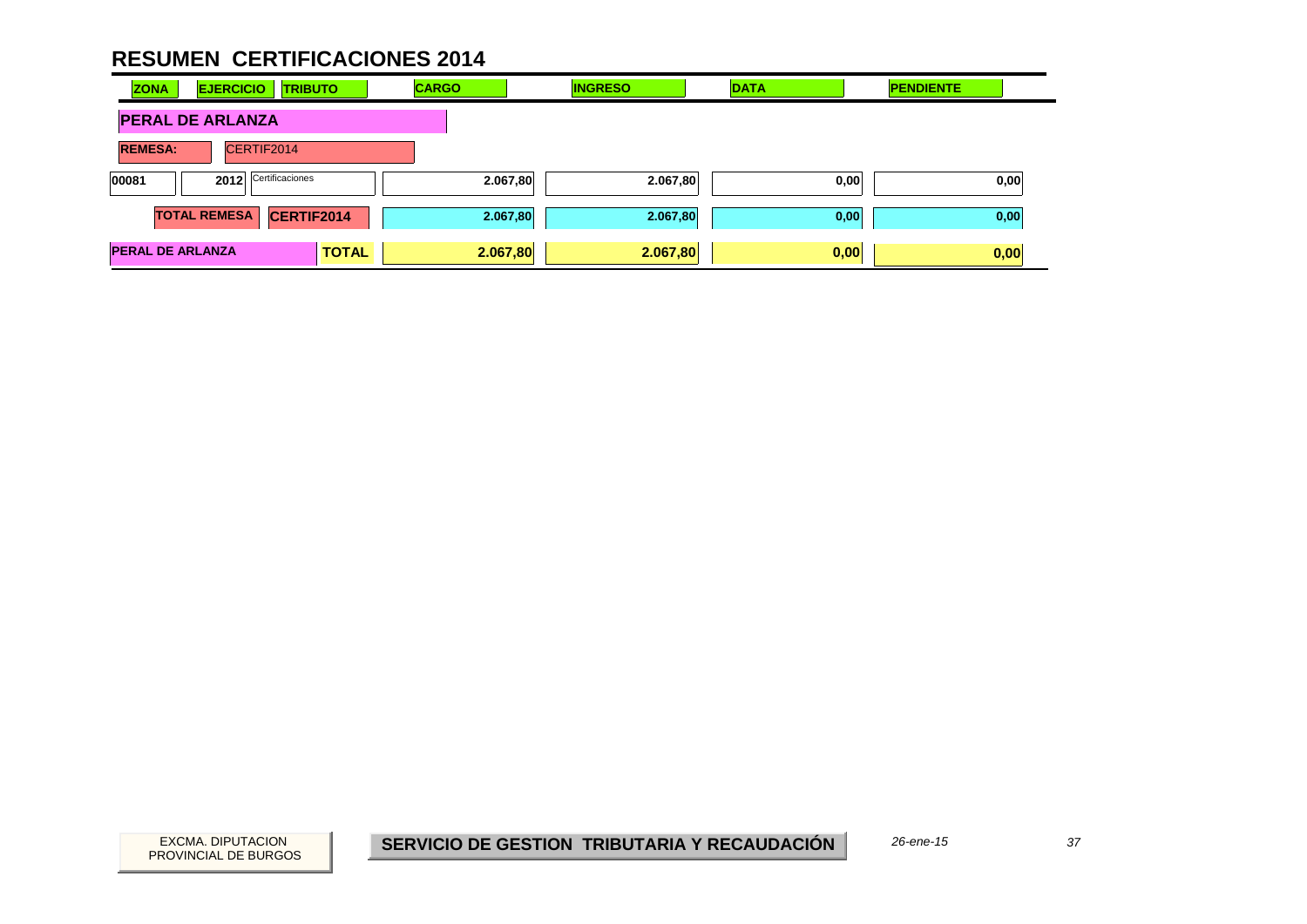| <b>ZONA</b>                  | <b>EJERCICIO</b><br><b>TRIBUTO</b> |              | <b>CARGO</b> | <b>INGRESO</b> | <b>DATA</b> | <b>PENDIENTE</b> |
|------------------------------|------------------------------------|--------------|--------------|----------------|-------------|------------------|
| <b>PERAL DE ARLANZA</b>      |                                    |              |              |                |             |                  |
| <b>REMESA:</b><br>CERTIF2014 |                                    |              |              |                |             |                  |
| 00081                        | Certificaciones<br>2012            |              | 2.067,80     | 2.067,80       | 0,00        | 0,00             |
|                              | <b>TOTAL REMESA</b><br>CERTIF2014  |              | 2.067,80     | 2.067,80       | 0,00        | 0,00             |
| <b>PERAL DE ARLANZA</b>      |                                    | <b>TOTAL</b> | 2.067,80     | 2.067,80       | 0,00        | 0,00             |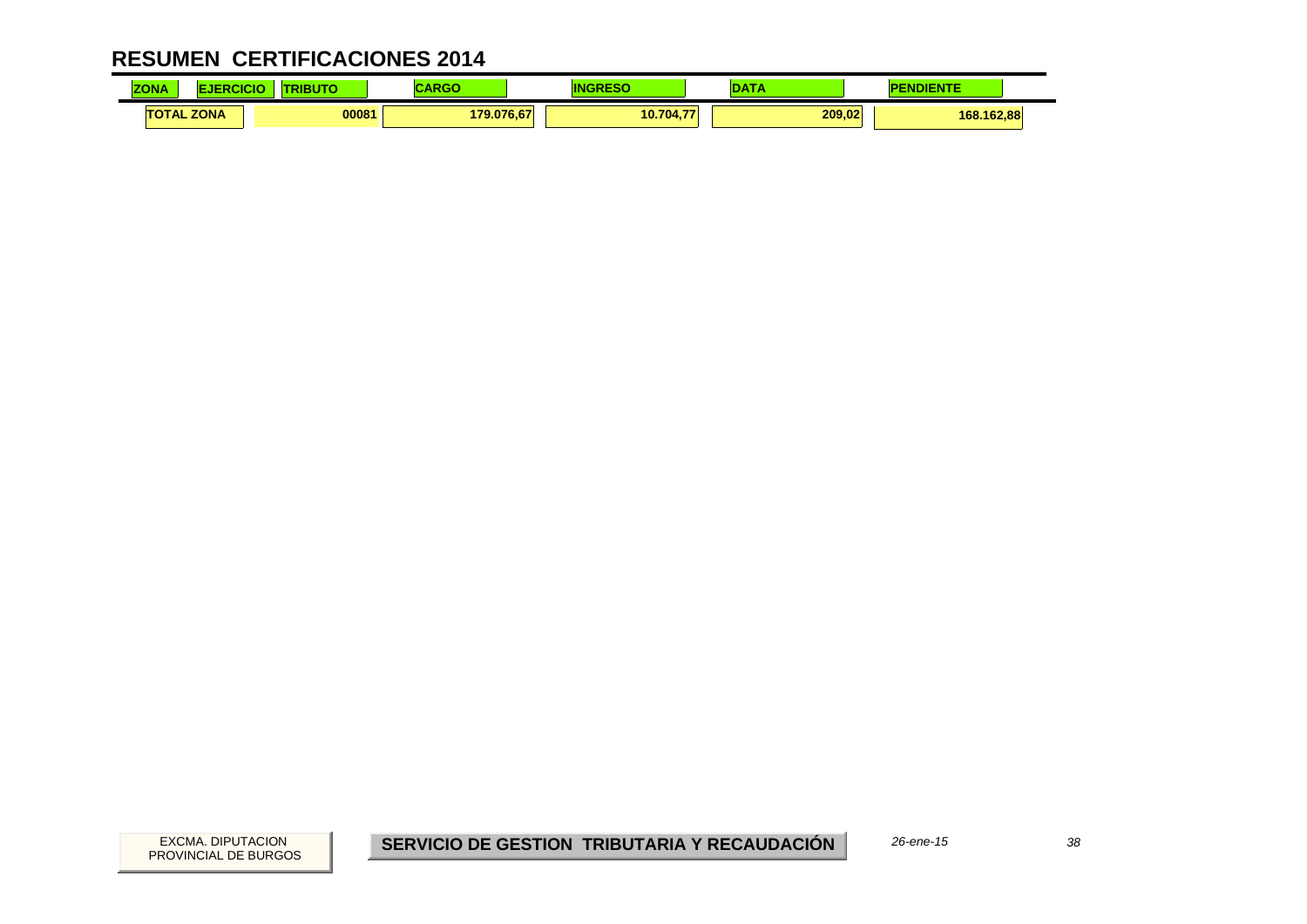| <b>ZONA</b>       | .icic | <b>BUT</b> | $\blacksquare$<br>æ | I١            | ---    | NDIENTE    |  |
|-------------------|-------|------------|---------------------|---------------|--------|------------|--|
| <b>TOTAL ZONA</b> |       | 00081      | 179.076.67          | 10.704<br>$-$ | 209.02 | 168.162,88 |  |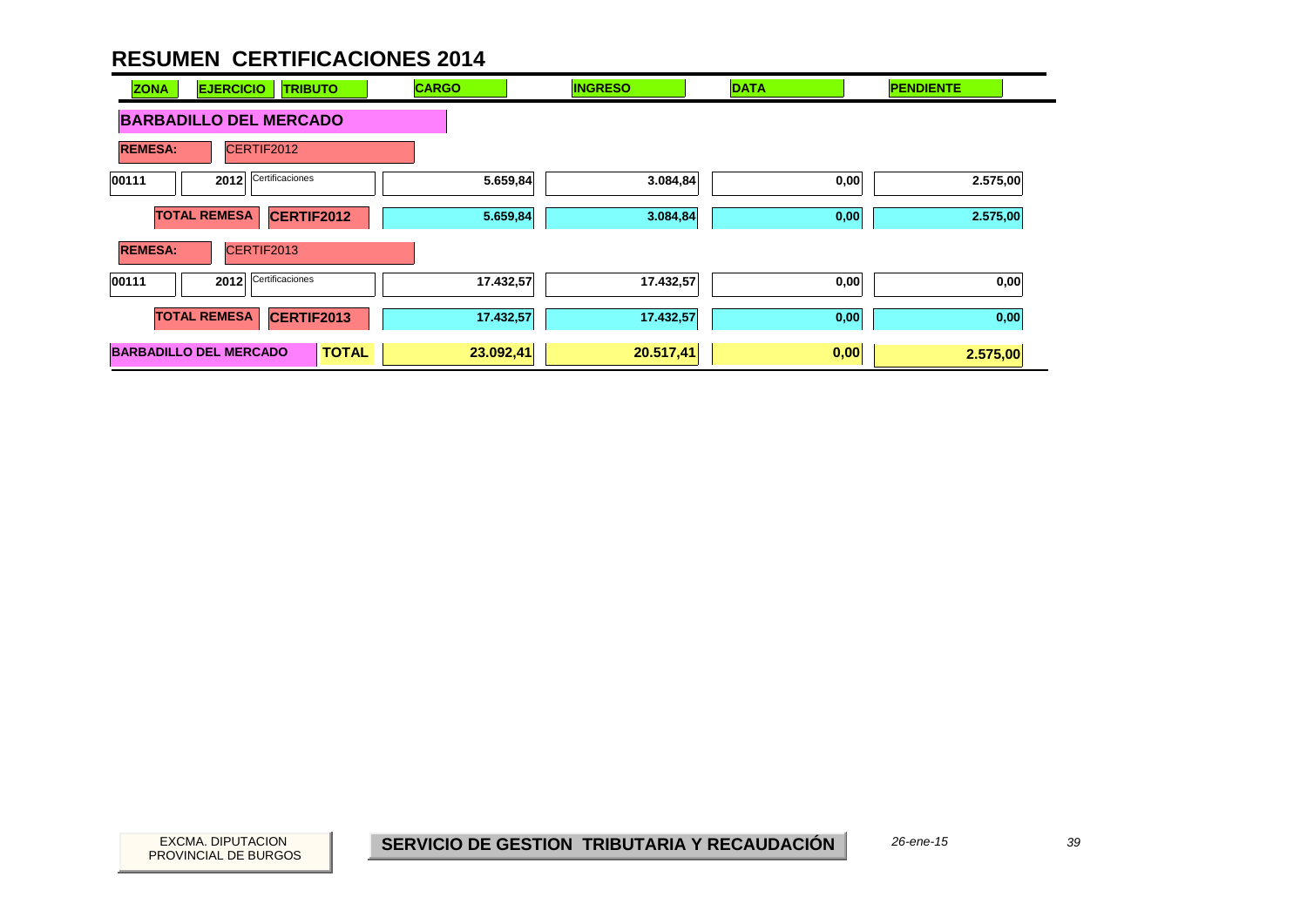| <b>ZONA</b>    | <b>EJERCICIO</b><br><b>TRIBUTO</b>       |              | <b>CARGO</b> | <b>INGRESO</b> | <b>DATA</b> | <b>PENDIENTE</b> |
|----------------|------------------------------------------|--------------|--------------|----------------|-------------|------------------|
|                | <b>BARBADILLO DEL MERCADO</b>            |              |              |                |             |                  |
| <b>REMESA:</b> | CERTIF2012                               |              |              |                |             |                  |
| 00111          | Certificaciones<br>2012                  |              | 5.659,84     | 3.084,84       | 0,00        | 2.575,00         |
|                | <b>TOTAL REMESA</b><br>CERTIF2012        |              | 5.659,84     | 3.084,84       | 0,00        | 2.575,00         |
| <b>REMESA:</b> | CERTIF2013                               |              |              |                |             |                  |
| 00111          | Certificaciones<br>2012                  |              | 17.432,57    | 17.432,57      | 0,00        | 0,00             |
|                | <b>TOTAL REMESA</b><br><b>CERTIF2013</b> |              | 17.432,57    | 17.432,57      | 0,00        | 0,00             |
|                | <b>BARBADILLO DEL MERCADO</b>            | <b>TOTAL</b> | 23.092,41    | 20.517,41      | 0,00        | 2.575,00         |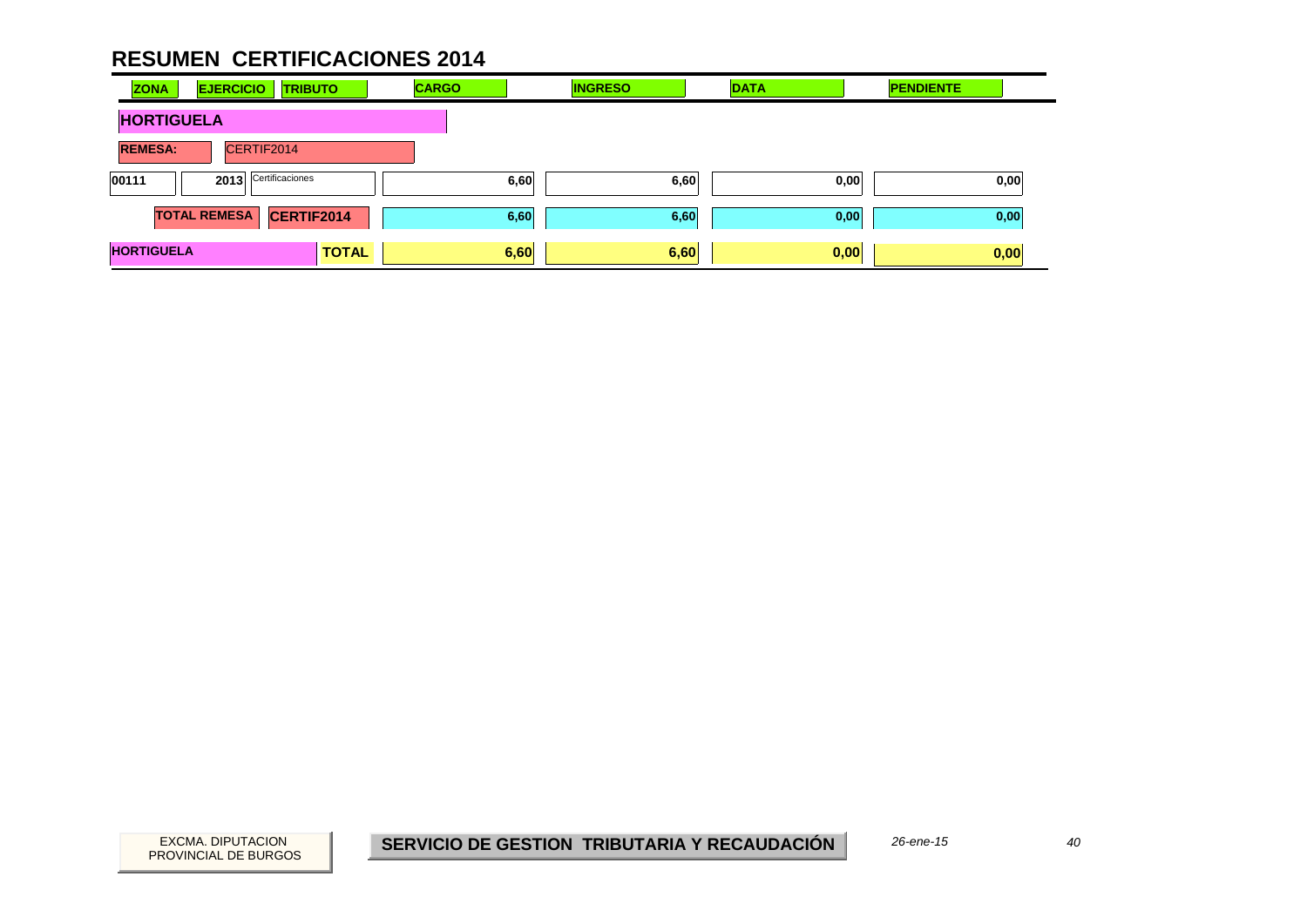| <b>ZONA</b>       | <b>EJERCICIO</b><br><b>TRIBUTO</b> | <b>CARGO</b> | <b>INGRESO</b> | <b>DATA</b> | <b>PENDIENTE</b> |
|-------------------|------------------------------------|--------------|----------------|-------------|------------------|
| <b>HORTIGUELA</b> |                                    |              |                |             |                  |
| <b>REMESA:</b>    | CERTIF2014                         |              |                |             |                  |
| 00111             | 2013 Certificaciones               |              | 6,60<br>6,60   | 0,00        | 0,00             |
|                   | CERTIF2014<br><b>TOTAL REMESA</b>  |              | 6,60<br>6,60   | 0,00        | 0,00             |
| <b>HORTIGUELA</b> | <b>TOTAL</b>                       |              | 6,60<br>6,60   | 0,00        | 0,00             |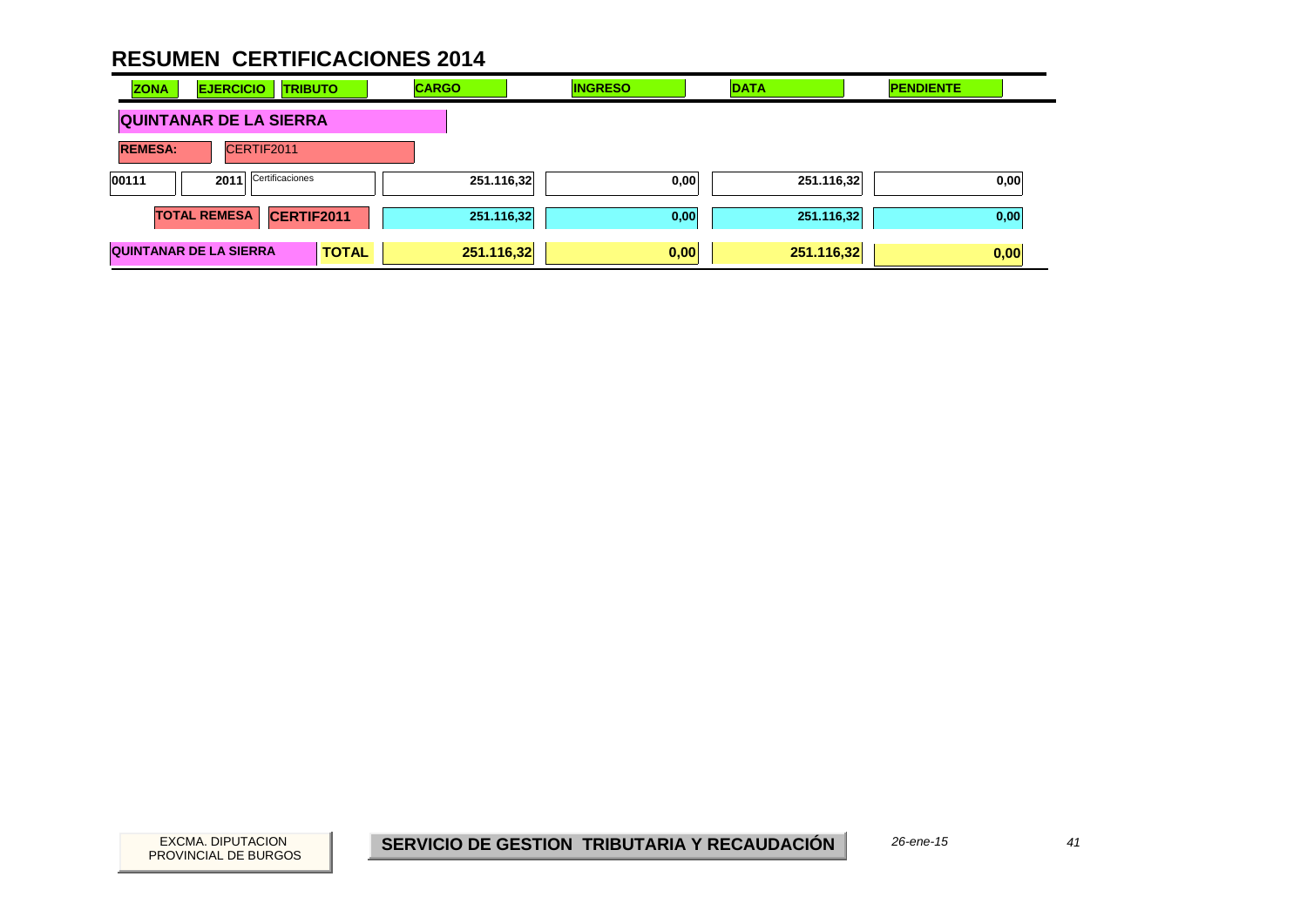| <b>ZONA</b>                  | <b>EJERCICIO</b><br><b>TRIBUTO</b> |              | <b>CARGO</b> | <b>INGRESO</b> | <b>DATA</b> | <b>PENDIENTE</b> |
|------------------------------|------------------------------------|--------------|--------------|----------------|-------------|------------------|
|                              | <b>QUINTANAR DE LA SIERRA</b>      |              |              |                |             |                  |
| CERTIF2011<br><b>REMESA:</b> |                                    |              |              |                |             |                  |
| 00111                        | Certificaciones<br>2011            |              | 251.116,32   | 0,00           | 251.116,32  | 0,00             |
|                              | <b>TOTAL REMESA</b><br>CERTIF2011  |              | 251.116,32   | 0,00           | 251.116,32  | 0,00             |
|                              | <b>QUINTANAR DE LA SIERRA</b>      | <b>TOTAL</b> | 251.116,32   | 0,00           | 251.116,32  | 0,00             |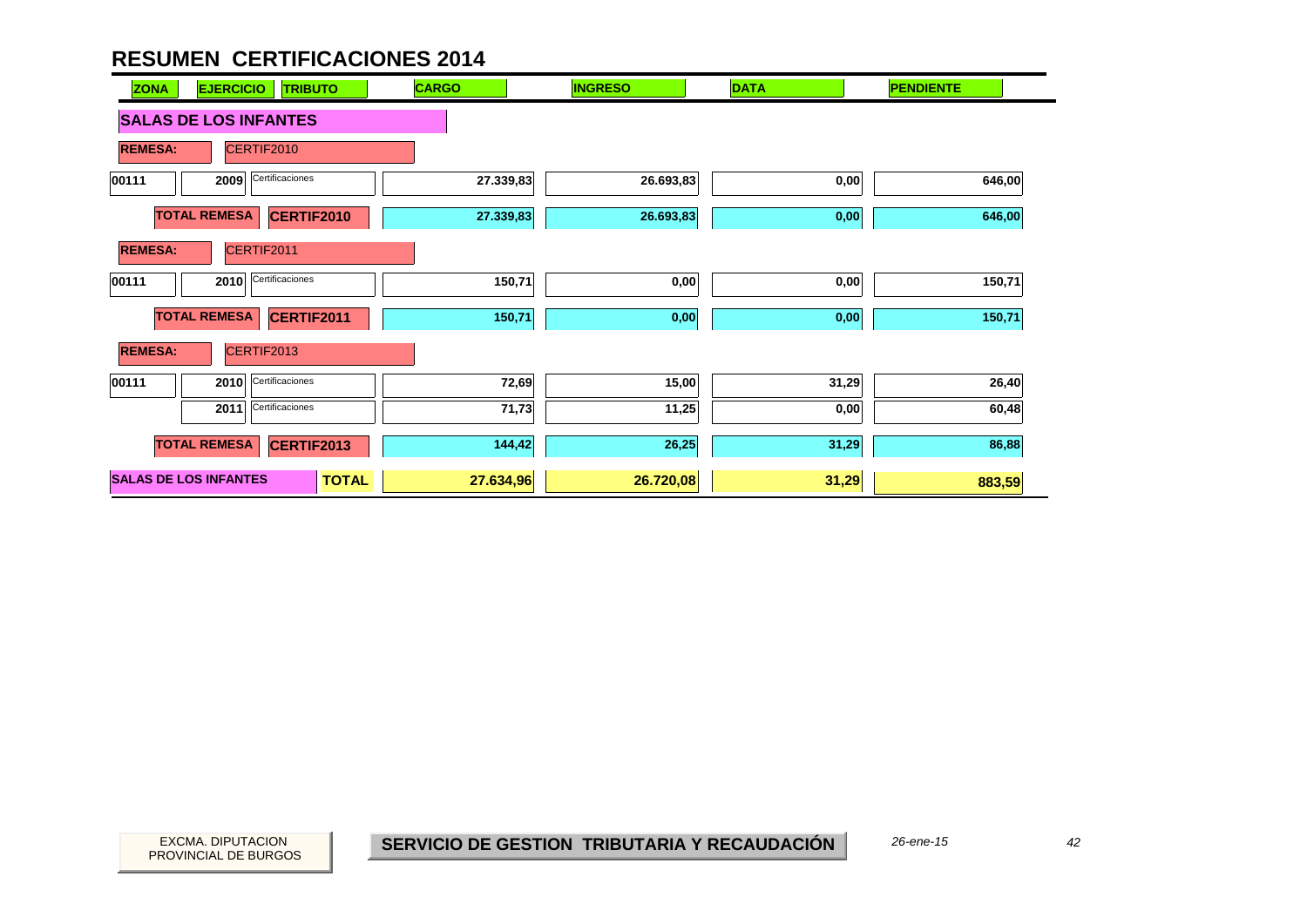| <b>EJERCICIO</b><br><b>ZONA</b><br><b>TRIBUTO</b> | <b>CARGO</b> | <b>INGRESO</b> | <b>DATA</b>       | <b>PENDIENTE</b> |
|---------------------------------------------------|--------------|----------------|-------------------|------------------|
| <b>SALAS DE LOS INFANTES</b>                      |              |                |                   |                  |
| <b>REMESA:</b><br>CERTIF2010                      |              |                |                   |                  |
| Certificaciones<br>00111<br>2009                  | 27.339,83    | 26.693,83      | 0,00              | 646,00           |
| <b>TOTAL REMESA</b><br><b>CERTIF2010</b>          | 27.339,83    | 26.693,83      | $\mathbf{0{,}00}$ | 646,00           |
| CERTIF2011<br><b>REMESA:</b>                      |              |                |                   |                  |
| Certificaciones<br>2010<br>00111                  | 150,71       | 0,00           | 0,00              | 150,71           |
| <b>TOTAL REMESA</b><br>CERTIF2011                 | 150,71       | 0,00           | 0,00              | 150,71           |
| <b>REMESA:</b><br>CERTIF2013                      |              |                |                   |                  |
| Certificaciones<br>00111<br>2010                  | 72,69        | 15,00          | 31,29             | 26,40            |
| Certificaciones<br>2011                           | 71,73        | 11,25          | 0,00              | 60,48            |
| <b>TOTAL REMESA</b><br>CERTIF2013                 | 144,42       | 26,25          | 31,29             | 86,88            |
| <b>SALAS DE LOS INFANTES</b><br><b>TOTAL</b>      | 27.634,96    | 26.720,08      | 31,29             | 883,59           |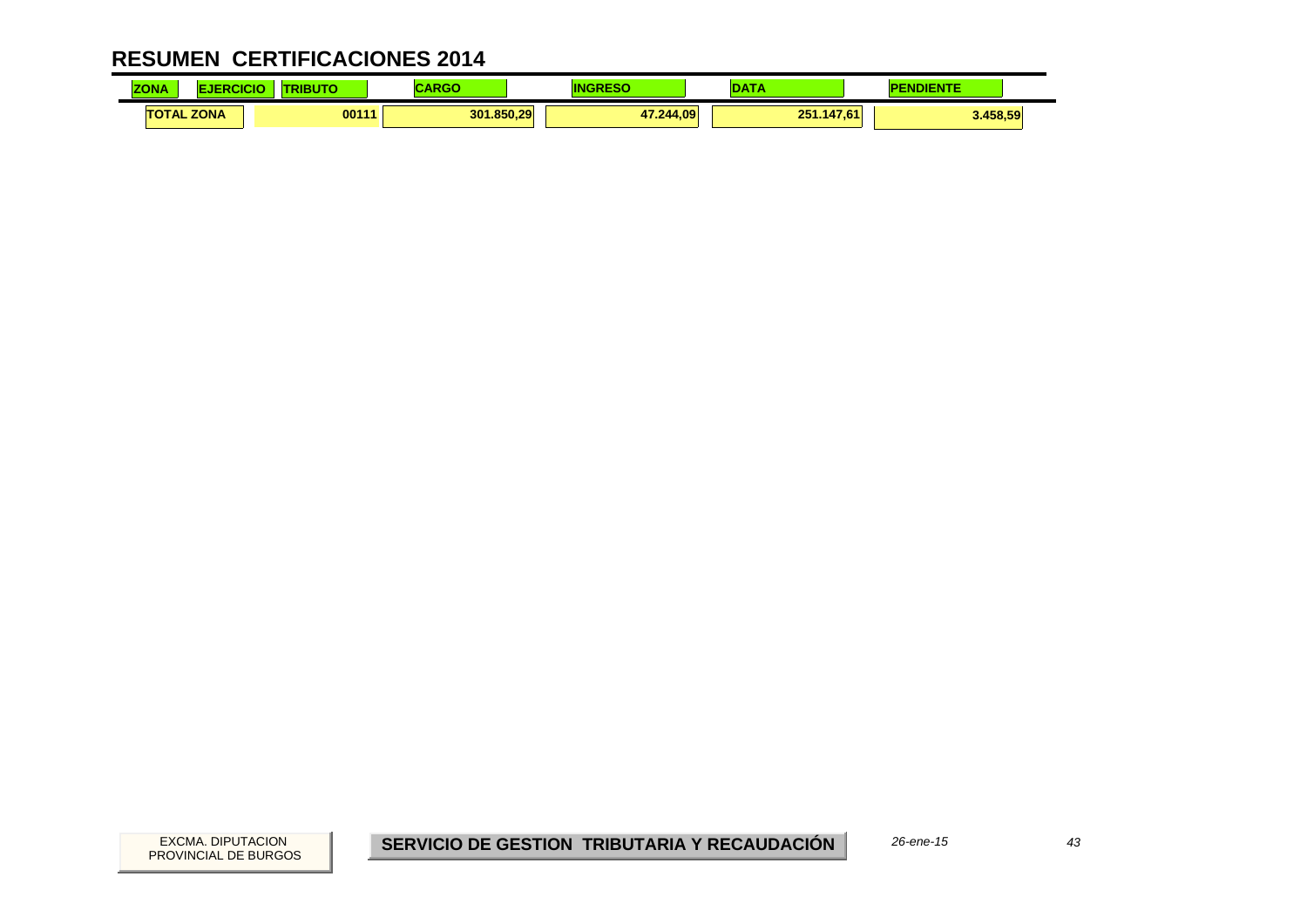| <b>ZONA</b> |                   | ----<br>5U | $\blacksquare$<br>ant of the second second second second second second second second second second second second second second s |           | <b>ALCOHOL:</b> | <b>IDIENTE</b><br>P |
|-------------|-------------------|------------|----------------------------------------------------------------------------------------------------------------------------------|-----------|-----------------|---------------------|
|             | <b>TOTAL ZONA</b> | 00111      | 301.850.29                                                                                                                       | 47.244.09 | 251.147,61      | 3.458,59            |

 $43$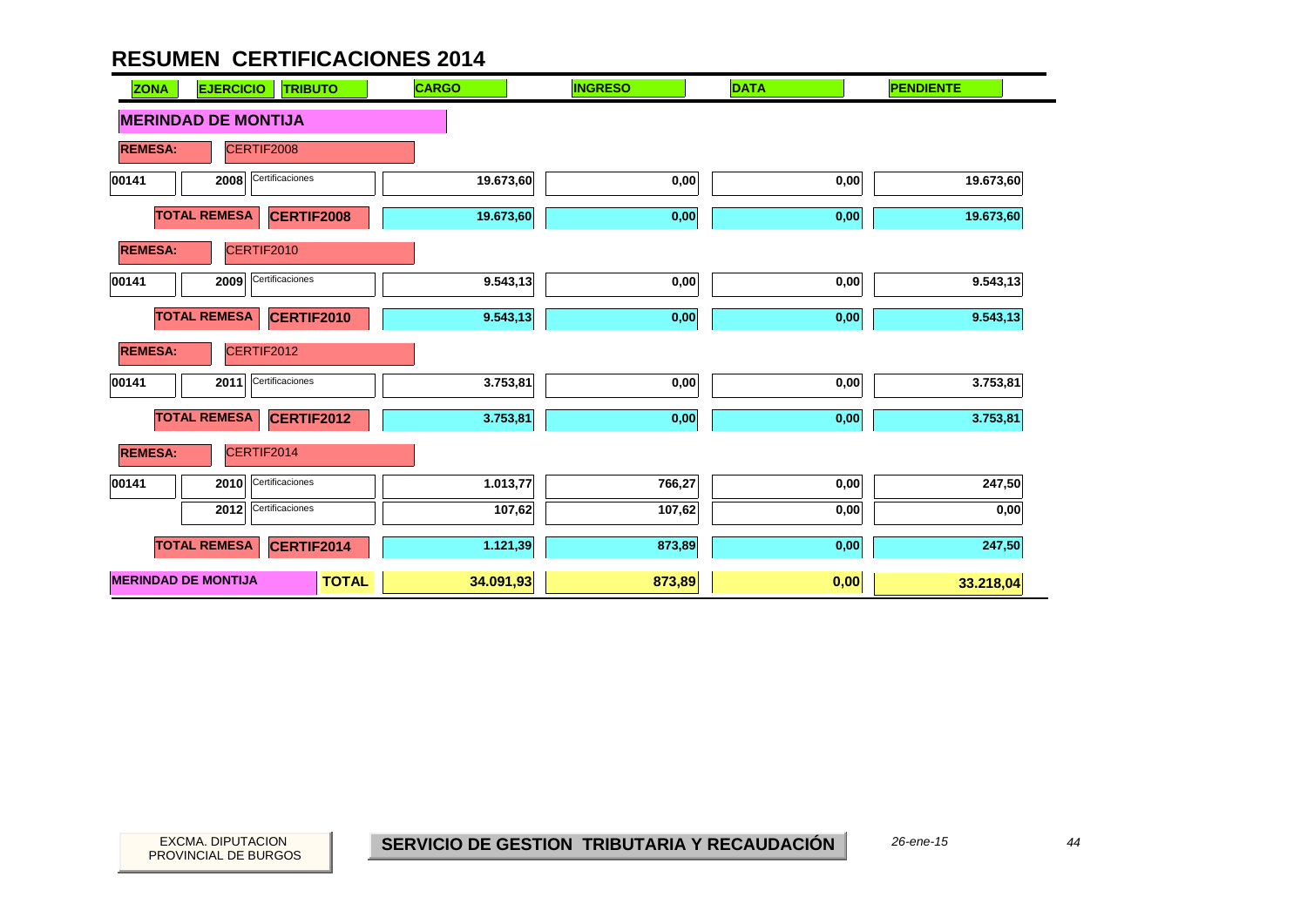| <b>ZONA</b>                | <b>EJERCICIO</b><br><b>TRIBUTO</b>       | <b>CARGO</b> | <b>INGRESO</b> | <b>DATA</b> | <b>PENDIENTE</b> |
|----------------------------|------------------------------------------|--------------|----------------|-------------|------------------|
|                            | <b>MERINDAD DE MONTIJA</b>               |              |                |             |                  |
| <b>REMESA:</b>             | CERTIF2008                               |              |                |             |                  |
| 00141                      | Certificaciones<br>2008                  | 19.673,60    | 0,00           | 0,00        | 19.673,60        |
|                            | <b>TOTAL REMESA</b><br><b>CERTIF2008</b> | 19.673,60    | 0,00           | 0,00        | 19.673,60        |
| <b>REMESA:</b>             | CERTIF2010                               |              |                |             |                  |
| 00141                      | Certificaciones<br>2009                  | 9.543,13     | 0,00           | 0,00        | 9.543,13         |
|                            | <b>TOTAL REMESA</b><br><b>CERTIF2010</b> | 9.543,13     | 0,00           | 0,00        | 9.543,13         |
| <b>REMESA:</b>             | CERTIF2012                               |              |                |             |                  |
| 00141                      | Certificaciones<br>2011                  | 3.753,81     | 0,00           | 0,00        | 3.753,81         |
|                            | <b>TOTAL REMESA</b><br><b>CERTIF2012</b> | 3.753,81     | 0,00           | 0,00        | 3.753,81         |
| <b>REMESA:</b>             | CERTIF2014                               |              |                |             |                  |
| 00141                      | Certificaciones<br>2010                  | 1.013,77     | 766,27         | 0,00        | 247,50           |
|                            | Certificaciones<br>2012                  | 107,62       | 107,62         | 0,00        | 0,00             |
|                            | <b>TOTAL REMESA</b><br>CERTIF2014        | 1.121,39     | 873,89         | 0,00        | 247,50           |
| <b>MERINDAD DE MONTIJA</b> | <b>TOTAL</b>                             | 34.091,93    | 873,89         | 0,00        | 33.218,04        |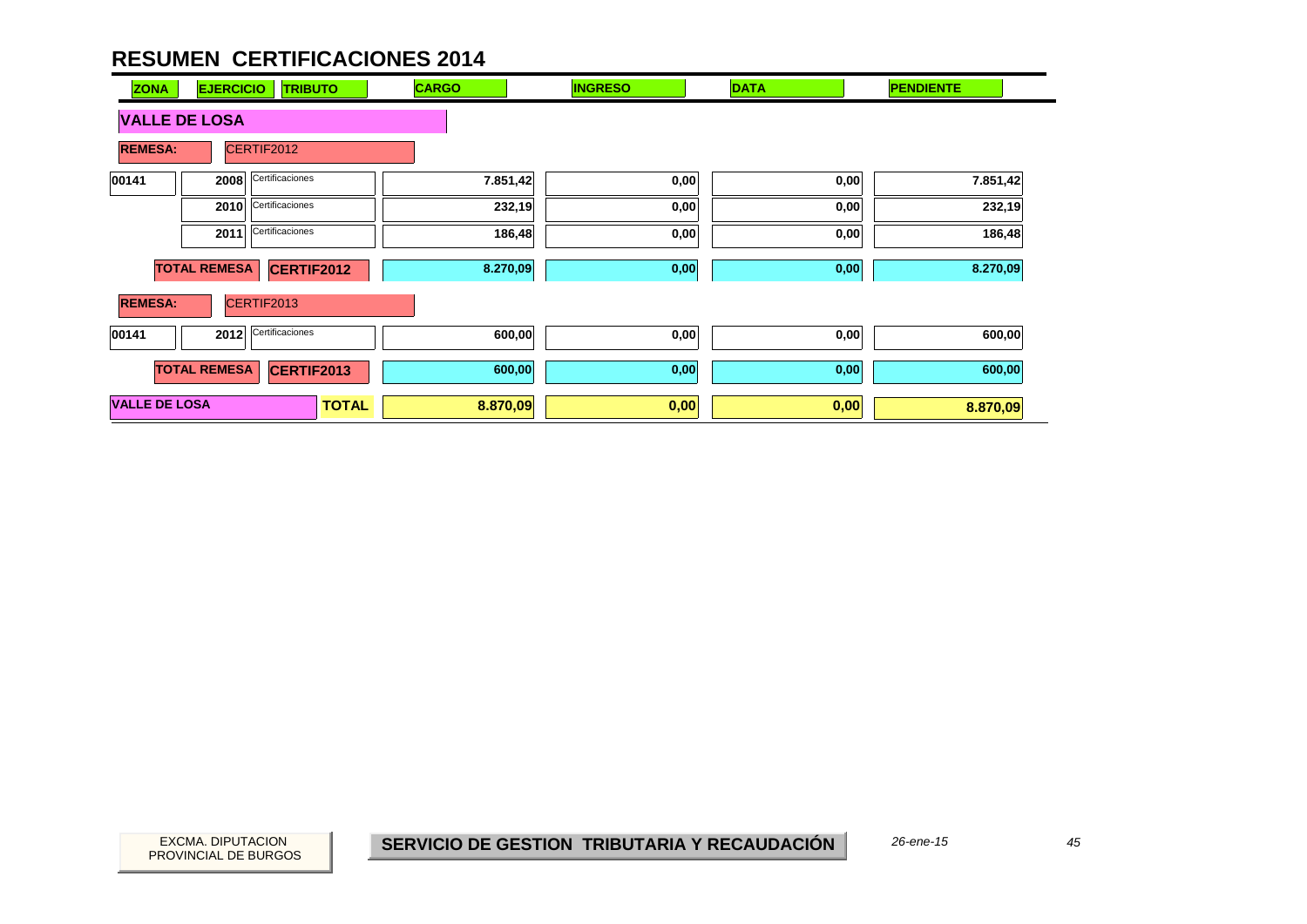| <b>ZONA</b>          | <b>EJERCICIO</b>    | <b>TRIBUTO</b>    | <b>CARGO</b>             | <b>INGRESO</b> | <b>DATA</b> | <b>PENDIENTE</b> |
|----------------------|---------------------|-------------------|--------------------------|----------------|-------------|------------------|
| <b>VALLE DE LOSA</b> |                     |                   |                          |                |             |                  |
| <b>REMESA:</b>       |                     | CERTIF2012        |                          |                |             |                  |
| 00141                | 2008                | Certificaciones   | 7.851,42                 | 0,00           | 0,00        | 7.851,42         |
|                      | 2010                | Certificaciones   | 232,19                   | 0,00           | 0,00        | 232,19           |
|                      | 2011                | Certificaciones   | 186,48                   | 0,00           | 0,00        | 186,48           |
|                      | <b>TOTAL REMESA</b> | <b>CERTIF2012</b> | 8.270,09                 | 0,00           | 0,00        | 8.270,09         |
| <b>REMESA:</b>       |                     | CERTIF2013        |                          |                |             |                  |
| 00141                | 2012                | Certificaciones   | 600,00                   | 0,00           | 0,00        | 600,00           |
|                      | <b>TOTAL REMESA</b> | <b>CERTIF2013</b> | 600,00                   | 0,00           | 0,00        | 600,00           |
| <b>VALLE DE LOSA</b> |                     |                   | <b>TOTAL</b><br>8.870,09 | 0,00           | 0,00        | 8.870,09         |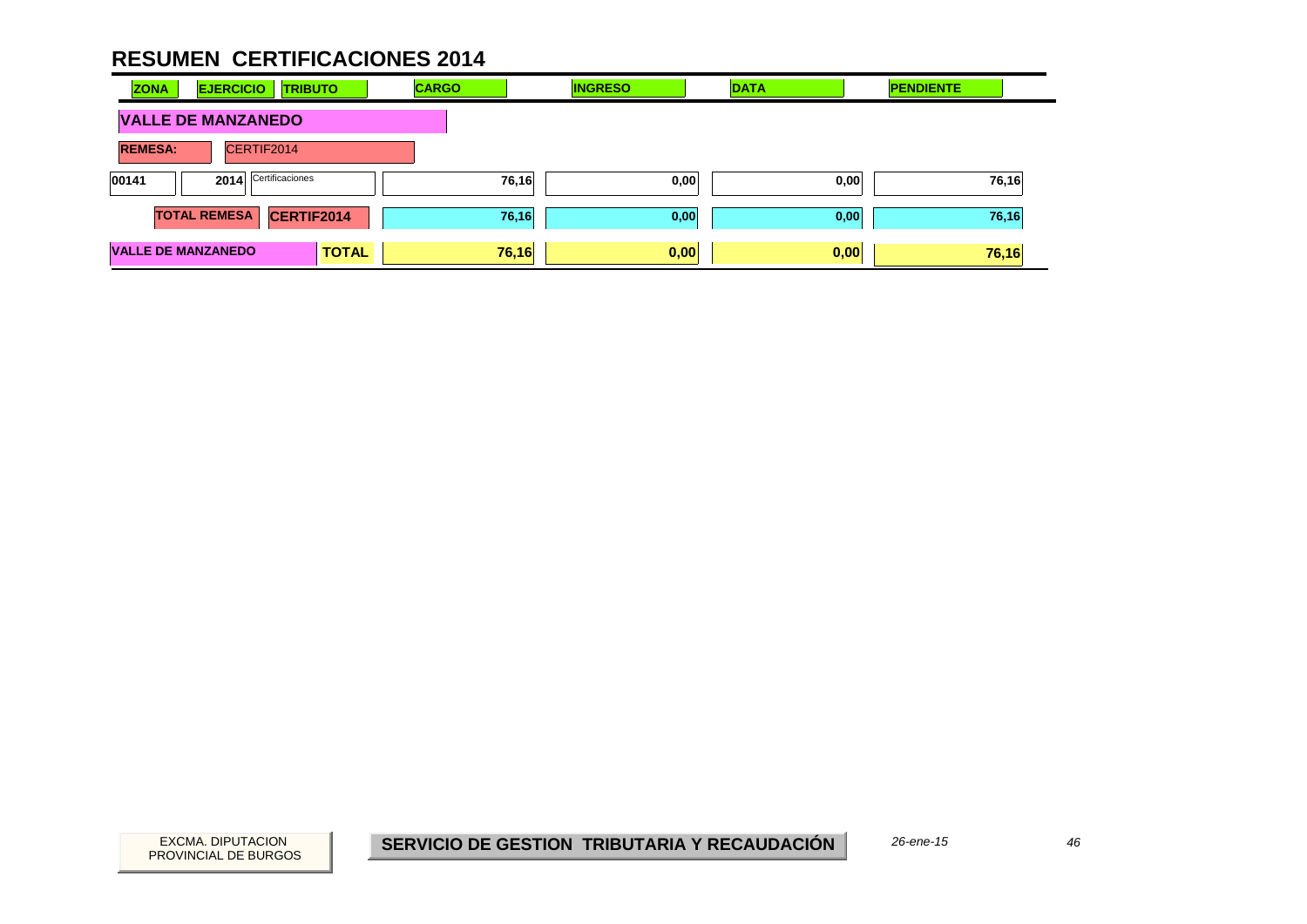| <b>ZONA</b>               | <b>EJERCICIO</b>     | <b>TRIBUTO</b> | <b>CARGO</b> |       | <b>INGRESO</b> | <b>DATA</b> | <b>PENDIENTE</b> |
|---------------------------|----------------------|----------------|--------------|-------|----------------|-------------|------------------|
| <b>VALLE DE MANZANEDO</b> |                      |                |              |       |                |             |                  |
| <b>REMESA:</b>            | CERTIF2014           |                |              |       |                |             |                  |
| 00141                     | 2014 Certificaciones |                |              | 76,16 | 0,00           | 0,00        | 76,16            |
|                           | <b>TOTAL REMESA</b>  | CERTIF2014     |              | 76,16 | 0,00           | 0,00        | 76,16            |
| <b>VALLE DE MANZANEDO</b> |                      | <b>TOTAL</b>   |              | 76,16 | 0,00           | 0,00        | 76,16            |

46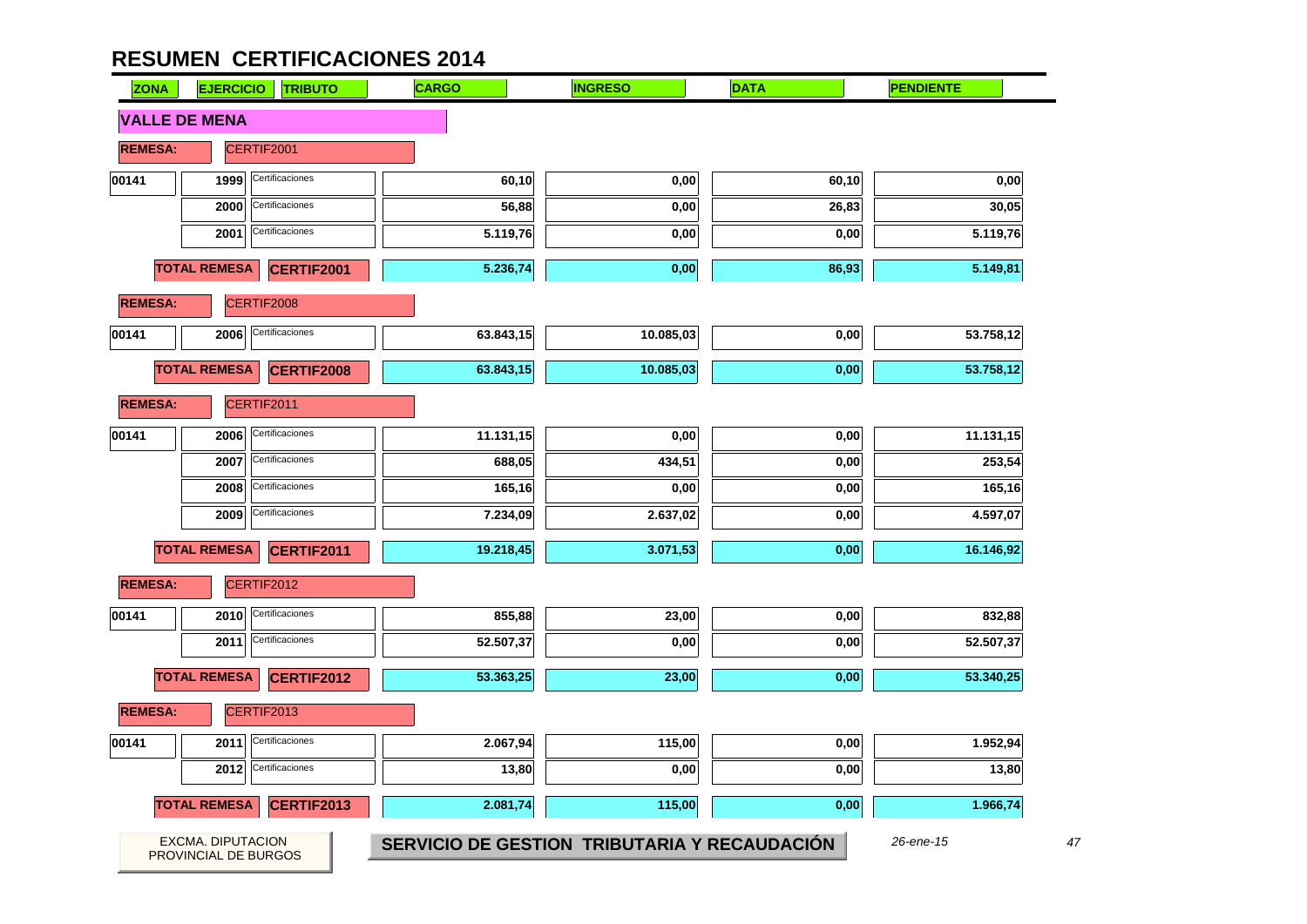| <b>ZONA</b>    | <b>EJERCICIO</b>                          | <b>TRIBUTO</b>    | <b>CARGO</b> | <b>INGRESO</b>                               | <b>DATA</b> | <b>PENDIENTE</b> |
|----------------|-------------------------------------------|-------------------|--------------|----------------------------------------------|-------------|------------------|
|                | <b>VALLE DE MENA</b>                      |                   |              |                                              |             |                  |
| <b>REMESA:</b> |                                           | CERTIF2001        |              |                                              |             |                  |
| 00141          | 1999                                      | Certificaciones   | 60,10        | 0,00                                         | 60,10       | 0,00             |
|                | 2000                                      | Certificaciones   | 56,88        | 0,00                                         | 26,83       | 30,05            |
|                | 2001                                      | Certificaciones   | 5.119,76     | 0,00                                         | 0,00        | 5.119,76         |
|                | <b>TOTAL REMESA</b>                       | CERTIF2001        | 5.236,74     | 0,00                                         | 86,93       | 5.149,81         |
| <b>REMESA:</b> |                                           | CERTIF2008        |              |                                              |             |                  |
| 00141          | 2006                                      | Certificaciones   | 63.843,15    | 10.085,03                                    | 0,00        | 53.758,12        |
|                | <b>TOTAL REMESA</b>                       | <b>CERTIF2008</b> | 63.843,15    | 10.085,03                                    | 0,00        | 53.758,12        |
| <b>REMESA:</b> |                                           | CERTIF2011        |              |                                              |             |                  |
| 00141          | 2006                                      | Certificaciones   | 11.131,15    | 0,00                                         | 0,00        | 11.131,15        |
|                | 2007                                      | Certificaciones   | 688,05       | 434,51                                       | 0,00        | 253,54           |
|                | 2008                                      | Certificaciones   | 165,16       | 0,00                                         | 0,00        | 165,16           |
|                | 2009                                      | Certificaciones   | 7.234,09     | 2.637,02                                     | 0,00        | 4.597,07         |
|                | <b>TOTAL REMESA</b>                       | CERTIF2011        | 19.218,45    | 3.071,53                                     | 0,00        | 16.146,92        |
| <b>REMESA:</b> |                                           | CERTIF2012        |              |                                              |             |                  |
| 00141          | 2010                                      | Certificaciones   | 855,88       | 23,00                                        | 0,00        | 832,88           |
|                | 2011                                      | Certificaciones   | 52.507,37    | 0,00                                         | 0,00        | 52.507,37        |
|                | <b>TOTAL REMESA</b>                       | CERTIF2012        | 53.363,25    | 23,00                                        | 0,00        | 53.340,25        |
| <b>REMESA:</b> |                                           | CERTIF2013        |              |                                              |             |                  |
| 00141          | 2011                                      | Certificaciones   | 2.067,94     | 115,00                                       | 0,00        | 1.952,94         |
|                | 2012                                      | Certificaciones   | 13,80        | 0,00                                         | 0,00        | 13,80            |
|                | <b>TOTAL REMESA</b>                       | CERTIF2013        | 2.081,74     | 115,00                                       | 0,00        | 1.966,74         |
|                | EXCMA. DIPUTACION<br>PROVINCIAL DE BURGOS |                   |              | SERVICIO DE GESTION TRIBUTARIA Y RECAUDACIÓN |             | 26-ene-15        |

47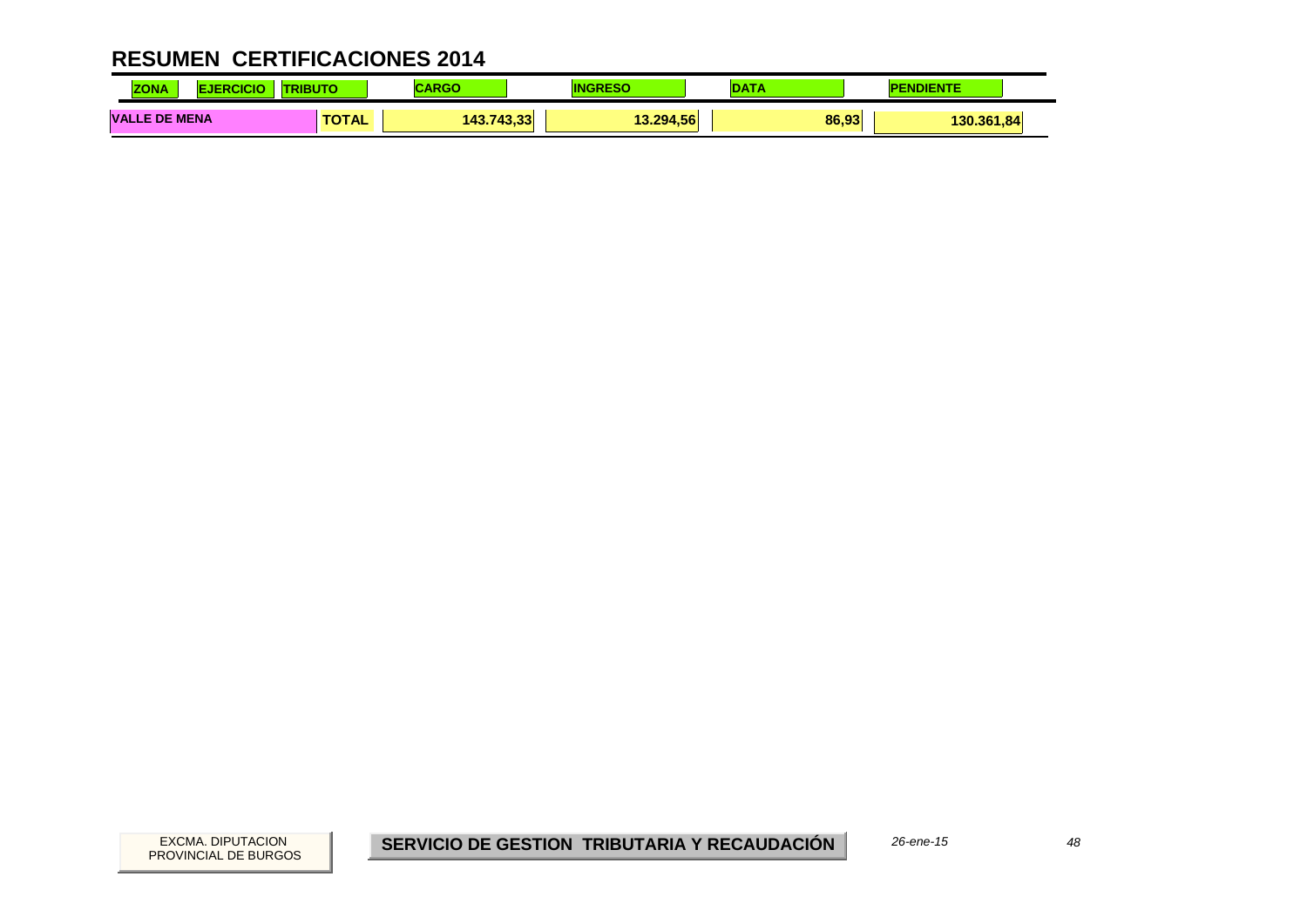| <b>ZONA</b>                    |              | <b>RG</b>           | -St       | DAT   |            |
|--------------------------------|--------------|---------------------|-----------|-------|------------|
| <b>VALLE</b><br><b>DE MENA</b> | <b>TOTAL</b> | 743.33<br>143.<br>. | 13.294.56 | 86,93 | 130.361,84 |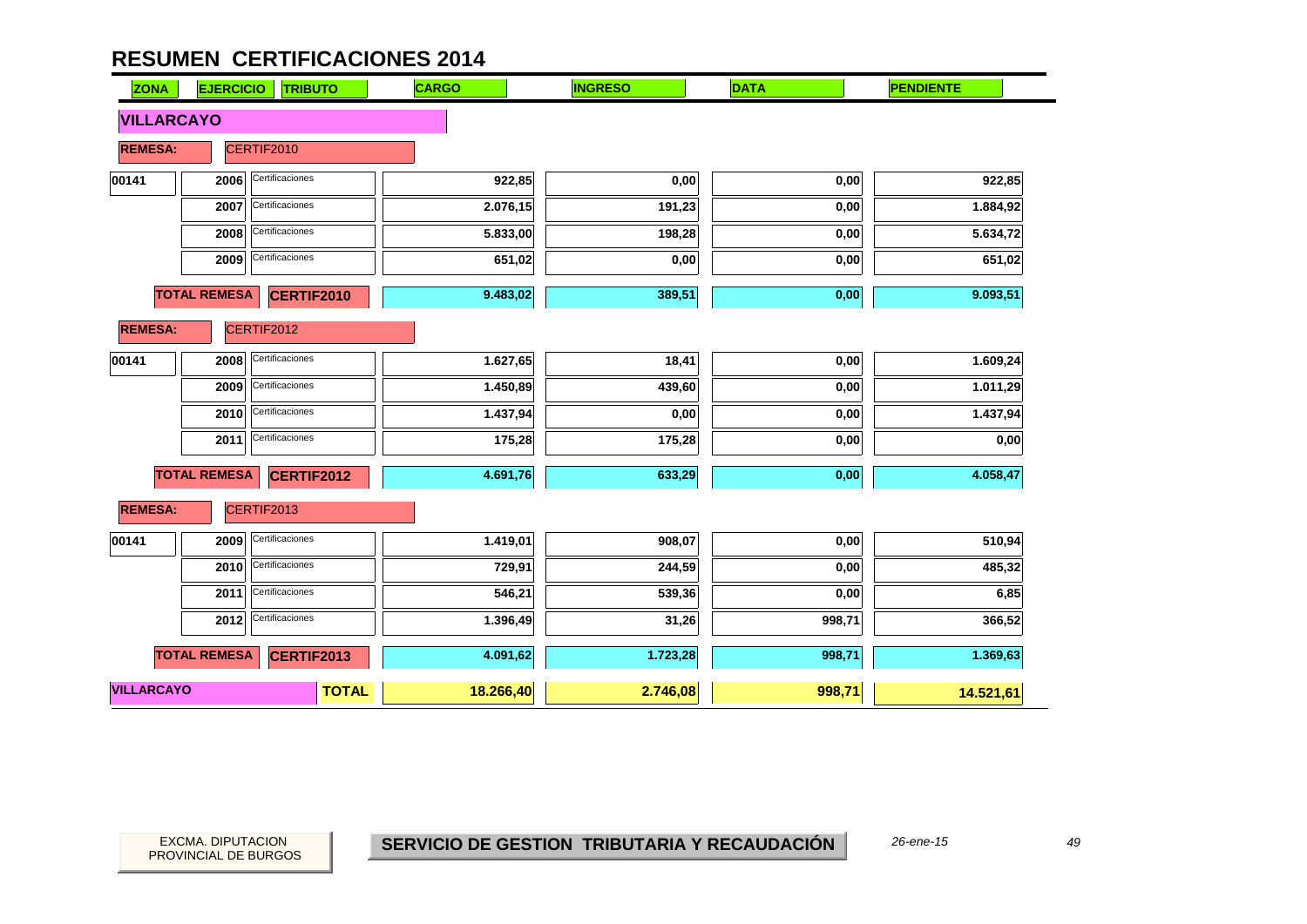| <b>ZONA</b>       | <b>EJERCICIO</b><br><b>TRIBUTO</b>       |              | <b>CARGO</b> | <b>INGRESO</b> | <b>DATA</b> | <b>PENDIENTE</b> |
|-------------------|------------------------------------------|--------------|--------------|----------------|-------------|------------------|
| <b>VILLARCAYO</b> |                                          |              |              |                |             |                  |
| <b>REMESA:</b>    | CERTIF2010                               |              |              |                |             |                  |
| 00141             | Certificaciones<br>2006                  |              | 922,85       | 0,00           | 0,00        | 922,85           |
|                   | Certificaciones<br>2007                  |              | 2.076,15     | 191,23         | 0,00        | 1.884,92         |
|                   | Certificaciones<br>2008                  |              | 5.833,00     | 198,28         | 0,00        | 5.634,72         |
|                   | Certificaciones<br>2009                  |              | 651,02       | 0,00           | 0,00        | 651,02           |
|                   | <b>TOTAL REMESA</b><br><b>CERTIF2010</b> |              | 9.483,02     | 389,51         | 0,00        | 9.093,51         |
| <b>REMESA:</b>    | CERTIF2012                               |              |              |                |             |                  |
| 00141             | Certificaciones<br>2008                  |              | 1.627,65     | 18,41          | 0,00        | 1.609,24         |
|                   | Certificaciones<br>2009                  |              | 1.450,89     | 439,60         | 0,00        | 1.011,29         |
|                   | Certificaciones<br>2010                  |              | 1.437,94     | 0,00           | 0,00        | 1.437,94         |
|                   | Certificaciones<br>2011                  |              | 175,28       | 175,28         | 0,00        | 0,00             |
|                   | <b>TOTAL REMESA</b><br><b>CERTIF2012</b> |              | 4.691,76     | 633,29         | 0,00        | 4.058,47         |
| <b>REMESA:</b>    | CERTIF2013                               |              |              |                |             |                  |
| 00141             | Certificaciones<br>2009                  |              | 1.419,01     | 908,07         | 0,00        | 510,94           |
|                   | Certificaciones<br>2010                  |              | 729,91       | 244,59         | 0,00        | 485,32           |
|                   | Certificaciones<br>2011                  |              | 546,21       | 539,36         | 0,00        | 6,85             |
|                   | Certificaciones<br>2012                  |              | 1.396,49     | 31,26          | 998,71      | 366,52           |
|                   | <b>TOTAL REMESA</b><br><b>CERTIF2013</b> |              | 4.091,62     | 1.723,28       | 998,71      | 1.369,63         |
| <b>VILLARCAYO</b> |                                          | <b>TOTAL</b> | 18.266,40    | 2.746,08       | 998,71      | 14.521,61        |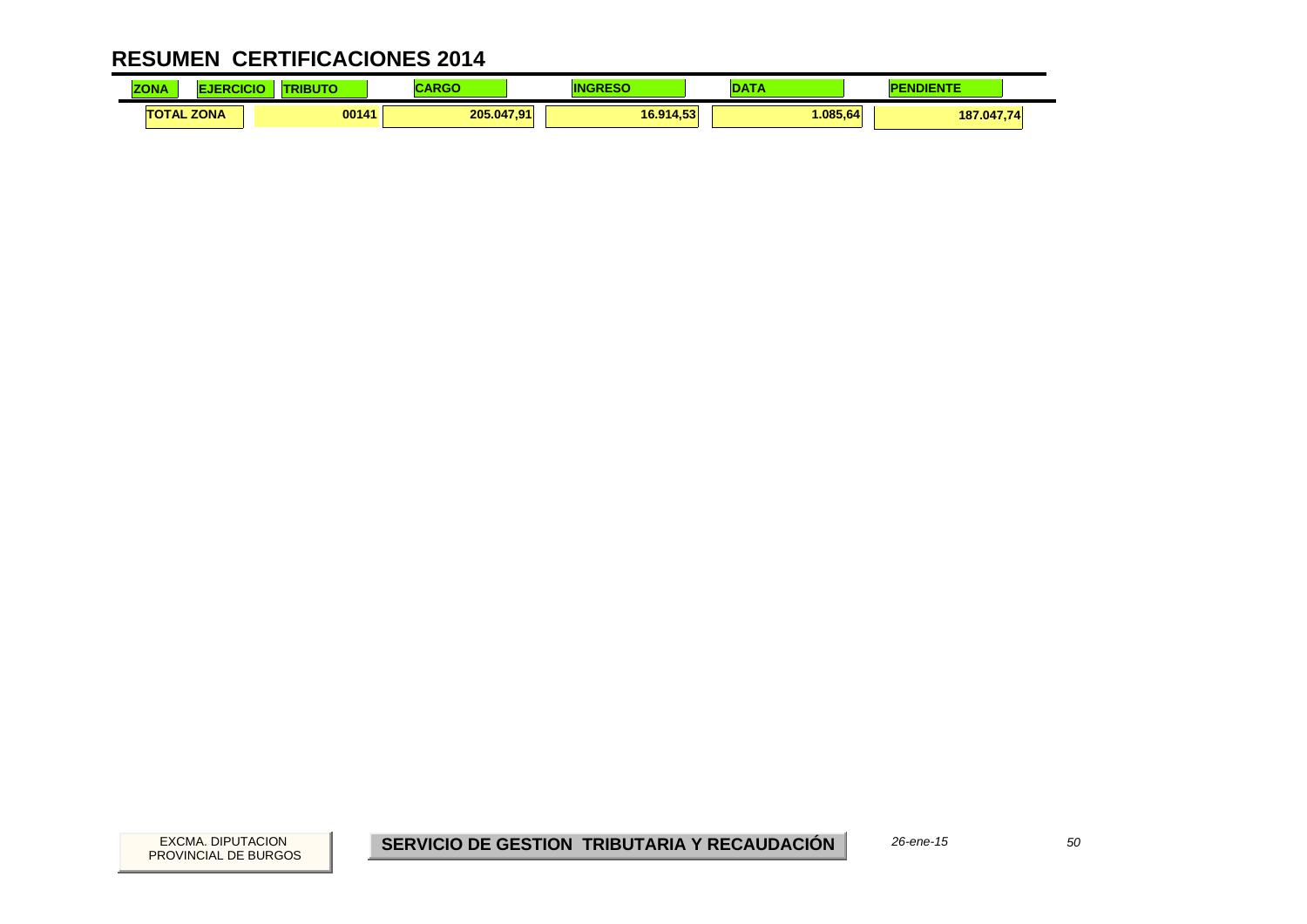| <b>ZONA</b> |                   | ----  | .<br>אט או |           | $\sim$  | <b><i><u>Property</u></i></b><br>P |
|-------------|-------------------|-------|------------|-----------|---------|------------------------------------|
|             | <b>TOTAL ZONA</b> | 00141 | 205.047,91 | 16.914,53 | .085.64 | 187.047,74                         |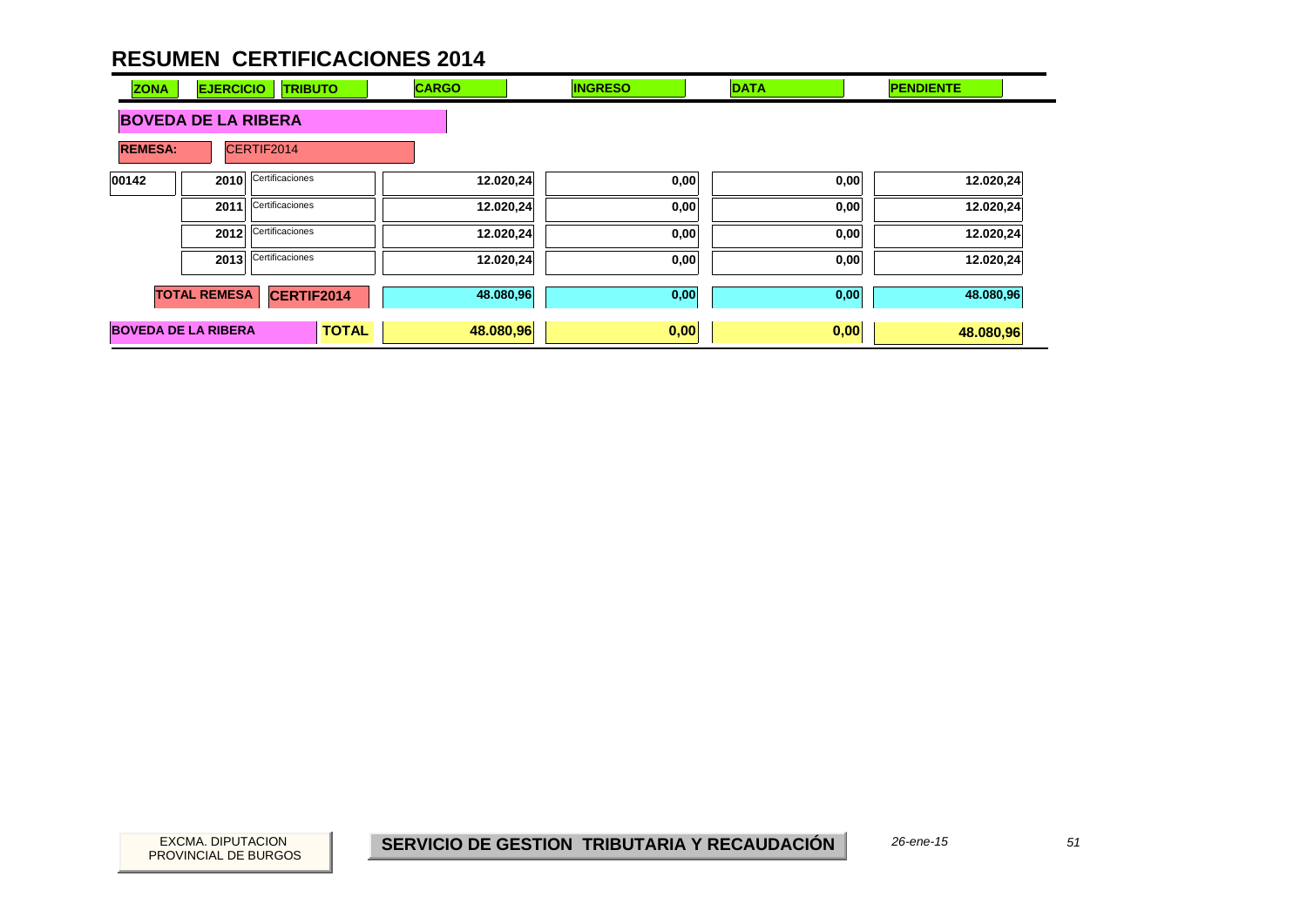| <b>ZONA</b>    | <b>EJERCICIO</b>           | <b>TRIBUTO</b>  | <b>CARGO</b> | <b>INGRESO</b> | <b>DATA</b> | <b>PENDIENTE</b> |
|----------------|----------------------------|-----------------|--------------|----------------|-------------|------------------|
|                | <b>BOVEDA DE LA RIBERA</b> |                 |              |                |             |                  |
| <b>REMESA:</b> |                            | CERTIF2014      |              |                |             |                  |
| 00142          | 2010                       | Certificaciones | 12.020,24    | 0,00           | 0,00        | 12.020,24        |
|                | 2011                       | Certificaciones | 12.020,24    | 0,00           | 0,00        | 12.020,24        |
|                | 2012                       | Certificaciones | 12.020,24    | 0,00           | 0,00        | 12.020,24        |
|                | 2013                       | Certificaciones | 12.020,24    | 0,00           | 0,00        | 12.020,24        |
|                | <b>TOTAL REMESA</b>        | CERTIF2014      | 48.080,96    | 0,00           | 0,00        | 48.080,96        |
|                | <b>BOVEDA DE LA RIBERA</b> | <b>TOTAL</b>    | 48.080,96    | 0,00           | 0,00        | 48.080,96        |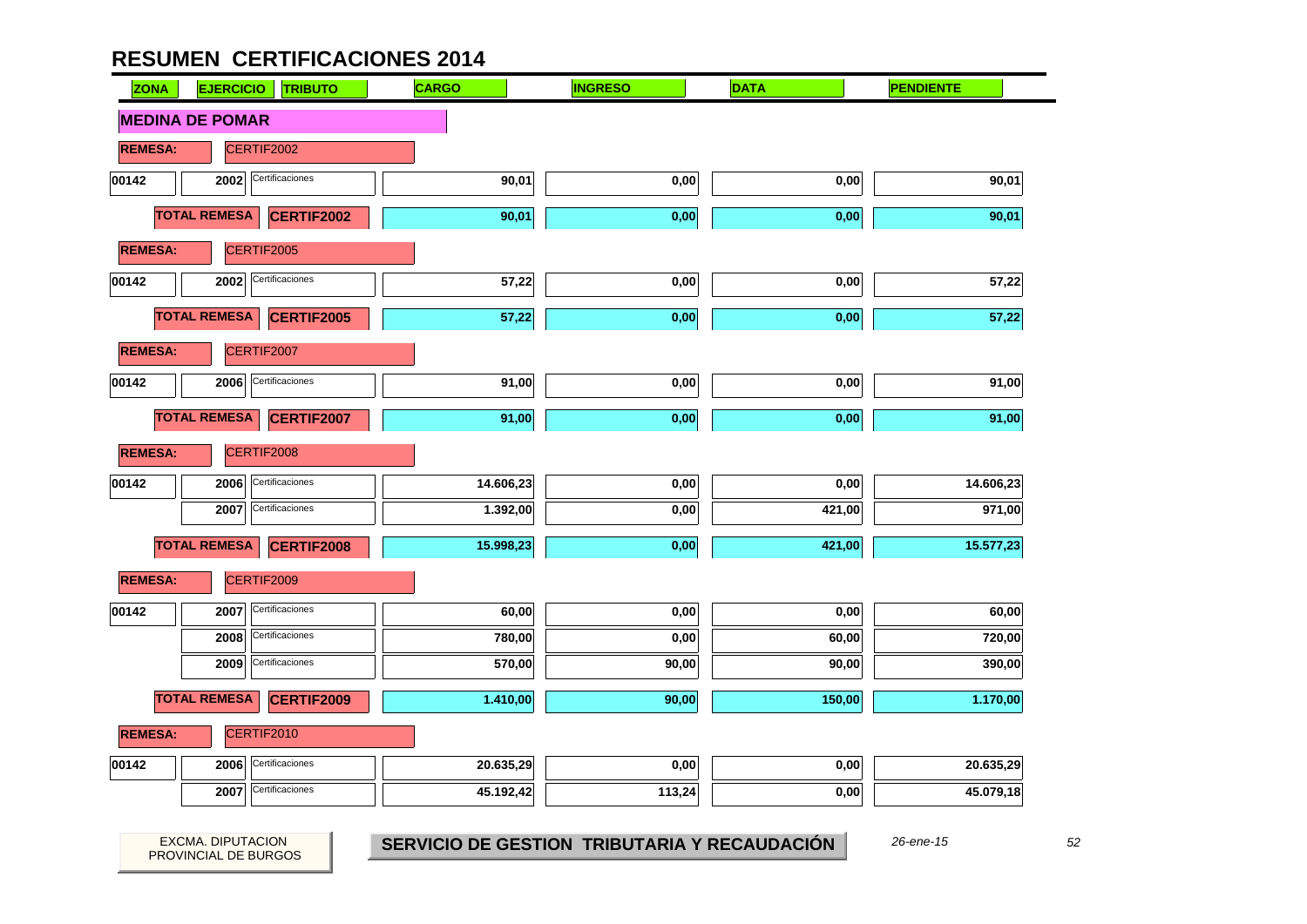| <b>ZONA</b>    | <b>EJERCICIO</b>       | <b>TRIBUTO</b>    | <b>CARGO</b> | <b>INGRESO</b> | <b>DATA</b> | <b>PENDIENTE</b> |
|----------------|------------------------|-------------------|--------------|----------------|-------------|------------------|
|                | <b>MEDINA DE POMAR</b> |                   |              |                |             |                  |
| <b>REMESA:</b> | CERTIF2002             |                   |              |                |             |                  |
| 00142          | 2002                   | Certificaciones   | 90,01        | 0,00           | 0,00        | 90,01            |
|                | <b>TOTAL REMESA</b>    | <b>CERTIF2002</b> | 90,01        | 0,00           | 0,00        | 90,01            |
| <b>REMESA:</b> | CERTIF2005             |                   |              |                |             |                  |
| 00142          | 2002                   | Certificaciones   | 57,22        | 0,00           | 0,00        | 57,22            |
|                | <b>TOTAL REMESA</b>    | <b>CERTIF2005</b> | 57,22        | 0,00           | 0,00        | 57,22            |
| <b>REMESA:</b> | CERTIF2007             |                   |              |                |             |                  |
| 00142          | 2006                   | Certificaciones   | 91,00        | 0,00           | 0,00        | 91,00            |
|                | <b>TOTAL REMESA</b>    | <b>CERTIF2007</b> | 91,00        | 0,00           | 0,00        | 91,00            |
| <b>REMESA:</b> | CERTIF2008             |                   |              |                |             |                  |
| 00142          | 2006                   | Certificaciones   | 14.606,23    | 0,00           | 0,00        | 14.606,23        |
|                | 2007                   | Certificaciones   | 1.392,00     | 0,00           | 421,00      | 971,00           |
|                | <b>TOTAL REMESA</b>    | CERTIF2008        | 15.998,23    | 0,00           | 421,00      | 15.577,23        |
| <b>REMESA:</b> | CERTIF2009             |                   |              |                |             |                  |
| 00142          | 2007                   | Certificaciones   | 60,00        | 0,00           | 0,00        | 60,00            |
|                | 2008                   | Certificaciones   | 780,00       | 0,00           | 60,00       | 720,00           |
|                | 2009                   | Certificaciones   | 570,00       | 90,00          | 90,00       | 390,00           |
|                | <b>TOTAL REMESA</b>    | <b>CERTIF2009</b> | 1.410,00     | 90,00          | 150,00      | 1.170,00         |
| <b>REMESA:</b> | CERTIF2010             |                   |              |                |             |                  |
| 00142          | 2006                   | Certificaciones   | 20.635,29    | 0,00           | 0,00        | 20.635,29        |
|                | 2007                   | Certificaciones   | 45.192,42    | 113,24         | 0,00        | 45.079,18        |

PROVINCIAL DE BURGOS

EXCMA. DIPUTACION *52* **SERVICIO DE GESTION TRIBUTARIA Y RECAUDACIÓN** *26-ene-15*

 $\overline{\phantom{0}}$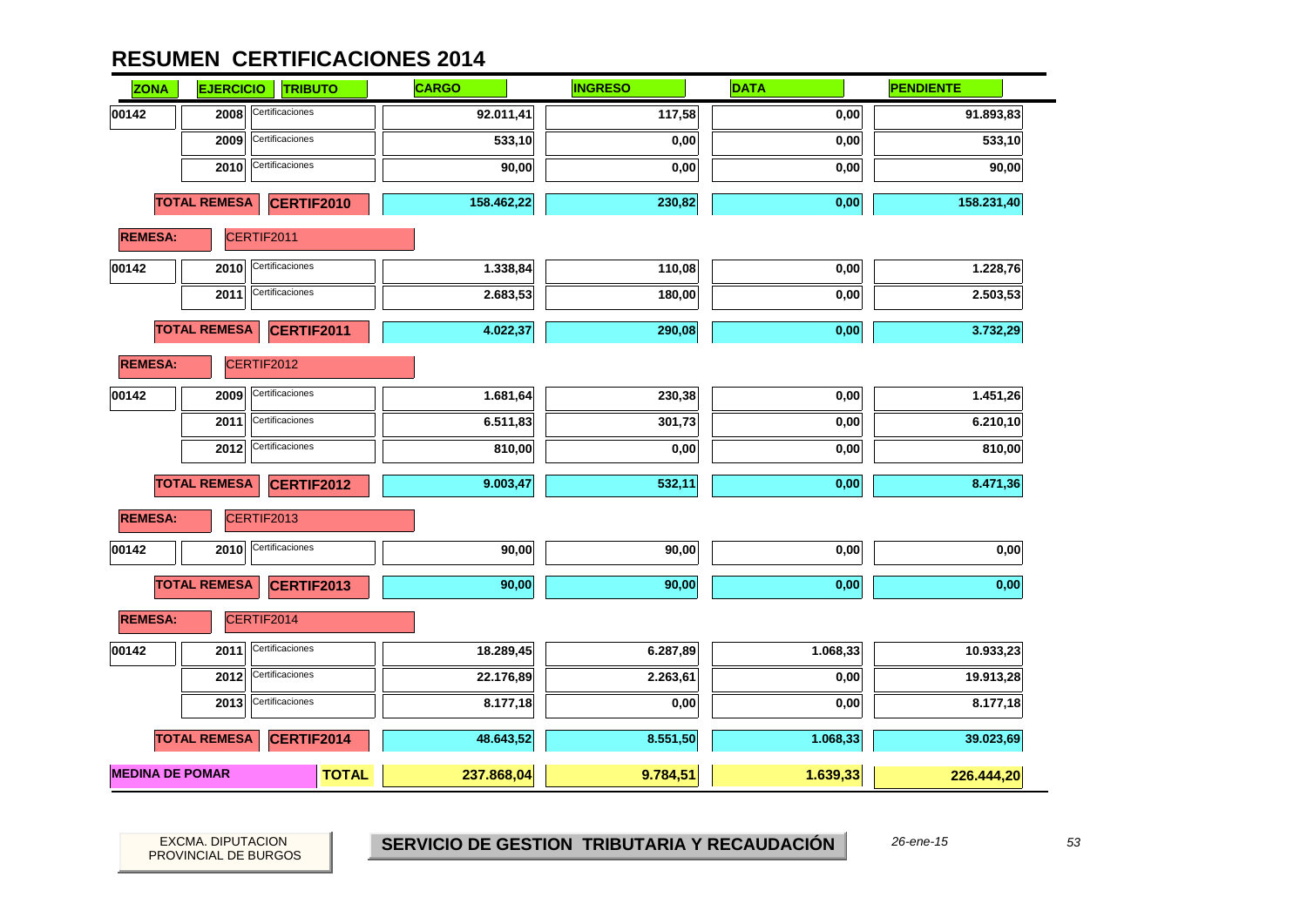| <b>ZONA</b>    | <b>EJERCICIO</b>       | <b>TRIBUTO</b>    | <b>CARGO</b> | <b>INGRESO</b> | <b>DATA</b> | <b>PENDIENTE</b> |
|----------------|------------------------|-------------------|--------------|----------------|-------------|------------------|
| 00142          | 2008                   | Certificaciones   | 92.011,41    | 117,58         | 0,00        | 91.893,83        |
|                | 2009                   | Certificaciones   | 533,10       | 0,00           | 0,00        | 533,10           |
|                | 2010                   | Certificaciones   | 90,00        | 0,00           | 0,00        | 90,00            |
|                | <b>TOTAL REMESA</b>    | CERTIF2010        | 158.462,22   | 230,82         | 0,00        | 158.231,40       |
| <b>REMESA:</b> |                        | CERTIF2011        |              |                |             |                  |
| 00142          | 2010                   | Certificaciones   | 1.338,84     | 110,08         | 0,00        | 1.228,76         |
|                | 2011                   | Certificaciones   | 2.683,53     | 180,00         | 0,00        | 2.503,53         |
|                | <b>TOTAL REMESA</b>    | CERTIF2011        | 4.022,37     | 290,08         | 0,00        | 3.732,29         |
| <b>REMESA:</b> |                        | CERTIF2012        |              |                |             |                  |
| 00142          | 2009                   | Certificaciones   | 1.681,64     | 230,38         | 0,00        | 1.451,26         |
|                | 2011                   | Certificaciones   | 6.511,83     | 301,73         | 0,00        | 6.210,10         |
|                | 2012                   | Certificaciones   | 810,00       | 0,00           | 0,00        | 810,00           |
|                | <b>TOTAL REMESA</b>    | <b>CERTIF2012</b> | 9.003,47     | 532,11         | 0,00        | 8.471,36         |
| <b>REMESA:</b> |                        | CERTIF2013        |              |                |             |                  |
| 00142          | 2010                   | Certificaciones   | 90,00        | 90,00          | 0,00        | 0,00             |
|                | <b>TOTAL REMESA</b>    | CERTIF2013        | 90,00        | 90,00          | 0,00        | 0,00             |
| <b>REMESA:</b> |                        | CERTIF2014        |              |                |             |                  |
| 00142          | 2011                   | Certificaciones   | 18.289,45    | 6.287,89       | 1.068,33    | 10.933,23        |
|                | 2012                   | Certificaciones   | 22.176,89    | 2.263,61       | 0,00        | 19.913,28        |
|                | 2013                   | Certificaciones   | 8.177,18     | 0,00           | 0,00        | 8.177,18         |
|                | <b>TOTAL REMESA</b>    | CERTIF2014        | 48.643,52    | 8.551,50       | 1.068,33    | 39.023,69        |
|                | <b>MEDINA DE POMAR</b> | <b>TOTAL</b>      | 237.868,04   | 9.784,51       | 1.639,33    | 226.444,20       |

PROVINCIAL DE BURGOS

EXCMA. DIPUTACION *53* **SERVICIO DE GESTION TRIBUTARIA Y RECAUDACIÓN** *26-ene-15*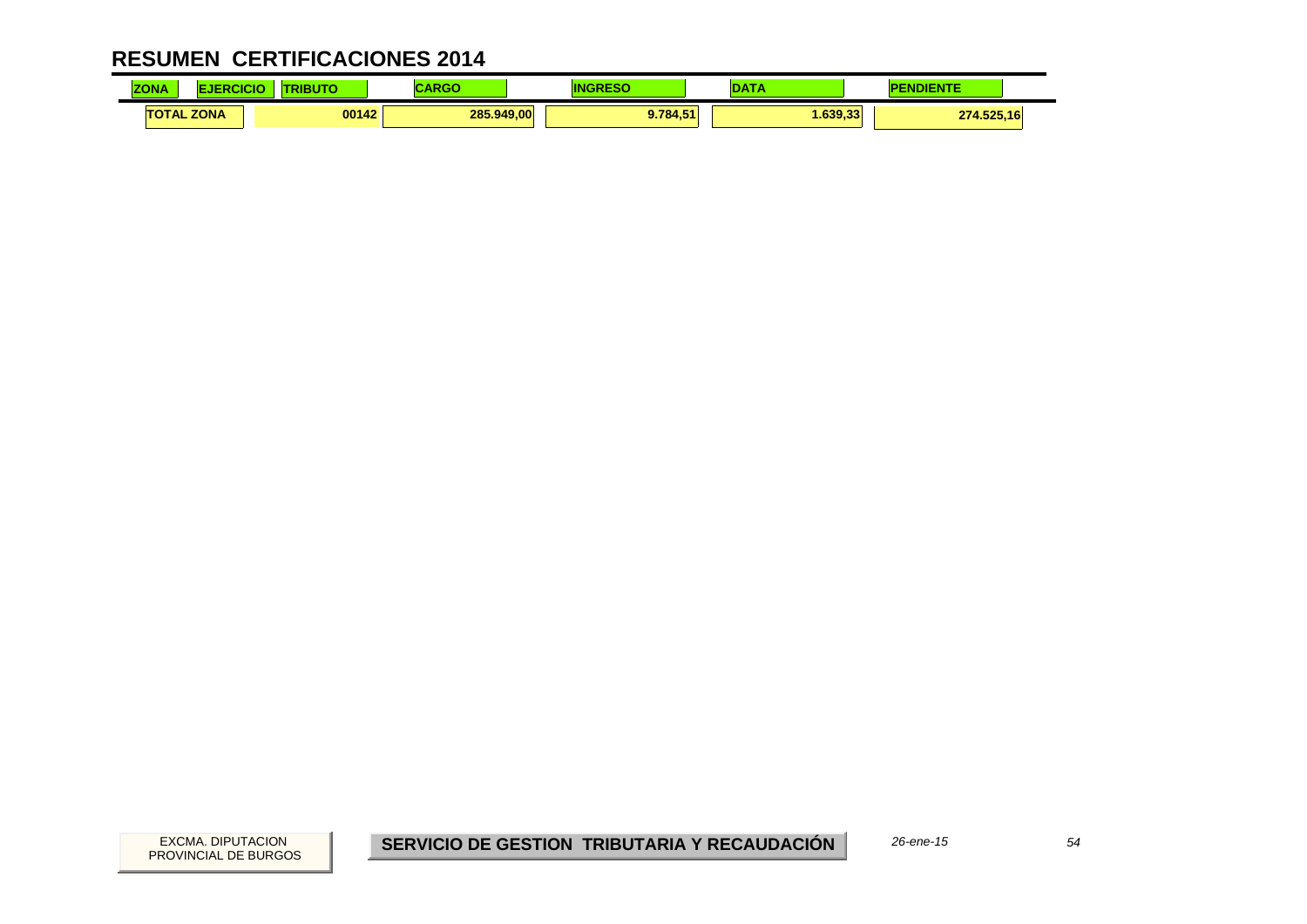| <b>ZONA</b> |                   | .     | ADAC<br>יש אי | IN       | ---     | <b>IDIENTE</b><br>ND. |  |
|-------------|-------------------|-------|---------------|----------|---------|-----------------------|--|
|             | <b>TOTAL ZONA</b> | 00142 | 285.949,00    | 9.784.51 | .639.33 | 274.525,16            |  |